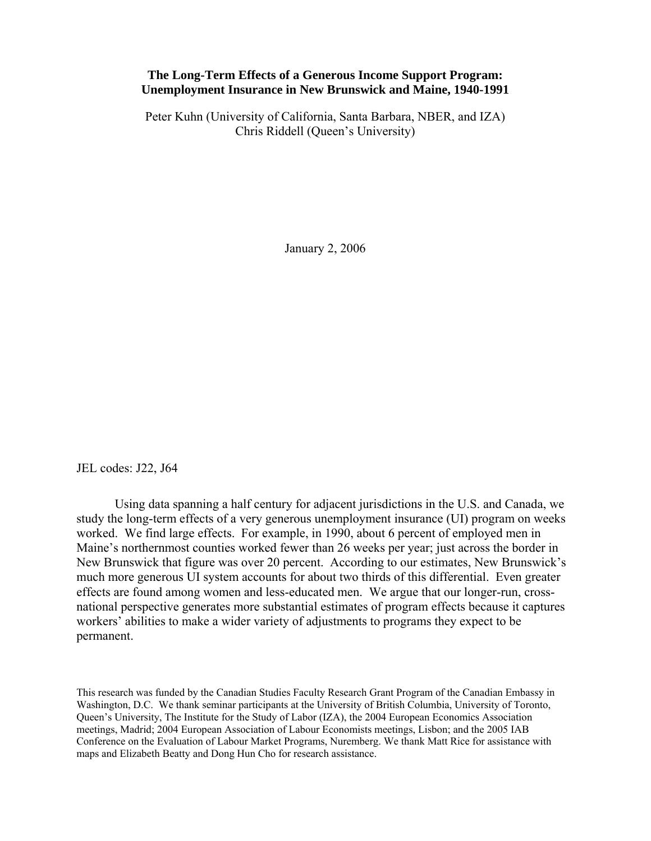## **The Long-Term Effects of a Generous Income Support Program: Unemployment Insurance in New Brunswick and Maine, 1940-1991**

Peter Kuhn (University of California, Santa Barbara, NBER, and IZA) Chris Riddell (Queen's University)

January 2, 2006

JEL codes: J22, J64

Using data spanning a half century for adjacent jurisdictions in the U.S. and Canada, we study the long-term effects of a very generous unemployment insurance (UI) program on weeks worked. We find large effects. For example, in 1990, about 6 percent of employed men in Maine's northernmost counties worked fewer than 26 weeks per year; just across the border in New Brunswick that figure was over 20 percent. According to our estimates, New Brunswick's much more generous UI system accounts for about two thirds of this differential. Even greater effects are found among women and less-educated men. We argue that our longer-run, crossnational perspective generates more substantial estimates of program effects because it captures workers' abilities to make a wider variety of adjustments to programs they expect to be permanent.

This research was funded by the Canadian Studies Faculty Research Grant Program of the Canadian Embassy in Washington, D.C. We thank seminar participants at the University of British Columbia, University of Toronto, Queen's University, The Institute for the Study of Labor (IZA), the 2004 European Economics Association meetings, Madrid; 2004 European Association of Labour Economists meetings, Lisbon; and the 2005 IAB Conference on the Evaluation of Labour Market Programs, Nuremberg. We thank Matt Rice for assistance with maps and Elizabeth Beatty and Dong Hun Cho for research assistance.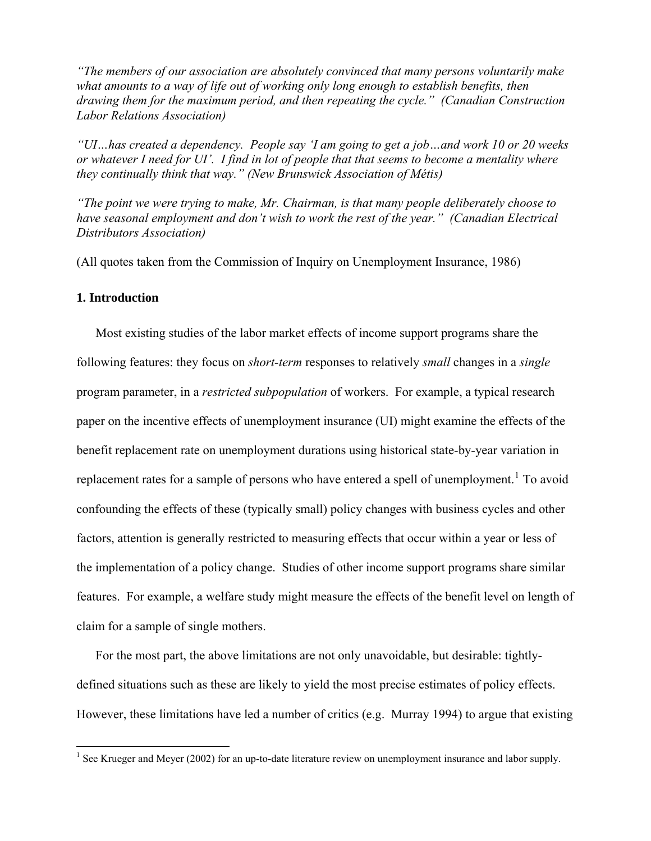*"The members of our association are absolutely convinced that many persons voluntarily make what amounts to a way of life out of working only long enough to establish benefits, then drawing them for the maximum period, and then repeating the cycle." (Canadian Construction Labor Relations Association)* 

*"UI…has created a dependency. People say 'I am going to get a job…and work 10 or 20 weeks or whatever I need for UI'. I find in lot of people that that seems to become a mentality where they continually think that way." (New Brunswick Association of Métis)* 

*"The point we were trying to make, Mr. Chairman, is that many people deliberately choose to have seasonal employment and don't wish to work the rest of the year." (Canadian Electrical Distributors Association)* 

(All quotes taken from the Commission of Inquiry on Unemployment Insurance, 1986)

## **1. Introduction**

Most existing studies of the labor market effects of income support programs share the following features: they focus on *short-term* responses to relatively *small* changes in a *single*  program parameter, in a *restricted subpopulation* of workers. For example, a typical research paper on the incentive effects of unemployment insurance (UI) might examine the effects of the benefit replacement rate on unemployment durations using historical state-by-year variation in replacement rates for a sample of persons who have entered a spell of unemployment.<sup>[1](#page-1-0)</sup> To avoid confounding the effects of these (typically small) policy changes with business cycles and other factors, attention is generally restricted to measuring effects that occur within a year or less of the implementation of a policy change. Studies of other income support programs share similar features. For example, a welfare study might measure the effects of the benefit level on length of claim for a sample of single mothers.

For the most part, the above limitations are not only unavoidable, but desirable: tightlydefined situations such as these are likely to yield the most precise estimates of policy effects. However, these limitations have led a number of critics (e.g. Murray 1994) to argue that existing

<span id="page-1-0"></span><sup>&</sup>lt;sup>1</sup> See Krueger and Meyer (2002) for an up-to-date literature review on unemployment insurance and labor supply.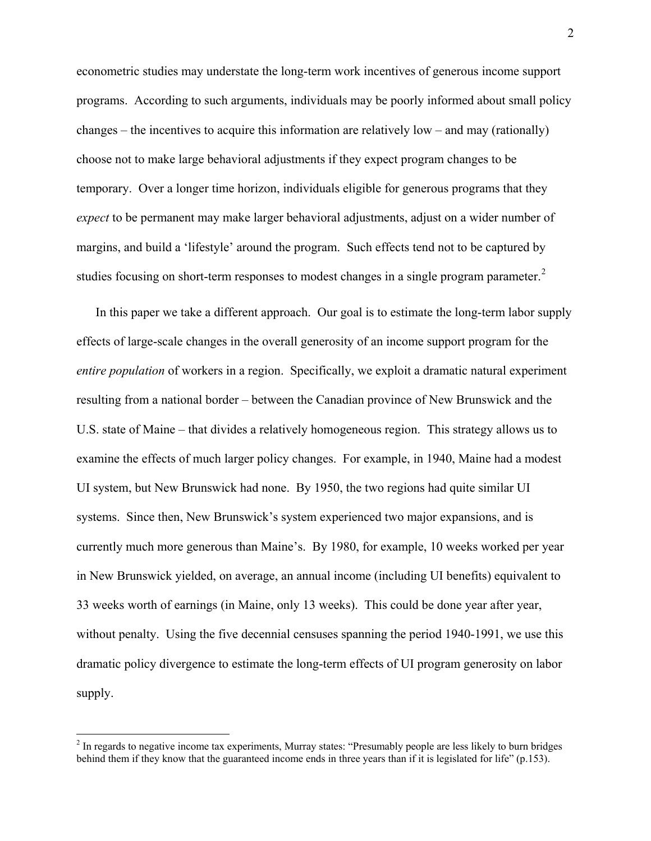econometric studies may understate the long-term work incentives of generous income support programs. According to such arguments, individuals may be poorly informed about small policy changes – the incentives to acquire this information are relatively low – and may (rationally) choose not to make large behavioral adjustments if they expect program changes to be temporary. Over a longer time horizon, individuals eligible for generous programs that they *expect* to be permanent may make larger behavioral adjustments, adjust on a wider number of margins, and build a 'lifestyle' around the program. Such effects tend not to be captured by studies focusing on short-term responses to modest changes in a single program parameter.<sup>[2](#page-2-0)</sup>

In this paper we take a different approach. Our goal is to estimate the long-term labor supply effects of large-scale changes in the overall generosity of an income support program for the *entire population* of workers in a region. Specifically, we exploit a dramatic natural experiment resulting from a national border – between the Canadian province of New Brunswick and the U.S. state of Maine – that divides a relatively homogeneous region. This strategy allows us to examine the effects of much larger policy changes. For example, in 1940, Maine had a modest UI system, but New Brunswick had none. By 1950, the two regions had quite similar UI systems. Since then, New Brunswick's system experienced two major expansions, and is currently much more generous than Maine's. By 1980, for example, 10 weeks worked per year in New Brunswick yielded, on average, an annual income (including UI benefits) equivalent to 33 weeks worth of earnings (in Maine, only 13 weeks). This could be done year after year, without penalty. Using the five decennial censuses spanning the period 1940-1991, we use this dramatic policy divergence to estimate the long-term effects of UI program generosity on labor supply.

<span id="page-2-0"></span><sup>&</sup>lt;sup>2</sup> In regards to negative income tax experiments, Murray states: "Presumably people are less likely to burn bridges behind them if they know that the guaranteed income ends in three years than if it is legislated for life" (p.153).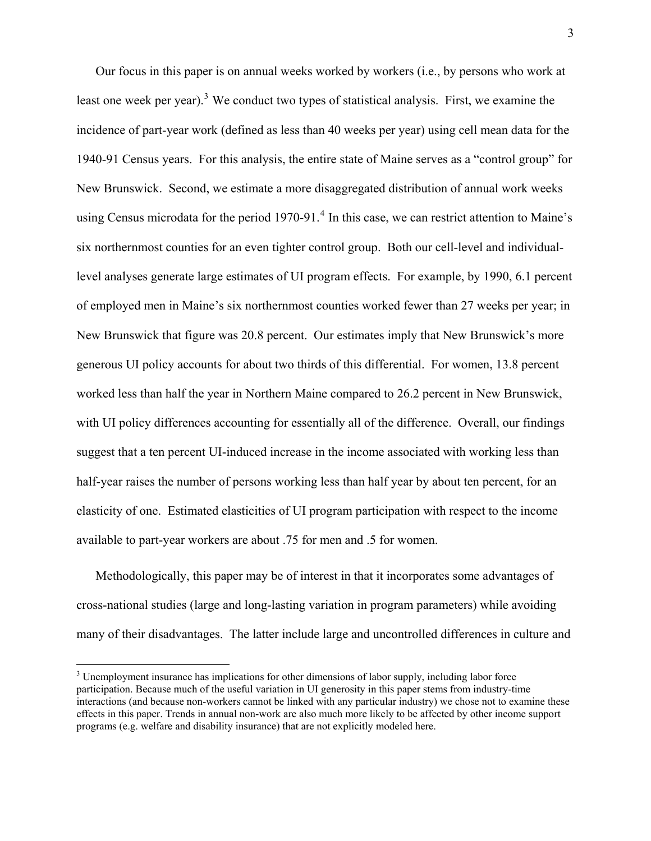Our focus in this paper is on annual weeks worked by workers (i.e., by persons who work at least one week per year).<sup>[3](#page-3-0)</sup> We conduct two types of statistical analysis. First, we examine the incidence of part-year work (defined as less than 40 weeks per year) using cell mean data for the 1940-91 Census years. For this analysis, the entire state of Maine serves as a "control group" for New Brunswick. Second, we estimate a more disaggregated distribution of annual work weeks using Census microdata for the period 1970-91.<sup>[4](#page-3-1)</sup> In this case, we can restrict attention to Maine's six northernmost counties for an even tighter control group. Both our cell-level and individuallevel analyses generate large estimates of UI program effects. For example, by 1990, 6.1 percent of employed men in Maine's six northernmost counties worked fewer than 27 weeks per year; in New Brunswick that figure was 20.8 percent. Our estimates imply that New Brunswick's more generous UI policy accounts for about two thirds of this differential. For women, 13.8 percent worked less than half the year in Northern Maine compared to 26.2 percent in New Brunswick, with UI policy differences accounting for essentially all of the difference. Overall, our findings suggest that a ten percent UI-induced increase in the income associated with working less than half-year raises the number of persons working less than half year by about ten percent, for an elasticity of one. Estimated elasticities of UI program participation with respect to the income available to part-year workers are about .75 for men and .5 for women.

Methodologically, this paper may be of interest in that it incorporates some advantages of cross-national studies (large and long-lasting variation in program parameters) while avoiding many of their disadvantages. The latter include large and uncontrolled differences in culture and

<span id="page-3-1"></span><span id="page-3-0"></span> $3$  Unemployment insurance has implications for other dimensions of labor supply, including labor force participation. Because much of the useful variation in UI generosity in this paper stems from industry-time interactions (and because non-workers cannot be linked with any particular industry) we chose not to examine these effects in this paper. Trends in annual non-work are also much more likely to be affected by other income support programs (e.g. welfare and disability insurance) that are not explicitly modeled here.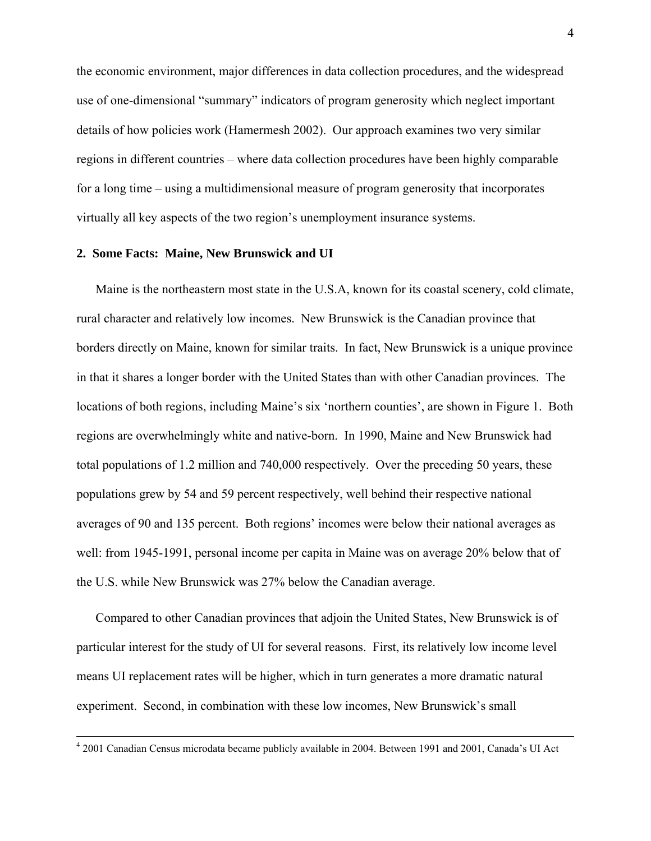the economic environment, major differences in data collection procedures, and the widespread use of one-dimensional "summary" indicators of program generosity which neglect important details of how policies work (Hamermesh 2002). Our approach examines two very similar regions in different countries – where data collection procedures have been highly comparable for a long time – using a multidimensional measure of program generosity that incorporates virtually all key aspects of the two region's unemployment insurance systems.

## **2. Some Facts: Maine, New Brunswick and UI**

 $\overline{a}$ 

Maine is the northeastern most state in the U.S.A, known for its coastal scenery, cold climate, rural character and relatively low incomes. New Brunswick is the Canadian province that borders directly on Maine, known for similar traits. In fact, New Brunswick is a unique province in that it shares a longer border with the United States than with other Canadian provinces. The locations of both regions, including Maine's six 'northern counties', are shown in Figure 1. Both regions are overwhelmingly white and native-born. In 1990, Maine and New Brunswick had total populations of 1.2 million and 740,000 respectively. Over the preceding 50 years, these populations grew by 54 and 59 percent respectively, well behind their respective national averages of 90 and 135 percent. Both regions' incomes were below their national averages as well: from 1945-1991, personal income per capita in Maine was on average 20% below that of the U.S. while New Brunswick was 27% below the Canadian average.

Compared to other Canadian provinces that adjoin the United States, New Brunswick is of particular interest for the study of UI for several reasons. First, its relatively low income level means UI replacement rates will be higher, which in turn generates a more dramatic natural experiment. Second, in combination with these low incomes, New Brunswick's small

<sup>&</sup>lt;sup>4</sup> 2001 Canadian Census microdata became publicly available in 2004. Between 1991 and 2001, Canada's UI Act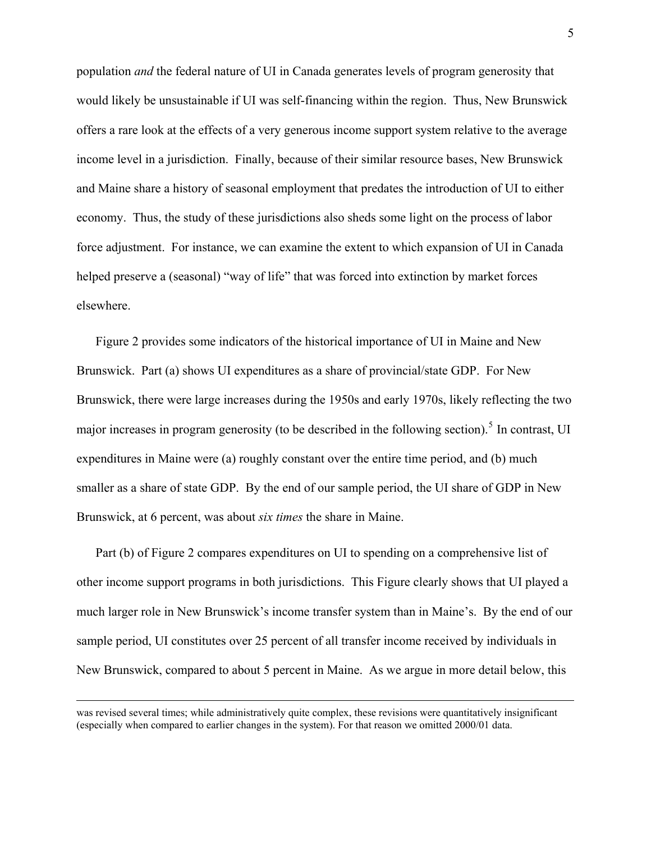population *and* the federal nature of UI in Canada generates levels of program generosity that would likely be unsustainable if UI was self-financing within the region. Thus, New Brunswick offers a rare look at the effects of a very generous income support system relative to the average income level in a jurisdiction. Finally, because of their similar resource bases, New Brunswick and Maine share a history of seasonal employment that predates the introduction of UI to either economy. Thus, the study of these jurisdictions also sheds some light on the process of labor force adjustment. For instance, we can examine the extent to which expansion of UI in Canada helped preserve a (seasonal) "way of life" that was forced into extinction by market forces elsewhere.

Figure 2 provides some indicators of the historical importance of UI in Maine and New Brunswick. Part (a) shows UI expenditures as a share of provincial/state GDP. For New Brunswick, there were large increases during the 1950s and early 1970s, likely reflecting the two major increases in program generosity (to be described in the following section).<sup>[5](#page-5-0)</sup> In contrast, UI expenditures in Maine were (a) roughly constant over the entire time period, and (b) much smaller as a share of state GDP. By the end of our sample period, the UI share of GDP in New Brunswick, at 6 percent, was about *six times* the share in Maine.

Part (b) of Figure 2 compares expenditures on UI to spending on a comprehensive list of other income support programs in both jurisdictions. This Figure clearly shows that UI played a much larger role in New Brunswick's income transfer system than in Maine's. By the end of our sample period, UI constitutes over 25 percent of all transfer income received by individuals in New Brunswick, compared to about 5 percent in Maine. As we argue in more detail below, this

<span id="page-5-0"></span>was revised several times; while administratively quite complex, these revisions were quantitatively insignificant (especially when compared to earlier changes in the system). For that reason we omitted 2000/01 data.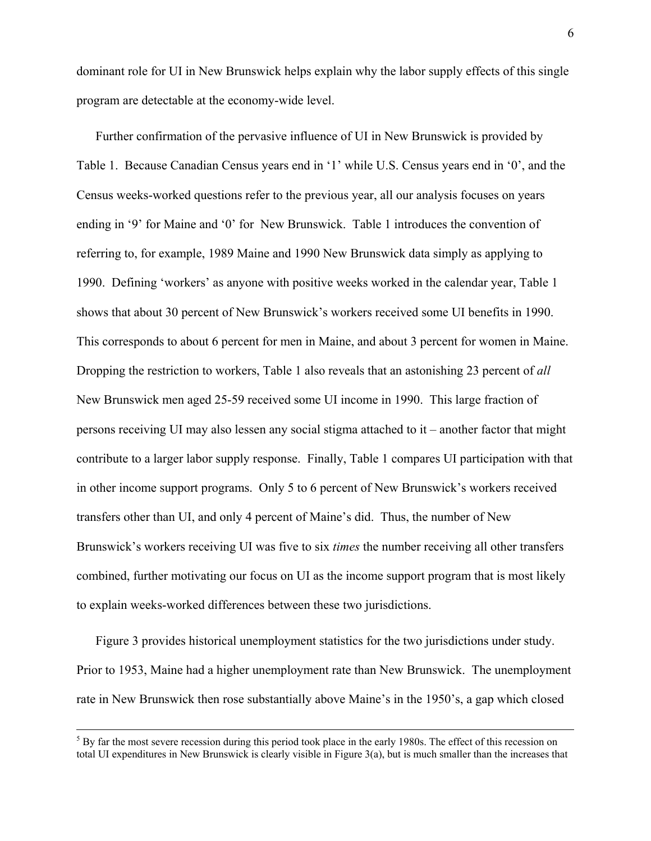dominant role for UI in New Brunswick helps explain why the labor supply effects of this single program are detectable at the economy-wide level.

Further confirmation of the pervasive influence of UI in New Brunswick is provided by Table 1. Because Canadian Census years end in '1' while U.S. Census years end in '0', and the Census weeks-worked questions refer to the previous year, all our analysis focuses on years ending in '9' for Maine and '0' for New Brunswick. Table 1 introduces the convention of referring to, for example, 1989 Maine and 1990 New Brunswick data simply as applying to 1990. Defining 'workers' as anyone with positive weeks worked in the calendar year, Table 1 shows that about 30 percent of New Brunswick's workers received some UI benefits in 1990. This corresponds to about 6 percent for men in Maine, and about 3 percent for women in Maine. Dropping the restriction to workers, Table 1 also reveals that an astonishing 23 percent of *all* New Brunswick men aged 25-59 received some UI income in 1990. This large fraction of persons receiving UI may also lessen any social stigma attached to it – another factor that might contribute to a larger labor supply response. Finally, Table 1 compares UI participation with that in other income support programs. Only 5 to 6 percent of New Brunswick's workers received transfers other than UI, and only 4 percent of Maine's did. Thus, the number of New Brunswick's workers receiving UI was five to six *times* the number receiving all other transfers combined, further motivating our focus on UI as the income support program that is most likely to explain weeks-worked differences between these two jurisdictions.

Figure 3 provides historical unemployment statistics for the two jurisdictions under study. Prior to 1953, Maine had a higher unemployment rate than New Brunswick. The unemployment rate in New Brunswick then rose substantially above Maine's in the 1950's, a gap which closed

 $<sup>5</sup>$  By far the most severe recession during this period took place in the early 1980s. The effect of this recession on</sup> total UI expenditures in New Brunswick is clearly visible in Figure 3(a), but is much smaller than the increases that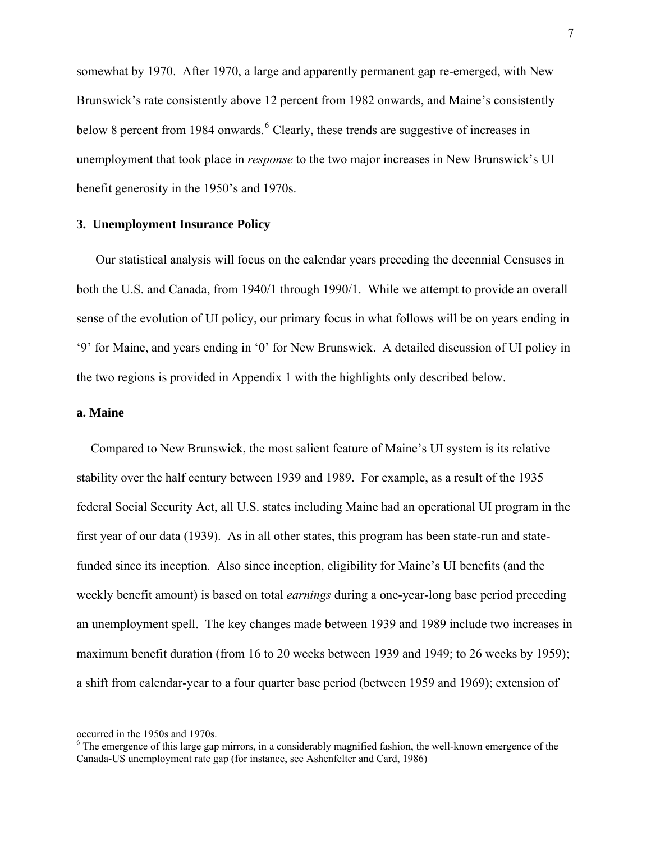somewhat by 1970. After 1970, a large and apparently permanent gap re-emerged, with New Brunswick's rate consistently above 12 percent from 1982 onwards, and Maine's consistently below 8 percent from 1984 onwards. <sup>[6](#page-7-0)</sup> Clearly, these trends are suggestive of increases in unemployment that took place in *response* to the two major increases in New Brunswick's UI benefit generosity in the 1950's and 1970s.

## **3. Unemployment Insurance Policy**

Our statistical analysis will focus on the calendar years preceding the decennial Censuses in both the U.S. and Canada, from 1940/1 through 1990/1. While we attempt to provide an overall sense of the evolution of UI policy, our primary focus in what follows will be on years ending in '9' for Maine, and years ending in '0' for New Brunswick. A detailed discussion of UI policy in the two regions is provided in Appendix 1 with the highlights only described below.

### **a. Maine**

Compared to New Brunswick, the most salient feature of Maine's UI system is its relative stability over the half century between 1939 and 1989. For example, as a result of the 1935 federal Social Security Act, all U.S. states including Maine had an operational UI program in the first year of our data (1939). As in all other states, this program has been state-run and statefunded since its inception. Also since inception, eligibility for Maine's UI benefits (and the weekly benefit amount) is based on total *earnings* during a one-year-long base period preceding an unemployment spell. The key changes made between 1939 and 1989 include two increases in maximum benefit duration (from 16 to 20 weeks between 1939 and 1949; to 26 weeks by 1959); a shift from calendar-year to a four quarter base period (between 1959 and 1969); extension of

occurred in the 1950s and 1970s.

<span id="page-7-0"></span><sup>&</sup>lt;sup>6</sup> The emergence of this large gap mirrors, in a considerably magnified fashion, the well-known emergence of the Canada-US unemployment rate gap (for instance, see Ashenfelter and Card, 1986)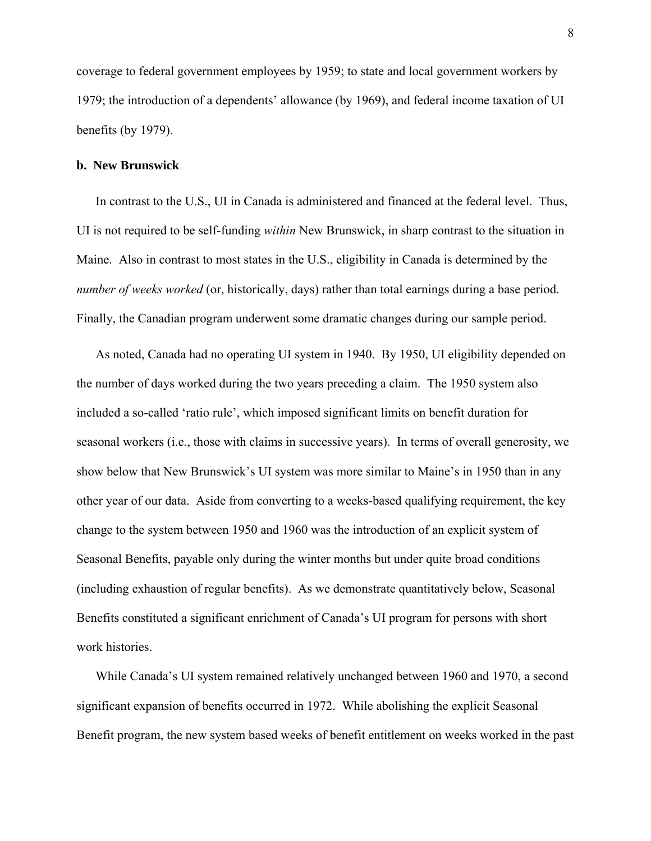coverage to federal government employees by 1959; to state and local government workers by 1979; the introduction of a dependents' allowance (by 1969), and federal income taxation of UI benefits (by 1979).

#### **b. New Brunswick**

In contrast to the U.S., UI in Canada is administered and financed at the federal level. Thus, UI is not required to be self-funding *within* New Brunswick, in sharp contrast to the situation in Maine. Also in contrast to most states in the U.S., eligibility in Canada is determined by the *number of weeks worked* (or, historically, days) rather than total earnings during a base period. Finally, the Canadian program underwent some dramatic changes during our sample period.

As noted, Canada had no operating UI system in 1940. By 1950, UI eligibility depended on the number of days worked during the two years preceding a claim. The 1950 system also included a so-called 'ratio rule', which imposed significant limits on benefit duration for seasonal workers (i.e., those with claims in successive years). In terms of overall generosity, we show below that New Brunswick's UI system was more similar to Maine's in 1950 than in any other year of our data. Aside from converting to a weeks-based qualifying requirement, the key change to the system between 1950 and 1960 was the introduction of an explicit system of Seasonal Benefits, payable only during the winter months but under quite broad conditions (including exhaustion of regular benefits). As we demonstrate quantitatively below, Seasonal Benefits constituted a significant enrichment of Canada's UI program for persons with short work histories.

While Canada's UI system remained relatively unchanged between 1960 and 1970, a second significant expansion of benefits occurred in 1972. While abolishing the explicit Seasonal Benefit program, the new system based weeks of benefit entitlement on weeks worked in the past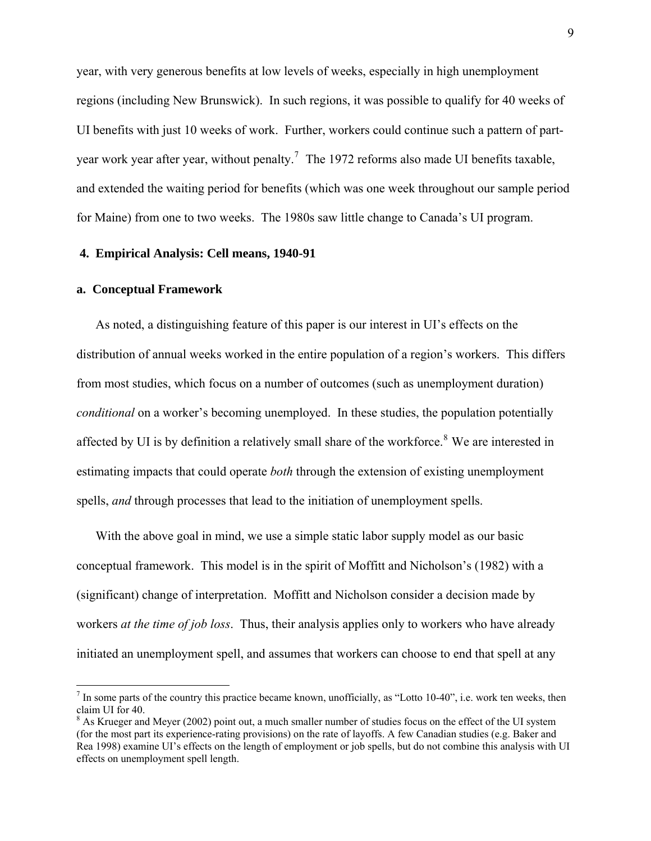year, with very generous benefits at low levels of weeks, especially in high unemployment regions (including New Brunswick). In such regions, it was possible to qualify for 40 weeks of UI benefits with just 10 weeks of work. Further, workers could continue such a pattern of part-year work year after year, without penalty.<sup>[7](#page-9-0)</sup> The 1972 reforms also made UI benefits taxable, and extended the waiting period for benefits (which was one week throughout our sample period for Maine) from one to two weeks. The 1980s saw little change to Canada's UI program.

## **4. Empirical Analysis: Cell means, 1940-91**

#### **a. Conceptual Framework**

 $\overline{a}$ 

As noted, a distinguishing feature of this paper is our interest in UI's effects on the distribution of annual weeks worked in the entire population of a region's workers. This differs from most studies, which focus on a number of outcomes (such as unemployment duration) *conditional* on a worker's becoming unemployed. In these studies, the population potentially affected by UI is by definition a relatively small share of the workforce.<sup>[8](#page-9-1)</sup> We are interested in estimating impacts that could operate *both* through the extension of existing unemployment spells, *and* through processes that lead to the initiation of unemployment spells.

With the above goal in mind, we use a simple static labor supply model as our basic conceptual framework. This model is in the spirit of Moffitt and Nicholson's (1982) with a (significant) change of interpretation. Moffitt and Nicholson consider a decision made by workers *at the time of job loss*. Thus, their analysis applies only to workers who have already initiated an unemployment spell, and assumes that workers can choose to end that spell at any

<span id="page-9-0"></span> $<sup>7</sup>$  In some parts of the country this practice became known, unofficially, as "Lotto 10-40", i.e. work ten weeks, then</sup> claim UI for 40.

<span id="page-9-1"></span> $8$  As Krueger and Meyer (2002) point out, a much smaller number of studies focus on the effect of the UI system (for the most part its experience-rating provisions) on the rate of layoffs. A few Canadian studies (e.g. Baker and Rea 1998) examine UI's effects on the length of employment or job spells, but do not combine this analysis with UI effects on unemployment spell length.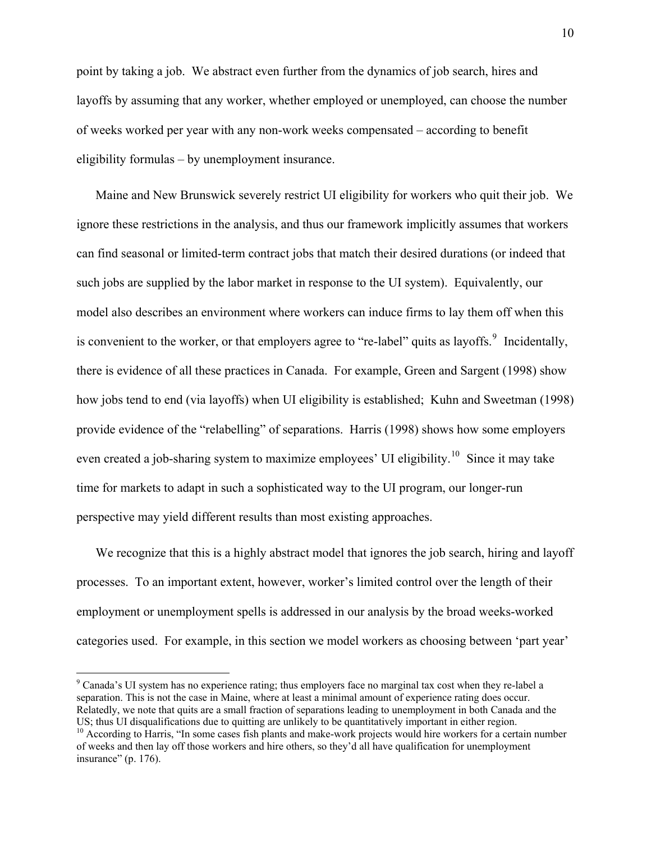point by taking a job. We abstract even further from the dynamics of job search, hires and layoffs by assuming that any worker, whether employed or unemployed, can choose the number of weeks worked per year with any non-work weeks compensated – according to benefit eligibility formulas – by unemployment insurance.

Maine and New Brunswick severely restrict UI eligibility for workers who quit their job. We ignore these restrictions in the analysis, and thus our framework implicitly assumes that workers can find seasonal or limited-term contract jobs that match their desired durations (or indeed that such jobs are supplied by the labor market in response to the UI system). Equivalently, our model also describes an environment where workers can induce firms to lay them off when this is convenient to the worker, or that employers agree to "re-label" quits as layoffs.  $9$  Incidentally, there is evidence of all these practices in Canada. For example, Green and Sargent (1998) show how jobs tend to end (via layoffs) when UI eligibility is established; Kuhn and Sweetman (1998) provide evidence of the "relabelling" of separations. Harris (1998) shows how some employers even created a job-sharing system to maximize employees' UI eligibility.<sup>[10](#page-10-1)</sup> Since it may take time for markets to adapt in such a sophisticated way to the UI program, our longer-run perspective may yield different results than most existing approaches.

We recognize that this is a highly abstract model that ignores the job search, hiring and layoff processes. To an important extent, however, worker's limited control over the length of their employment or unemployment spells is addressed in our analysis by the broad weeks-worked categories used. For example, in this section we model workers as choosing between 'part year'

<span id="page-10-0"></span><sup>&</sup>lt;sup>9</sup> Canada's UI system has no experience rating; thus employers face no marginal tax cost when they re-label a separation. This is not the case in Maine, where at least a minimal amount of experience rating does occur. Relatedly, we note that quits are a small fraction of separations leading to unemployment in both Canada and the US; thus UI disqualifications due to quitting are unlikely to be quantitatively important in either region.

<span id="page-10-1"></span><sup>&</sup>lt;sup>10</sup> According to Harris, "In some cases fish plants and make-work projects would hire workers for a certain number of weeks and then lay off those workers and hire others, so they'd all have qualification for unemployment insurance" (p. 176).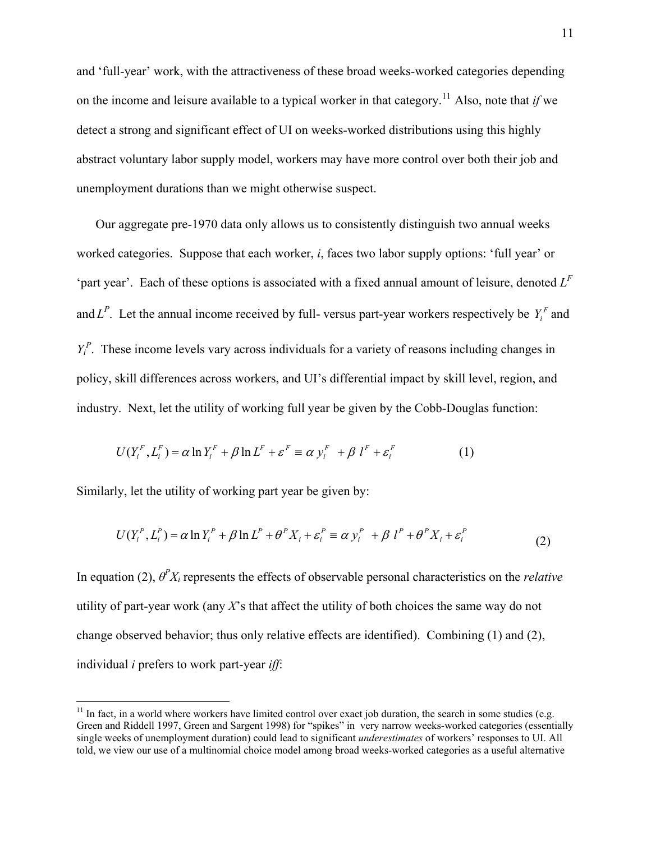and 'full-year' work, with the attractiveness of these broad weeks-worked categories depending on the income and leisure available to a typical worker in that category.<sup>[11](#page-11-0)</sup> Also, note that *if* we detect a strong and significant effect of UI on weeks-worked distributions using this highly abstract voluntary labor supply model, workers may have more control over both their job and unemployment durations than we might otherwise suspect.

Our aggregate pre-1970 data only allows us to consistently distinguish two annual weeks worked categories. Suppose that each worker, *i*, faces two labor supply options: 'full year' or 'part year'. Each of these options is associated with a fixed annual amount of leisure, denoted  $L^F$ and  $L^P$ . Let the annual income received by full-versus part-year workers respectively be  $Y_i^F$  and  $Y_i^P$ . These income levels vary across individuals for a variety of reasons including changes in policy, skill differences across workers, and UI's differential impact by skill level, region, and industry. Next, let the utility of working full year be given by the Cobb-Douglas function:

$$
U(Y_i^F, L_i^F) = \alpha \ln Y_i^F + \beta \ln L^F + \varepsilon^F \equiv \alpha y_i^F + \beta l^F + \varepsilon_i^F \tag{1}
$$

Similarly, let the utility of working part year be given by:

 $\overline{a}$ 

$$
U(Y_i^P, L_i^P) = \alpha \ln Y_i^P + \beta \ln L^P + \theta^P X_i + \varepsilon_i^P \equiv \alpha y_i^P + \beta l^P + \theta^P X_i + \varepsilon_i^P
$$
\n<sup>(2)</sup>

In equation (2), *θ<sup>P</sup> Xi* represents the effects of observable personal characteristics on the *relative* utility of part-year work (any *X*'s that affect the utility of both choices the same way do not change observed behavior; thus only relative effects are identified). Combining (1) and (2), individual *i* prefers to work part-year *iff*:

<span id="page-11-0"></span> $11$  In fact, in a world where workers have limited control over exact job duration, the search in some studies (e.g. Green and Riddell 1997, Green and Sargent 1998) for "spikes" in very narrow weeks-worked categories (essentially single weeks of unemployment duration) could lead to significant *underestimates* of workers' responses to UI. All told, we view our use of a multinomial choice model among broad weeks-worked categories as a useful alternative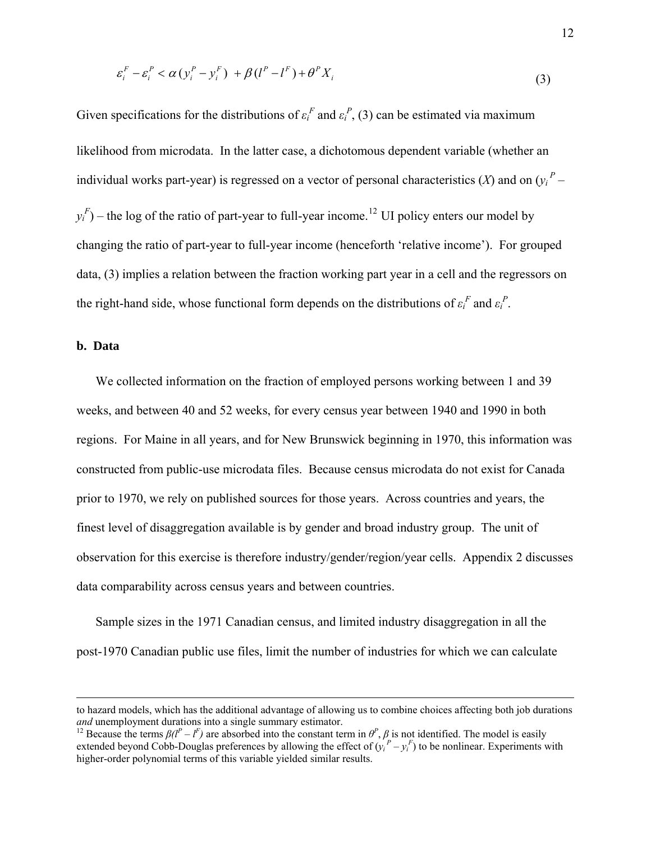$$
\varepsilon_i^F - \varepsilon_i^P < \alpha \left( y_i^P - y_i^F \right) + \beta \left( l^P - l^F \right) + \theta^P X_i \tag{3}
$$

Given specifications for the distributions of  $\varepsilon_i^F$  and  $\varepsilon_i^P$ , (3) can be estimated via maximum likelihood from microdata. In the latter case, a dichotomous dependent variable (whether an individual works part-year) is regressed on a vector of personal characteristics  $(X)$  and on  $(y<sub>i</sub><sup>P</sup>$  $y_i^F$ ) – the log of the ratio of part-year to full-year income.<sup>[12](#page-12-0)</sup> UI policy enters our model by changing the ratio of part-year to full-year income (henceforth 'relative income'). For grouped data, (3) implies a relation between the fraction working part year in a cell and the regressors on the right-hand side, whose functional form depends on the distributions of  $\varepsilon_i^F$  and  $\varepsilon_i^P$ .

### **b. Data**

 $\overline{a}$ 

We collected information on the fraction of employed persons working between 1 and 39 weeks, and between 40 and 52 weeks, for every census year between 1940 and 1990 in both regions. For Maine in all years, and for New Brunswick beginning in 1970, this information was constructed from public-use microdata files. Because census microdata do not exist for Canada prior to 1970, we rely on published sources for those years. Across countries and years, the finest level of disaggregation available is by gender and broad industry group. The unit of observation for this exercise is therefore industry/gender/region/year cells. Appendix 2 discusses data comparability across census years and between countries.

Sample sizes in the 1971 Canadian census, and limited industry disaggregation in all the post-1970 Canadian public use files, limit the number of industries for which we can calculate

to hazard models, which has the additional advantage of allowing us to combine choices affecting both job durations and unemployment durations into a single summary estimator. and unemployment durations into a single summary estimator.<br><sup>12</sup> Because the terms  $\beta(l^P - l^F)$  are absorbed into the constant term in  $\theta^P$ ,  $\beta$  is not identified. The model is easily

<span id="page-12-0"></span>extended beyond Cobb-Douglas preferences by allowing the effect of  $(y_i^P - y_i^F)$  to be nonlinear. Experiments with higher-order polynomial terms of this variable yielded similar results.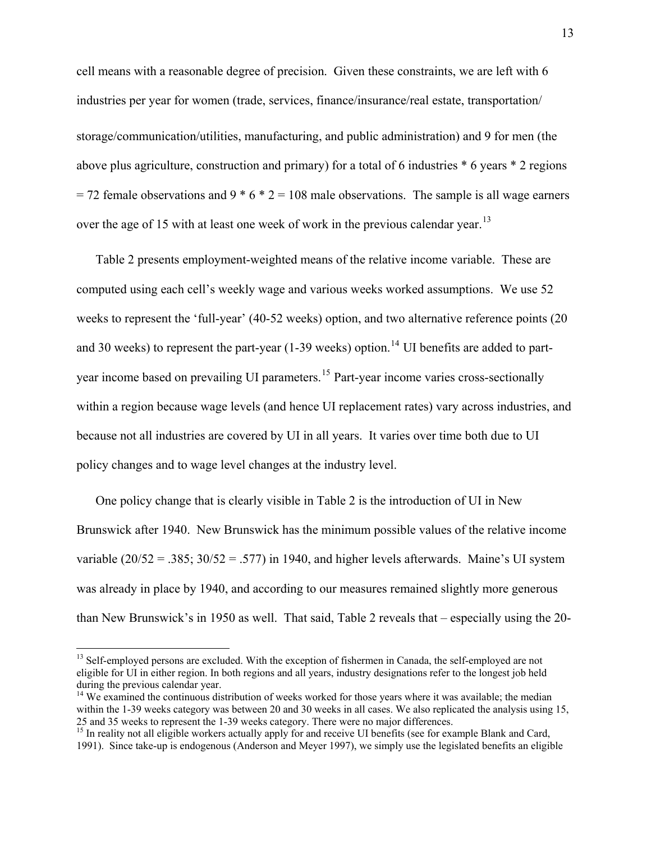cell means with a reasonable degree of precision. Given these constraints, we are left with 6 industries per year for women (trade, services, finance/insurance/real estate, transportation/ storage/communication/utilities, manufacturing, and public administration) and 9 for men (the above plus agriculture, construction and primary) for a total of 6 industries \* 6 years \* 2 regions  $= 72$  female observations and 9  $*$  6  $*$  2 = 108 male observations. The sample is all wage earners over the age of 15 with at least one week of work in the previous calendar year.<sup>[13](#page-13-0)</sup>

Table 2 presents employment-weighted means of the relative income variable. These are computed using each cell's weekly wage and various weeks worked assumptions. We use 52 weeks to represent the 'full-year' (40-52 weeks) option, and two alternative reference points (20 and 30 weeks) to represent the part-year  $(1-39$  weeks) option.<sup>[14](#page-13-1)</sup> UI benefits are added to part-year income based on prevailing UI parameters.<sup>[15](#page-13-2)</sup> Part-year income varies cross-sectionally within a region because wage levels (and hence UI replacement rates) vary across industries, and because not all industries are covered by UI in all years. It varies over time both due to UI policy changes and to wage level changes at the industry level.

One policy change that is clearly visible in Table 2 is the introduction of UI in New Brunswick after 1940. New Brunswick has the minimum possible values of the relative income variable  $(20/52 = .385; 30/52 = .577)$  in 1940, and higher levels afterwards. Maine's UI system was already in place by 1940, and according to our measures remained slightly more generous than New Brunswick's in 1950 as well. That said, Table 2 reveals that – especially using the 20-

<span id="page-13-0"></span><sup>&</sup>lt;sup>13</sup> Self-employed persons are excluded. With the exception of fishermen in Canada, the self-employed are not eligible for UI in either region. In both regions and all years, industry designations refer to the longest job held during the previous calendar year.

<span id="page-13-1"></span><sup>&</sup>lt;sup>14</sup> We examined the continuous distribution of weeks worked for those years where it was available; the median within the 1-39 weeks category was between 20 and 30 weeks in all cases. We also replicated the analysis using 15, 25 and 35 weeks to represent the 1-39 weeks category. There were no major differences. 15 In reality not all eligible workers actually apply for and receive UI benefits (see for example Blank and Card,

<span id="page-13-2"></span><sup>1991).</sup> Since take-up is endogenous (Anderson and Meyer 1997), we simply use the legislated benefits an eligible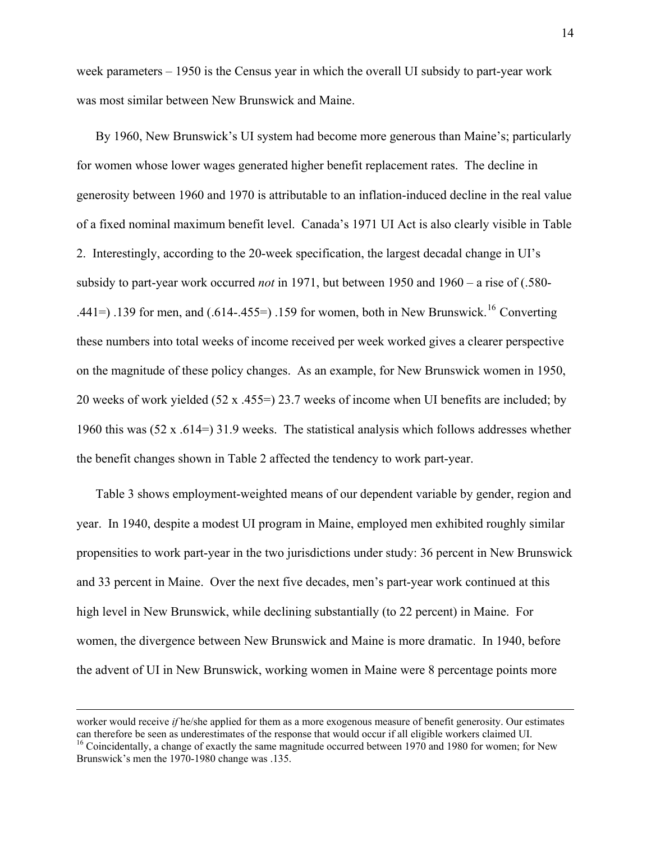week parameters – 1950 is the Census year in which the overall UI subsidy to part-year work was most similar between New Brunswick and Maine.

By 1960, New Brunswick's UI system had become more generous than Maine's; particularly for women whose lower wages generated higher benefit replacement rates. The decline in generosity between 1960 and 1970 is attributable to an inflation-induced decline in the real value of a fixed nominal maximum benefit level. Canada's 1971 UI Act is also clearly visible in Table 2. Interestingly, according to the 20-week specification, the largest decadal change in UI's subsidy to part-year work occurred *not* in 1971, but between 1950 and 1960 – a rise of (.580- .441=) .139 for men, and  $(.614-.455=)$  .159 for women, both in New Brunswick.<sup>[16](#page-14-0)</sup> Converting these numbers into total weeks of income received per week worked gives a clearer perspective on the magnitude of these policy changes. As an example, for New Brunswick women in 1950, 20 weeks of work yielded (52 x .455=) 23.7 weeks of income when UI benefits are included; by 1960 this was (52 x .614=) 31.9 weeks. The statistical analysis which follows addresses whether the benefit changes shown in Table 2 affected the tendency to work part-year.

Table 3 shows employment-weighted means of our dependent variable by gender, region and year. In 1940, despite a modest UI program in Maine, employed men exhibited roughly similar propensities to work part-year in the two jurisdictions under study: 36 percent in New Brunswick and 33 percent in Maine. Over the next five decades, men's part-year work continued at this high level in New Brunswick, while declining substantially (to 22 percent) in Maine. For women, the divergence between New Brunswick and Maine is more dramatic. In 1940, before the advent of UI in New Brunswick, working women in Maine were 8 percentage points more

<span id="page-14-0"></span>worker would receive *if* he/she applied for them as a more exogenous measure of benefit generosity. Our estimates can therefore be seen as underestimates of the response that would occur if all eligible workers claimed UI. 16 Coincidentally, a change of exactly the same magnitude occurred between 1970 and 1980 for women; for New Brunswick's men the 1970-1980 change was .135.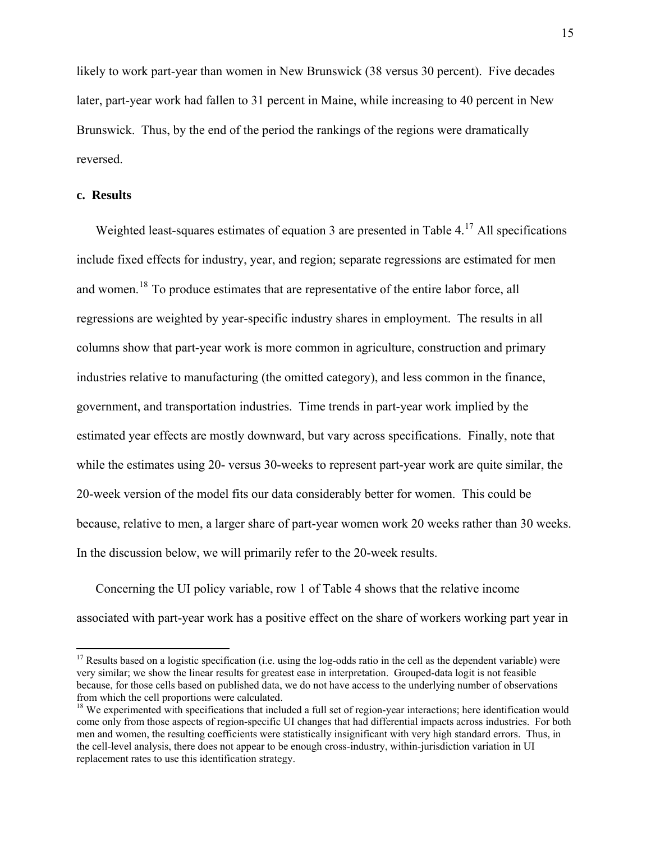likely to work part-year than women in New Brunswick (38 versus 30 percent). Five decades later, part-year work had fallen to 31 percent in Maine, while increasing to 40 percent in New Brunswick. Thus, by the end of the period the rankings of the regions were dramatically reversed.

## **c. Results**

 $\overline{a}$ 

Weighted least-squares estimates of equation 3 are presented in Table 4.<sup>[17](#page-15-0)</sup> All specifications include fixed effects for industry, year, and region; separate regressions are estimated for men and women.<sup>[18](#page-15-1)</sup> To produce estimates that are representative of the entire labor force, all regressions are weighted by year-specific industry shares in employment. The results in all columns show that part-year work is more common in agriculture, construction and primary industries relative to manufacturing (the omitted category), and less common in the finance, government, and transportation industries. Time trends in part-year work implied by the estimated year effects are mostly downward, but vary across specifications. Finally, note that while the estimates using 20- versus 30-weeks to represent part-year work are quite similar, the 20-week version of the model fits our data considerably better for women. This could be because, relative to men, a larger share of part-year women work 20 weeks rather than 30 weeks. In the discussion below, we will primarily refer to the 20-week results.

Concerning the UI policy variable, row 1 of Table 4 shows that the relative income associated with part-year work has a positive effect on the share of workers working part year in

<span id="page-15-0"></span> $17$  Results based on a logistic specification (i.e. using the log-odds ratio in the cell as the dependent variable) were very similar; we show the linear results for greatest ease in interpretation. Grouped-data logit is not feasible because, for those cells based on published data, we do not have access to the underlying number of observations from which the cell proportions were calculated.

<span id="page-15-1"></span><sup>&</sup>lt;sup>18</sup> We experimented with specifications that included a full set of region-year interactions; here identification would come only from those aspects of region-specific UI changes that had differential impacts across industries. For both men and women, the resulting coefficients were statistically insignificant with very high standard errors. Thus, in the cell-level analysis, there does not appear to be enough cross-industry, within-jurisdiction variation in UI replacement rates to use this identification strategy.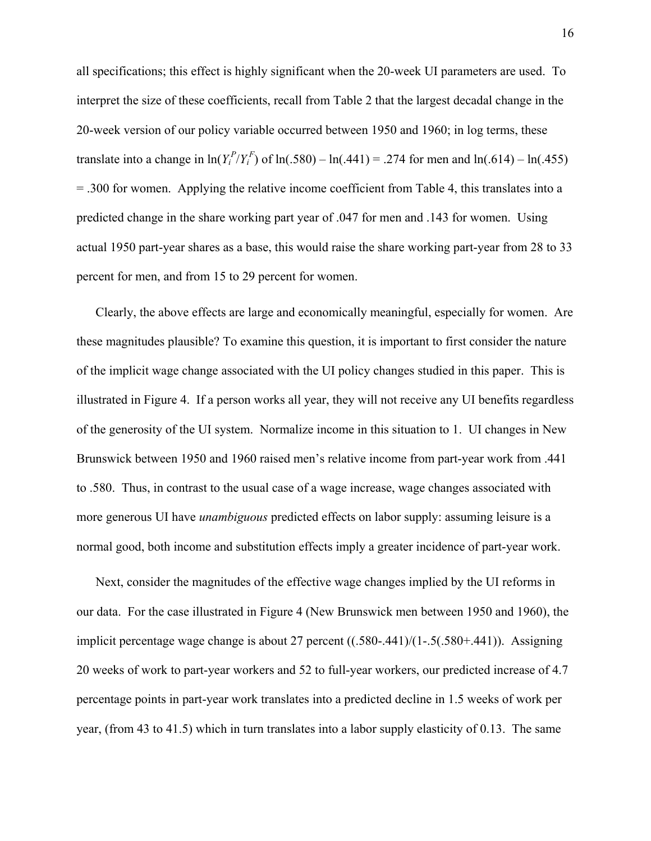all specifications; this effect is highly significant when the 20-week UI parameters are used. To interpret the size of these coefficients, recall from Table 2 that the largest decadal change in the 20-week version of our policy variable occurred between 1950 and 1960; in log terms, these translate into a change in  $ln(Y_i^P/Y_i^F)$  of  $ln(.580) - ln(.441) = .274$  for men and  $ln(.614) - ln(.455)$ = .300 for women. Applying the relative income coefficient from Table 4, this translates into a predicted change in the share working part year of .047 for men and .143 for women. Using actual 1950 part-year shares as a base, this would raise the share working part-year from 28 to 33 percent for men, and from 15 to 29 percent for women.

Clearly, the above effects are large and economically meaningful, especially for women. Are these magnitudes plausible? To examine this question, it is important to first consider the nature of the implicit wage change associated with the UI policy changes studied in this paper. This is illustrated in Figure 4. If a person works all year, they will not receive any UI benefits regardless of the generosity of the UI system. Normalize income in this situation to 1. UI changes in New Brunswick between 1950 and 1960 raised men's relative income from part-year work from .441 to .580. Thus, in contrast to the usual case of a wage increase, wage changes associated with more generous UI have *unambiguous* predicted effects on labor supply: assuming leisure is a normal good, both income and substitution effects imply a greater incidence of part-year work.

Next, consider the magnitudes of the effective wage changes implied by the UI reforms in our data. For the case illustrated in Figure 4 (New Brunswick men between 1950 and 1960), the implicit percentage wage change is about 27 percent ((.580-.441)/(1-.5(.580+.441)). Assigning 20 weeks of work to part-year workers and 52 to full-year workers, our predicted increase of 4.7 percentage points in part-year work translates into a predicted decline in 1.5 weeks of work per year, (from 43 to 41.5) which in turn translates into a labor supply elasticity of 0.13. The same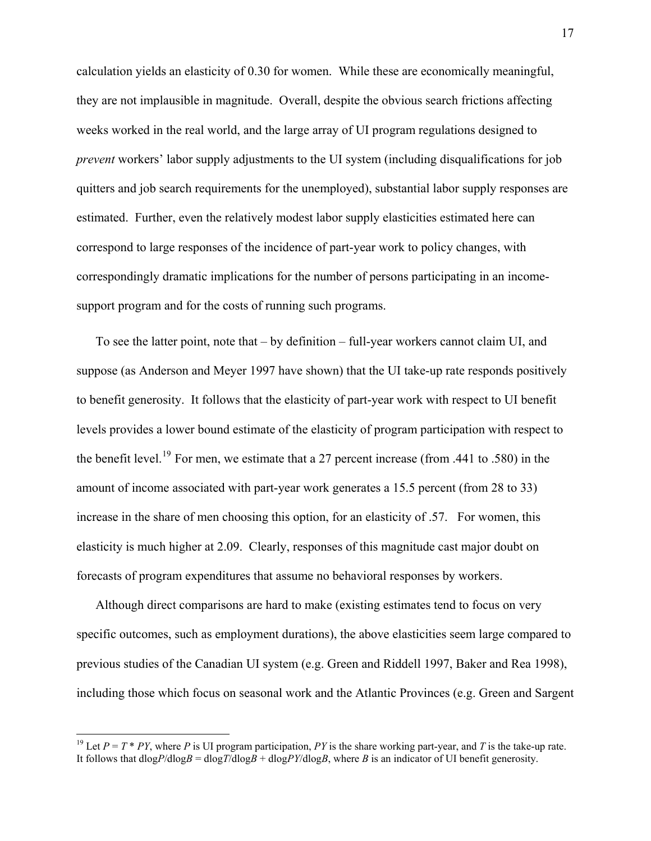calculation yields an elasticity of 0.30 for women. While these are economically meaningful, they are not implausible in magnitude. Overall, despite the obvious search frictions affecting weeks worked in the real world, and the large array of UI program regulations designed to *prevent* workers' labor supply adjustments to the UI system (including disqualifications for job quitters and job search requirements for the unemployed), substantial labor supply responses are estimated. Further, even the relatively modest labor supply elasticities estimated here can correspond to large responses of the incidence of part-year work to policy changes, with correspondingly dramatic implications for the number of persons participating in an incomesupport program and for the costs of running such programs.

To see the latter point, note that – by definition – full-year workers cannot claim UI, and suppose (as Anderson and Meyer 1997 have shown) that the UI take-up rate responds positively to benefit generosity. It follows that the elasticity of part-year work with respect to UI benefit levels provides a lower bound estimate of the elasticity of program participation with respect to the benefit level.<sup>[19](#page-17-0)</sup> For men, we estimate that a 27 percent increase (from .441 to .580) in the amount of income associated with part-year work generates a 15.5 percent (from 28 to 33) increase in the share of men choosing this option, for an elasticity of .57. For women, this elasticity is much higher at 2.09. Clearly, responses of this magnitude cast major doubt on forecasts of program expenditures that assume no behavioral responses by workers.

Although direct comparisons are hard to make (existing estimates tend to focus on very specific outcomes, such as employment durations), the above elasticities seem large compared to previous studies of the Canadian UI system (e.g. Green and Riddell 1997, Baker and Rea 1998), including those which focus on seasonal work and the Atlantic Provinces (e.g. Green and Sargent

<span id="page-17-0"></span><sup>&</sup>lt;sup>19</sup> Let  $P = T * PY$ , where  $P$  is UI program participation,  $PY$  is the share working part-year, and  $T$  is the take-up rate. It follows that  $dlogP/dlogB = dlogT/dlogB + dlogPY/dlogB$ , where *B* is an indicator of UI benefit generosity.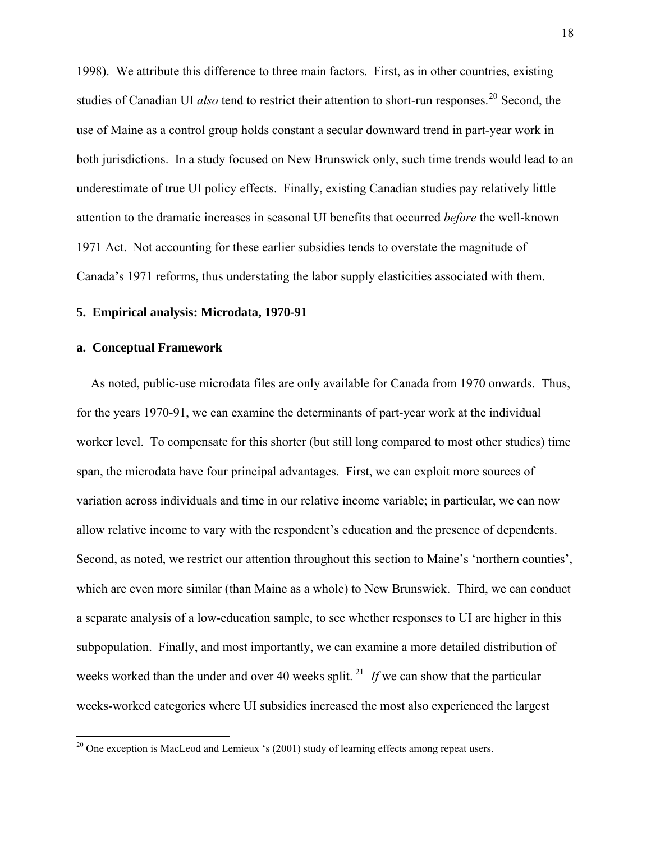1998). We attribute this difference to three main factors. First, as in other countries, existing studies of Canadian UI *also* tend to restrict their attention to short-run responses.<sup>[20](#page-18-0)</sup> Second, the use of Maine as a control group holds constant a secular downward trend in part-year work in both jurisdictions. In a study focused on New Brunswick only, such time trends would lead to an underestimate of true UI policy effects. Finally, existing Canadian studies pay relatively little attention to the dramatic increases in seasonal UI benefits that occurred *before* the well-known 1971 Act. Not accounting for these earlier subsidies tends to overstate the magnitude of Canada's 1971 reforms, thus understating the labor supply elasticities associated with them.

## **5. Empirical analysis: Microdata, 1970-91**

## **a. Conceptual Framework**

<span id="page-18-1"></span> $\overline{a}$ 

As noted, public-use microdata files are only available for Canada from 1970 onwards. Thus, for the years 1970-91, we can examine the determinants of part-year work at the individual worker level. To compensate for this shorter (but still long compared to most other studies) time span, the microdata have four principal advantages. First, we can exploit more sources of variation across individuals and time in our relative income variable; in particular, we can now allow relative income to vary with the respondent's education and the presence of dependents. Second, as noted, we restrict our attention throughout this section to Maine's 'northern counties', which are even more similar (than Maine as a whole) to New Brunswick. Third, we can conduct a separate analysis of a low-education sample, to see whether responses to UI are higher in this subpopulation. Finally, and most importantly, we can examine a more detailed distribution of weeks worked than the under and over 40 weeks split.<sup>[21](#page-18-1)</sup> If we can show that the particular weeks-worked categories where UI subsidies increased the most also experienced the largest

<span id="page-18-0"></span><sup>&</sup>lt;sup>20</sup> One exception is MacLeod and Lemieux 's (2001) study of learning effects among repeat users.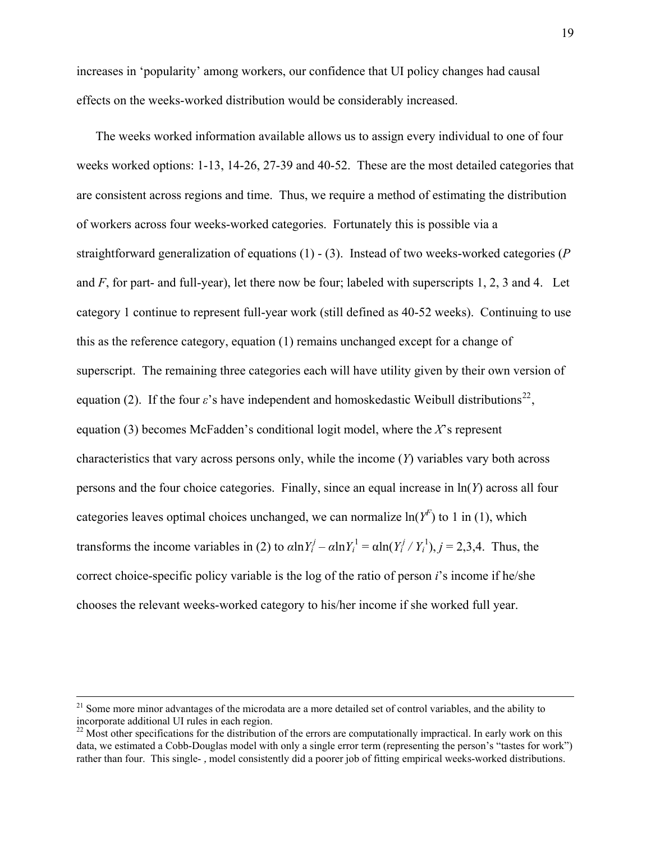increases in 'popularity' among workers, our confidence that UI policy changes had causal effects on the weeks-worked distribution would be considerably increased.

The weeks worked information available allows us to assign every individual to one of four weeks worked options: 1-13, 14-26, 27-39 and 40-52. These are the most detailed categories that are consistent across regions and time. Thus, we require a method of estimating the distribution of workers across four weeks-worked categories. Fortunately this is possible via a straightforward generalization of equations (1) - (3). Instead of two weeks-worked categories (*P* and *F*, for part- and full-year), let there now be four; labeled with superscripts 1, 2, 3 and 4. Let category 1 continue to represent full-year work (still defined as 40-52 weeks). Continuing to use this as the reference category, equation (1) remains unchanged except for a change of superscript. The remaining three categories each will have utility given by their own version of equation (2). If the four  $\varepsilon$ 's have independent and homoskedastic Weibull distributions<sup>[22](#page-19-0)</sup>, equation (3) becomes McFadden's conditional logit model, where the *X*'s represent characteristics that vary across persons only, while the income (*Y*) variables vary both across persons and the four choice categories. Finally, since an equal increase in ln(*Y*) across all four categories leaves optimal choices unchanged, we can normalize  $\ln(Y^F)$  to 1 in (1), which transforms the income variables in (2) to  $\alpha \ln Y_i^j - \alpha \ln Y_i^1 = \alpha \ln(Y_i^j / Y_i^1), j = 2,3,4$ . Thus, the correct choice-specific policy variable is the log of the ratio of person *i*'s income if he/she chooses the relevant weeks-worked category to his/her income if she worked full year.

<sup>&</sup>lt;sup>21</sup> Some more minor advantages of the microdata are a more detailed set of control variables, and the ability to incorporate additional UI rules in each region.

<span id="page-19-0"></span> $22$  Most other specifications for the distribution of the errors are computationally impractical. In early work on this data, we estimated a Cobb-Douglas model with only a single error term (representing the person's "tastes for work") rather than four. This single- , model consistently did a poorer job of fitting empirical weeks-worked distributions.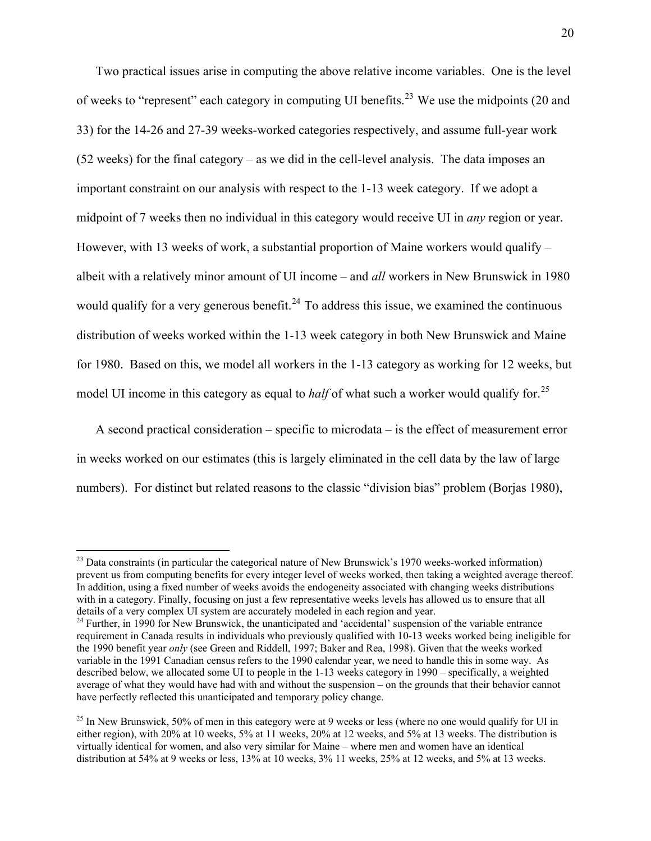Two practical issues arise in computing the above relative income variables. One is the level of weeks to "represent" each category in computing UI benefits.<sup>[23](#page-20-0)</sup> We use the midpoints (20 and 33) for the 14-26 and 27-39 weeks-worked categories respectively, and assume full-year work (52 weeks) for the final category – as we did in the cell-level analysis. The data imposes an important constraint on our analysis with respect to the 1-13 week category. If we adopt a midpoint of 7 weeks then no individual in this category would receive UI in *any* region or year. However, with 13 weeks of work, a substantial proportion of Maine workers would qualify – albeit with a relatively minor amount of UI income – and *all* workers in New Brunswick in 1980 would qualify for a very generous benefit.<sup>[24](#page-20-1)</sup> To address this issue, we examined the continuous distribution of weeks worked within the 1-13 week category in both New Brunswick and Maine for 1980. Based on this, we model all workers in the 1-13 category as working for 12 weeks, but model UI income in this category as equal to *half* of what such a worker would qualify for.<sup>[25](#page-20-2)</sup>

A second practical consideration – specific to microdata – is the effect of measurement error in weeks worked on our estimates (this is largely eliminated in the cell data by the law of large numbers). For distinct but related reasons to the classic "division bias" problem (Borjas 1980),

<span id="page-20-0"></span> $^{23}$  Data constraints (in particular the categorical nature of New Brunswick's 1970 weeks-worked information) prevent us from computing benefits for every integer level of weeks worked, then taking a weighted average thereof. In addition, using a fixed number of weeks avoids the endogeneity associated with changing weeks distributions with in a category. Finally, focusing on just a few representative weeks levels has allowed us to ensure that all details of a very complex UI system are accurately modeled in each region and year.<br><sup>24</sup> Further, in 1990 for New Brunswick, the unanticipated and 'accidental' suspension of the variable entrance

<span id="page-20-1"></span>requirement in Canada results in individuals who previously qualified with 10-13 weeks worked being ineligible for the 1990 benefit year *only* (see Green and Riddell, 1997; Baker and Rea, 1998). Given that the weeks worked variable in the 1991 Canadian census refers to the 1990 calendar year, we need to handle this in some way. As described below, we allocated some UI to people in the 1-13 weeks category in 1990 – specifically, a weighted average of what they would have had with and without the suspension – on the grounds that their behavior cannot have perfectly reflected this unanticipated and temporary policy change.

<span id="page-20-2"></span> $^{25}$  In New Brunswick, 50% of men in this category were at 9 weeks or less (where no one would qualify for UI in either region), with 20% at 10 weeks, 5% at 11 weeks, 20% at 12 weeks, and 5% at 13 weeks. The distribution is virtually identical for women, and also very similar for Maine – where men and women have an identical distribution at 54% at 9 weeks or less, 13% at 10 weeks, 3% 11 weeks, 25% at 12 weeks, and 5% at 13 weeks.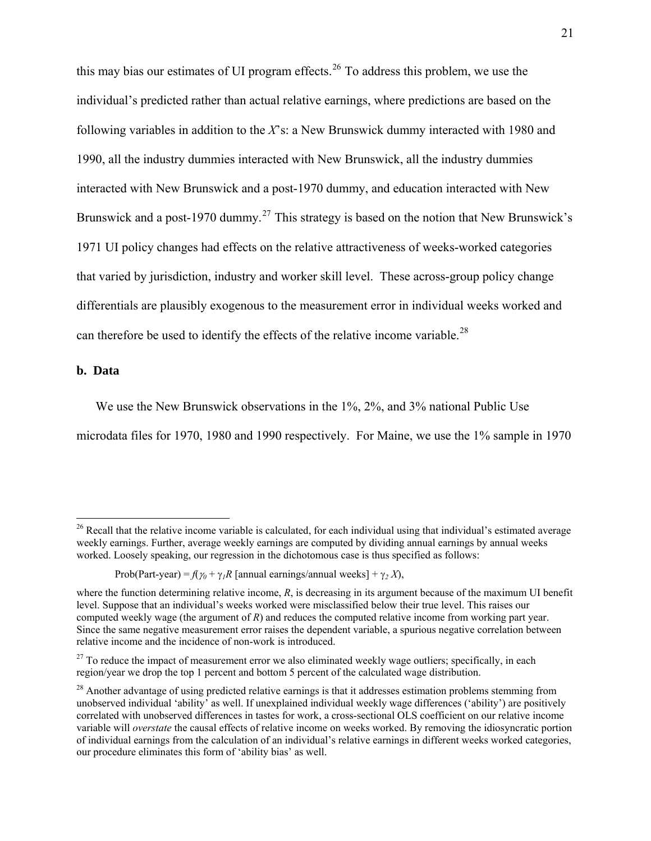this may bias our estimates of UI program effects.<sup>[26](#page-21-0)</sup> To address this problem, we use the individual's predicted rather than actual relative earnings, where predictions are based on the following variables in addition to the *X*'s: a New Brunswick dummy interacted with 1980 and 1990, all the industry dummies interacted with New Brunswick, all the industry dummies interacted with New Brunswick and a post-1970 dummy, and education interacted with New Brunswick and a post-1970 dummy.<sup>[27](#page-21-1)</sup> This strategy is based on the notion that New Brunswick's 1971 UI policy changes had effects on the relative attractiveness of weeks-worked categories that varied by jurisdiction, industry and worker skill level. These across-group policy change differentials are plausibly exogenous to the measurement error in individual weeks worked and can therefore be used to identify the effects of the relative income variable.<sup>[28](#page-21-2)</sup>

#### **b. Data**

 $\overline{a}$ 

We use the New Brunswick observations in the 1%, 2%, and 3% national Public Use microdata files for 1970, 1980 and 1990 respectively. For Maine, we use the 1% sample in 1970

<span id="page-21-0"></span><sup>&</sup>lt;sup>26</sup> Recall that the relative income variable is calculated, for each individual using that individual's estimated average weekly earnings. Further, average weekly earnings are computed by dividing annual earnings by annual weeks worked. Loosely speaking, our regression in the dichotomous case is thus specified as follows:

Prob(Part-year) =  $f(\gamma_0 + \gamma_1 R)$  [annual earnings/annual weeks] +  $\gamma_2 X$ ),

where the function determining relative income, *R*, is decreasing in its argument because of the maximum UI benefit level. Suppose that an individual's weeks worked were misclassified below their true level. This raises our computed weekly wage (the argument of *R*) and reduces the computed relative income from working part year. Since the same negative measurement error raises the dependent variable, a spurious negative correlation between relative income and the incidence of non-work is introduced.

<span id="page-21-1"></span> $27$  To reduce the impact of measurement error we also eliminated weekly wage outliers; specifically, in each region/year we drop the top 1 percent and bottom 5 percent of the calculated wage distribution.

<span id="page-21-2"></span> $^{28}$  Another advantage of using predicted relative earnings is that it addresses estimation problems stemming from unobserved individual 'ability' as well. If unexplained individual weekly wage differences ('ability') are positively correlated with unobserved differences in tastes for work, a cross-sectional OLS coefficient on our relative income variable will *overstate* the causal effects of relative income on weeks worked. By removing the idiosyncratic portion of individual earnings from the calculation of an individual's relative earnings in different weeks worked categories, our procedure eliminates this form of 'ability bias' as well.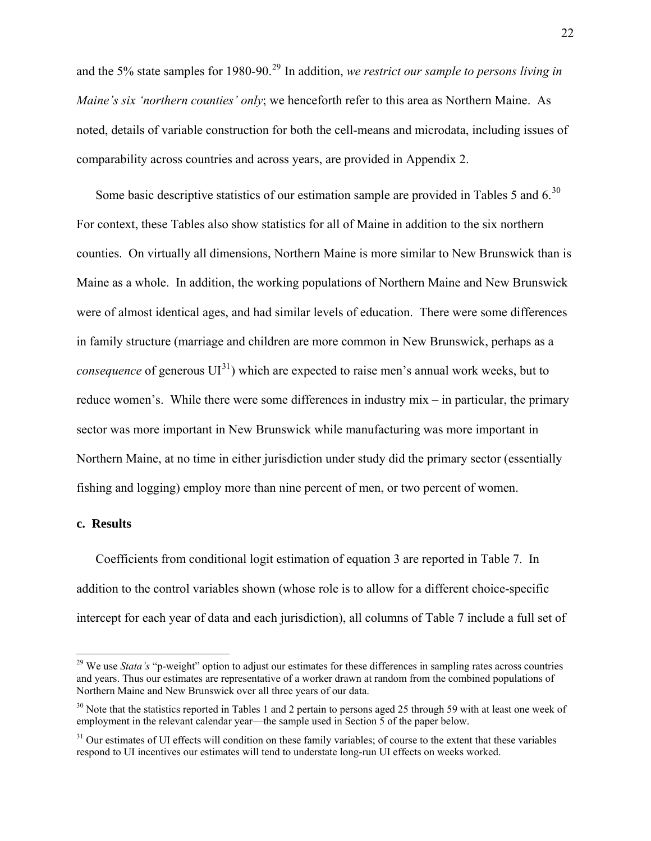and the 5% state samples for 1980-90.<sup>[29](#page-22-0)</sup> In addition, *we restrict our sample to persons living in Maine's six 'northern counties' only*; we henceforth refer to this area as Northern Maine. As noted, details of variable construction for both the cell-means and microdata, including issues of comparability across countries and across years, are provided in Appendix 2.

Some basic descriptive statistics of our estimation sample are provided in Tables 5 and 6.<sup>[30](#page-22-1)</sup> For context, these Tables also show statistics for all of Maine in addition to the six northern counties. On virtually all dimensions, Northern Maine is more similar to New Brunswick than is Maine as a whole. In addition, the working populations of Northern Maine and New Brunswick were of almost identical ages, and had similar levels of education. There were some differences in family structure (marriage and children are more common in New Brunswick, perhaps as a *consequence* of generous  $UI^{31}$  $UI^{31}$  $UI^{31}$ ) which are expected to raise men's annual work weeks, but to reduce women's. While there were some differences in industry mix – in particular, the primary sector was more important in New Brunswick while manufacturing was more important in Northern Maine, at no time in either jurisdiction under study did the primary sector (essentially fishing and logging) employ more than nine percent of men, or two percent of women.

## **c. Results**

 $\overline{a}$ 

Coefficients from conditional logit estimation of equation 3 are reported in Table 7. In addition to the control variables shown (whose role is to allow for a different choice-specific intercept for each year of data and each jurisdiction), all columns of Table 7 include a full set of

<span id="page-22-0"></span><sup>&</sup>lt;sup>29</sup> We use *Stata's* "p-weight" option to adjust our estimates for these differences in sampling rates across countries and years. Thus our estimates are representative of a worker drawn at random from the combined populations of Northern Maine and New Brunswick over all three years of our data.

<span id="page-22-1"></span> $30$  Note that the statistics reported in Tables 1 and 2 pertain to persons aged 25 through 59 with at least one week of employment in the relevant calendar year—the sample used in Section 5 of the paper below.

<span id="page-22-2"></span><sup>&</sup>lt;sup>31</sup> Our estimates of UI effects will condition on these family variables; of course to the extent that these variables respond to UI incentives our estimates will tend to understate long-run UI effects on weeks worked.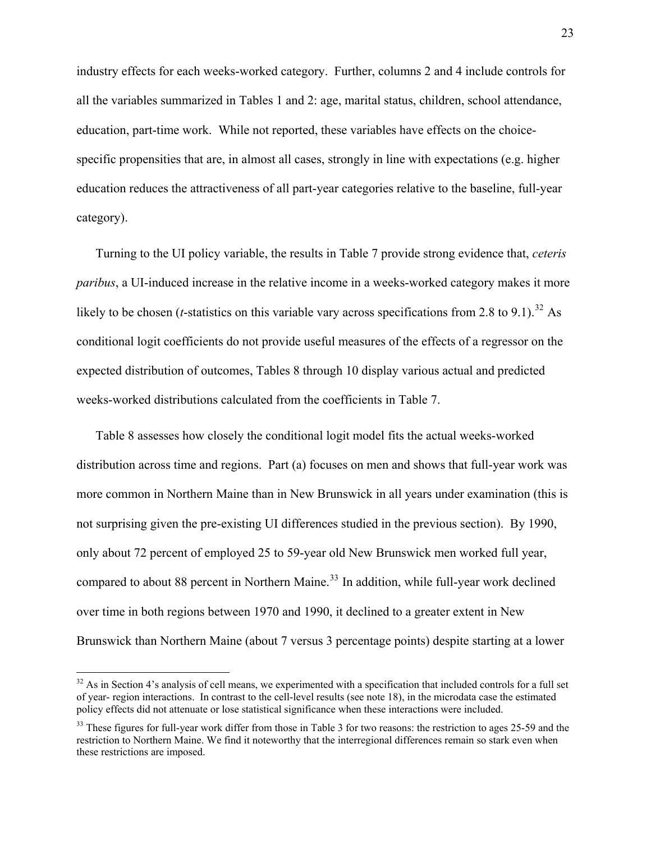industry effects for each weeks-worked category. Further, columns 2 and 4 include controls for all the variables summarized in Tables 1 and 2: age, marital status, children, school attendance, education, part-time work. While not reported, these variables have effects on the choicespecific propensities that are, in almost all cases, strongly in line with expectations (e.g. higher education reduces the attractiveness of all part-year categories relative to the baseline, full-year category).

Turning to the UI policy variable, the results in Table 7 provide strong evidence that, *ceteris paribus*, a UI-induced increase in the relative income in a weeks-worked category makes it more likely to be chosen (*t*-statistics on this variable vary across specifications from 2.8 to 9.1).<sup>[32](#page-23-0)</sup> As conditional logit coefficients do not provide useful measures of the effects of a regressor on the expected distribution of outcomes, Tables 8 through 10 display various actual and predicted weeks-worked distributions calculated from the coefficients in Table 7.

Table 8 assesses how closely the conditional logit model fits the actual weeks-worked distribution across time and regions. Part (a) focuses on men and shows that full-year work was more common in Northern Maine than in New Brunswick in all years under examination (this is not surprising given the pre-existing UI differences studied in the previous section). By 1990, only about 72 percent of employed 25 to 59-year old New Brunswick men worked full year, compared to about 88 percent in Northern Maine.<sup>[33](#page-23-1)</sup> In addition, while full-year work declined over time in both regions between 1970 and 1990, it declined to a greater extent in New Brunswick than Northern Maine (about 7 versus 3 percentage points) despite starting at a lower

<span id="page-23-0"></span> $32$  As in Section 4's analysis of cell means, we experimented with a specification that included controls for a full set of year- region interactions. In contrast to the cell-level results (see note 18), in the microdata case the estimated policy effects did not attenuate or lose statistical significance when these interactions were included.

<span id="page-23-1"></span><sup>&</sup>lt;sup>33</sup> These figures for full-year work differ from those in Table 3 for two reasons: the restriction to ages 25-59 and the restriction to Northern Maine. We find it noteworthy that the interregional differences remain so stark even when these restrictions are imposed.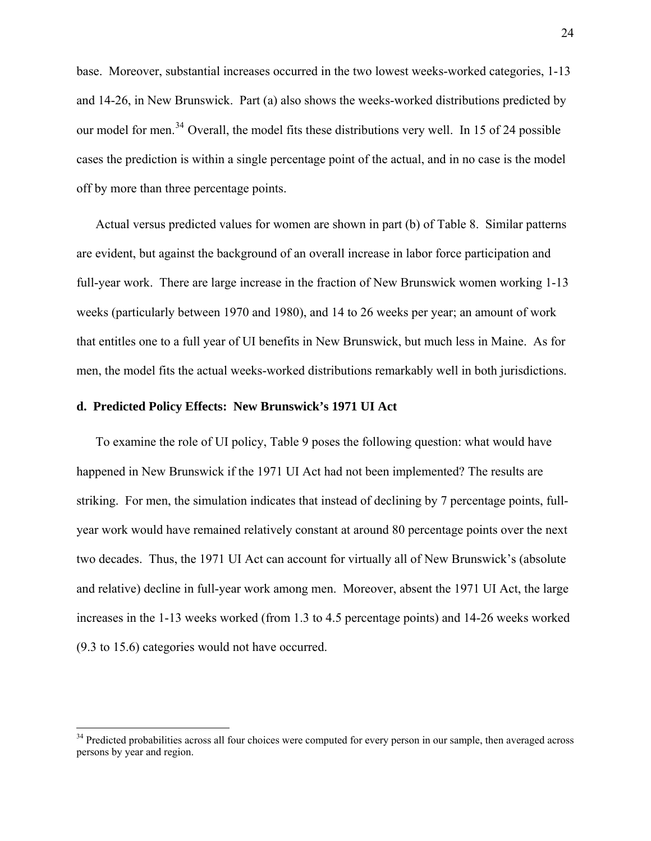base. Moreover, substantial increases occurred in the two lowest weeks-worked categories, 1-13 and 14-26, in New Brunswick. Part (a) also shows the weeks-worked distributions predicted by our model for men.<sup>[34](#page-24-0)</sup> Overall, the model fits these distributions very well. In 15 of 24 possible cases the prediction is within a single percentage point of the actual, and in no case is the model off by more than three percentage points.

Actual versus predicted values for women are shown in part (b) of Table 8. Similar patterns are evident, but against the background of an overall increase in labor force participation and full-year work. There are large increase in the fraction of New Brunswick women working 1-13 weeks (particularly between 1970 and 1980), and 14 to 26 weeks per year; an amount of work that entitles one to a full year of UI benefits in New Brunswick, but much less in Maine. As for men, the model fits the actual weeks-worked distributions remarkably well in both jurisdictions.

## **d. Predicted Policy Effects: New Brunswick's 1971 UI Act**

 $\overline{a}$ 

To examine the role of UI policy, Table 9 poses the following question: what would have happened in New Brunswick if the 1971 UI Act had not been implemented? The results are striking. For men, the simulation indicates that instead of declining by 7 percentage points, fullyear work would have remained relatively constant at around 80 percentage points over the next two decades. Thus, the 1971 UI Act can account for virtually all of New Brunswick's (absolute and relative) decline in full-year work among men. Moreover, absent the 1971 UI Act, the large increases in the 1-13 weeks worked (from 1.3 to 4.5 percentage points) and 14-26 weeks worked (9.3 to 15.6) categories would not have occurred.

<span id="page-24-0"></span><sup>&</sup>lt;sup>34</sup> Predicted probabilities across all four choices were computed for every person in our sample, then averaged across persons by year and region.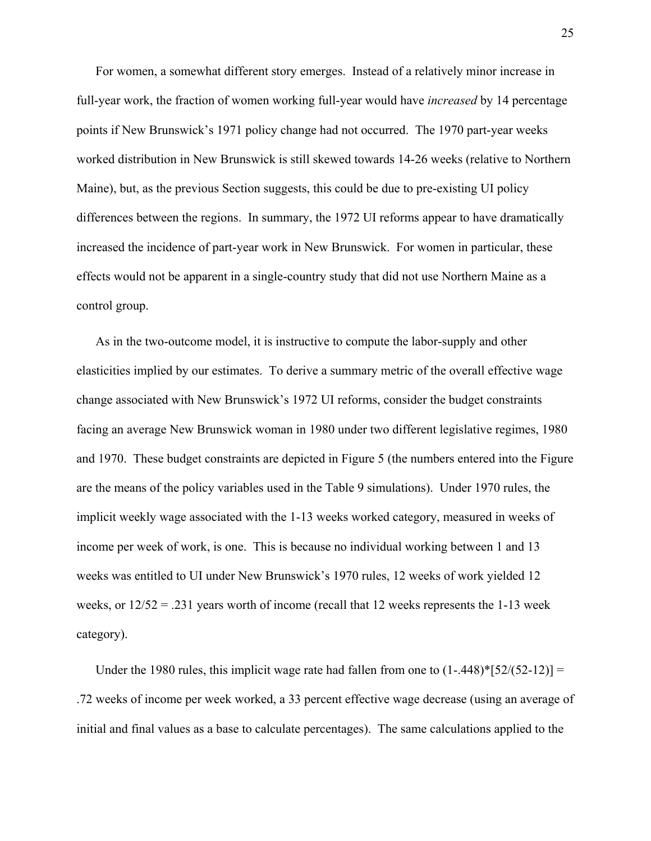For women, a somewhat different story emerges. Instead of a relatively minor increase in full-year work, the fraction of women working full-year would have *increased* by 14 percentage points if New Brunswick's 1971 policy change had not occurred. The 1970 part-year weeks worked distribution in New Brunswick is still skewed towards 14-26 weeks (relative to Northern Maine), but, as the previous Section suggests, this could be due to pre-existing UI policy differences between the regions. In summary, the 1972 UI reforms appear to have dramatically increased the incidence of part-year work in New Brunswick. For women in particular, these effects would not be apparent in a single-country study that did not use Northern Maine as a control group.

As in the two-outcome model, it is instructive to compute the labor-supply and other elasticities implied by our estimates. To derive a summary metric of the overall effective wage change associated with New Brunswick's 1972 UI reforms, consider the budget constraints facing an average New Brunswick woman in 1980 under two different legislative regimes, 1980 and 1970. These budget constraints are depicted in Figure 5 (the numbers entered into the Figure are the means of the policy variables used in the Table 9 simulations). Under 1970 rules, the implicit weekly wage associated with the 1-13 weeks worked category, measured in weeks of income per week of work, is one. This is because no individual working between 1 and 13 weeks was entitled to UI under New Brunswick's 1970 rules, 12 weeks of work yielded 12 weeks, or  $12/52 = .231$  years worth of income (recall that 12 weeks represents the 1-13 week category).

Under the 1980 rules, this implicit wage rate had fallen from one to  $(1-.448)^*$ [52/(52-12)] = .72 weeks of income per week worked, a 33 percent effective wage decrease (using an average of initial and final values as a base to calculate percentages). The same calculations applied to the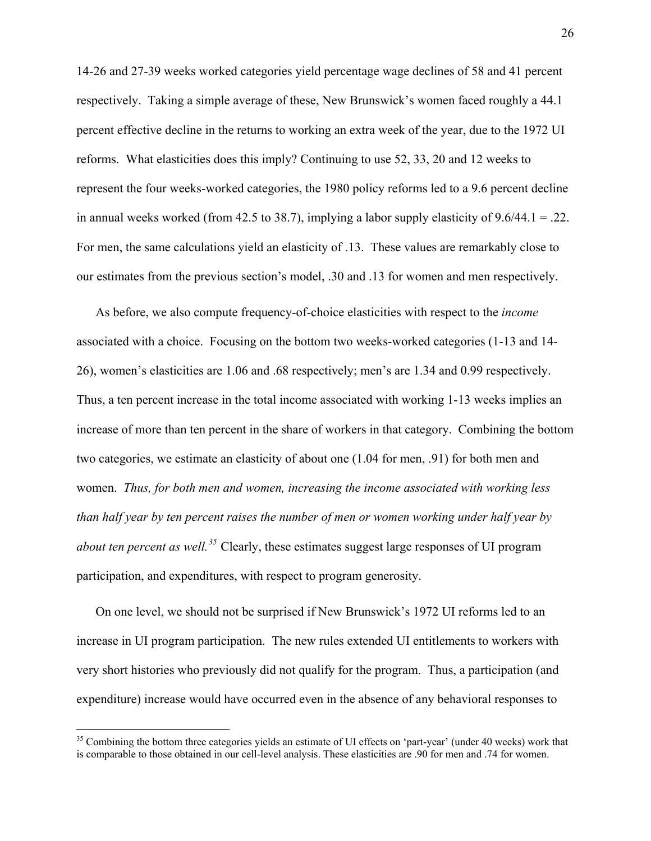14-26 and 27-39 weeks worked categories yield percentage wage declines of 58 and 41 percent respectively. Taking a simple average of these, New Brunswick's women faced roughly a 44.1 percent effective decline in the returns to working an extra week of the year, due to the 1972 UI reforms. What elasticities does this imply? Continuing to use 52, 33, 20 and 12 weeks to represent the four weeks-worked categories, the 1980 policy reforms led to a 9.6 percent decline in annual weeks worked (from 42.5 to 38.7), implying a labor supply elasticity of  $9.6/44.1 = .22$ . For men, the same calculations yield an elasticity of .13. These values are remarkably close to our estimates from the previous section's model, .30 and .13 for women and men respectively.

As before, we also compute frequency-of-choice elasticities with respect to the *income* associated with a choice. Focusing on the bottom two weeks-worked categories (1-13 and 14- 26), women's elasticities are 1.06 and .68 respectively; men's are 1.34 and 0.99 respectively. Thus, a ten percent increase in the total income associated with working 1-13 weeks implies an increase of more than ten percent in the share of workers in that category. Combining the bottom two categories, we estimate an elasticity of about one (1.04 for men, .91) for both men and women. *Thus, for both men and women, increasing the income associated with working less than half year by ten percent raises the number of men or women working under half year by about ten percent as well.[35](#page-26-0)* Clearly, these estimates suggest large responses of UI program participation, and expenditures, with respect to program generosity.

On one level, we should not be surprised if New Brunswick's 1972 UI reforms led to an increase in UI program participation. The new rules extended UI entitlements to workers with very short histories who previously did not qualify for the program. Thus, a participation (and expenditure) increase would have occurred even in the absence of any behavioral responses to

<span id="page-26-0"></span><sup>&</sup>lt;sup>35</sup> Combining the bottom three categories yields an estimate of UI effects on 'part-year' (under 40 weeks) work that is comparable to those obtained in our cell-level analysis. These elasticities are .90 for men and .74 for women.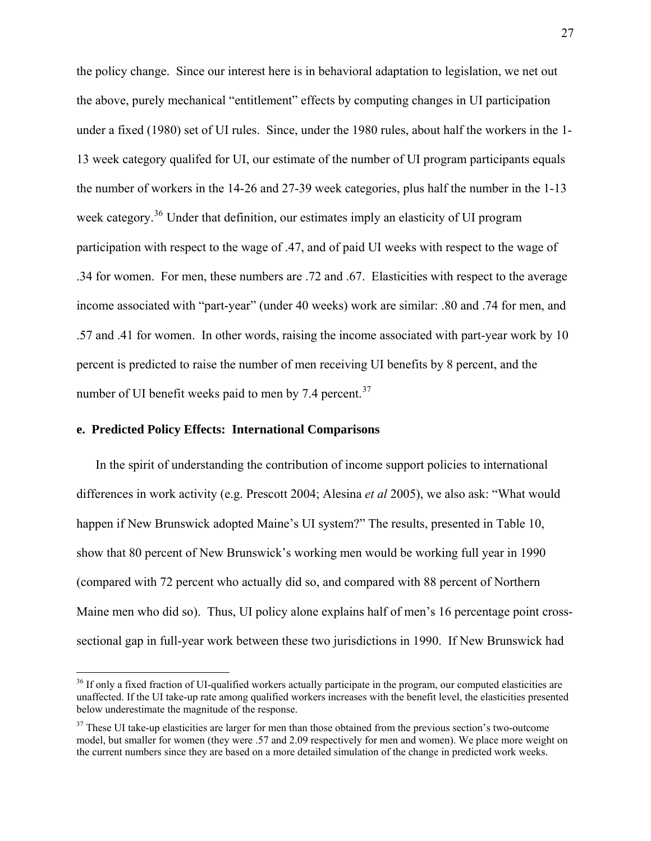the policy change. Since our interest here is in behavioral adaptation to legislation, we net out the above, purely mechanical "entitlement" effects by computing changes in UI participation under a fixed (1980) set of UI rules. Since, under the 1980 rules, about half the workers in the 1- 13 week category qualifed for UI, our estimate of the number of UI program participants equals the number of workers in the 14-26 and 27-39 week categories, plus half the number in the 1-13 week category.<sup>[36](#page-27-0)</sup> Under that definition, our estimates imply an elasticity of UI program participation with respect to the wage of .47, and of paid UI weeks with respect to the wage of .34 for women. For men, these numbers are .72 and .67. Elasticities with respect to the average income associated with "part-year" (under 40 weeks) work are similar: .80 and .74 for men, and .57 and .41 for women. In other words, raising the income associated with part-year work by 10 percent is predicted to raise the number of men receiving UI benefits by 8 percent, and the number of UI benefit weeks paid to men by 7.4 percent. $37$ 

## **e. Predicted Policy Effects: International Comparisons**

 $\overline{a}$ 

In the spirit of understanding the contribution of income support policies to international differences in work activity (e.g. Prescott 2004; Alesina *et al* 2005), we also ask: "What would happen if New Brunswick adopted Maine's UI system?" The results, presented in Table 10, show that 80 percent of New Brunswick's working men would be working full year in 1990 (compared with 72 percent who actually did so, and compared with 88 percent of Northern Maine men who did so). Thus, UI policy alone explains half of men's 16 percentage point crosssectional gap in full-year work between these two jurisdictions in 1990. If New Brunswick had

<span id="page-27-0"></span><sup>&</sup>lt;sup>36</sup> If only a fixed fraction of UI-qualified workers actually participate in the program, our computed elasticities are unaffected. If the UI take-up rate among qualified workers increases with the benefit level, the elasticities presented below underestimate the magnitude of the response.

<span id="page-27-1"></span> $37$  These UI take-up elasticities are larger for men than those obtained from the previous section's two-outcome model, but smaller for women (they were .57 and 2.09 respectively for men and women). We place more weight on the current numbers since they are based on a more detailed simulation of the change in predicted work weeks.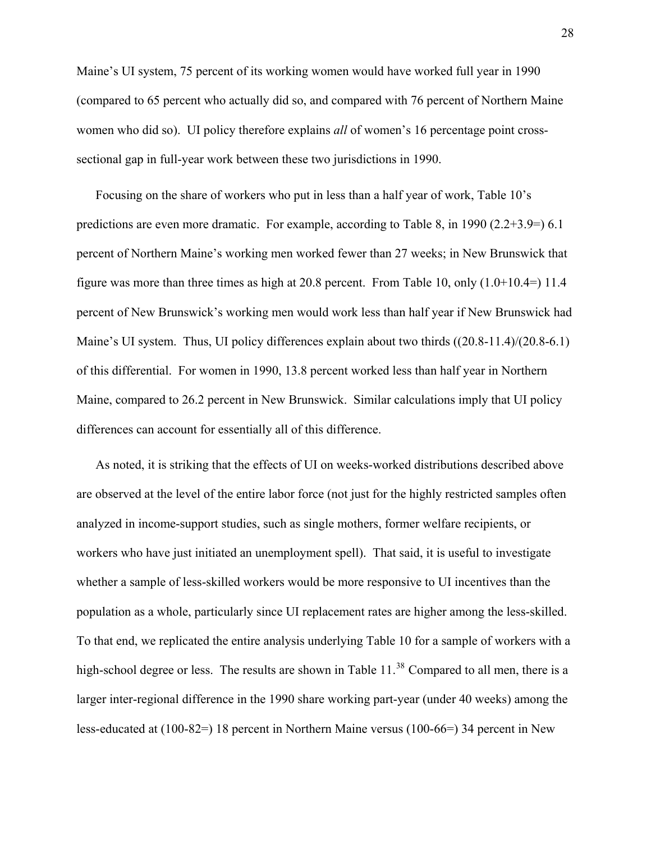Maine's UI system, 75 percent of its working women would have worked full year in 1990 (compared to 65 percent who actually did so, and compared with 76 percent of Northern Maine women who did so). UI policy therefore explains *all* of women's 16 percentage point crosssectional gap in full-year work between these two jurisdictions in 1990.

Focusing on the share of workers who put in less than a half year of work, Table 10's predictions are even more dramatic. For example, according to Table 8, in 1990 (2.2+3.9=) 6.1 percent of Northern Maine's working men worked fewer than 27 weeks; in New Brunswick that figure was more than three times as high at 20.8 percent. From Table 10, only  $(1.0+10.4=)$  11.4 percent of New Brunswick's working men would work less than half year if New Brunswick had Maine's UI system. Thus, UI policy differences explain about two thirds ((20.8-11.4)/(20.8-6.1) of this differential. For women in 1990, 13.8 percent worked less than half year in Northern Maine, compared to 26.2 percent in New Brunswick. Similar calculations imply that UI policy differences can account for essentially all of this difference.

<span id="page-28-0"></span>As noted, it is striking that the effects of UI on weeks-worked distributions described above are observed at the level of the entire labor force (not just for the highly restricted samples often analyzed in income-support studies, such as single mothers, former welfare recipients, or workers who have just initiated an unemployment spell). That said, it is useful to investigate whether a sample of less-skilled workers would be more responsive to UI incentives than the population as a whole, particularly since UI replacement rates are higher among the less-skilled. To that end, we replicated the entire analysis underlying Table 10 for a sample of workers with a high-school degree or less. The results are shown in Table  $11.^{38}$  $11.^{38}$  $11.^{38}$  Compared to all men, there is a larger inter-regional difference in the 1990 share working part-year (under 40 weeks) among the less-educated at (100-82=) 18 percent in Northern Maine versus (100-66=) 34 percent in New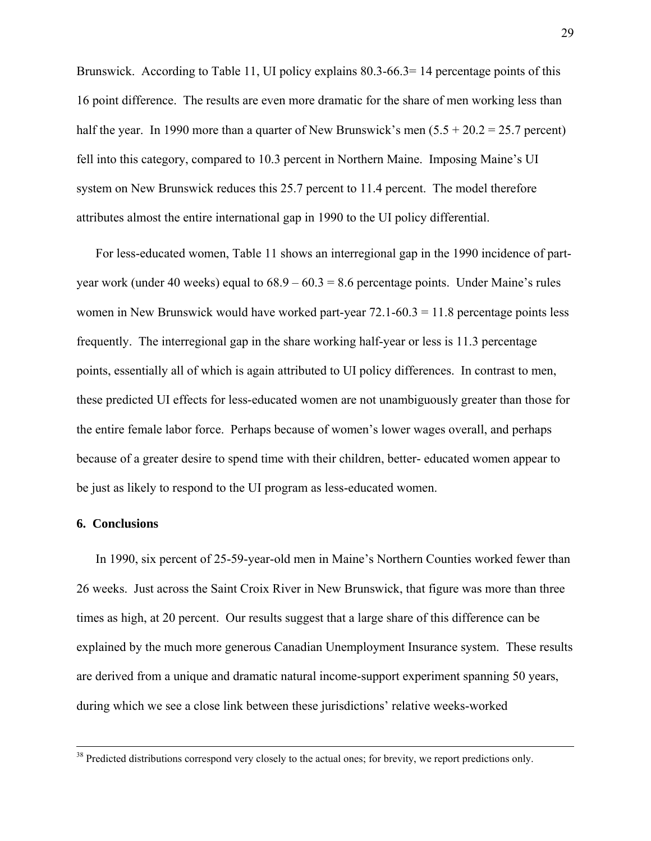Brunswick. According to Table 11, UI policy explains 80.3-66.3=14 percentage points of this 16 point difference. The results are even more dramatic for the share of men working less than half the year. In 1990 more than a quarter of New Brunswick's men  $(5.5 + 20.2 = 25.7$  percent) fell into this category, compared to 10.3 percent in Northern Maine. Imposing Maine's UI system on New Brunswick reduces this 25.7 percent to 11.4 percent. The model therefore attributes almost the entire international gap in 1990 to the UI policy differential.

For less-educated women, Table 11 shows an interregional gap in the 1990 incidence of partyear work (under 40 weeks) equal to  $68.9 - 60.3 = 8.6$  percentage points. Under Maine's rules women in New Brunswick would have worked part-year  $72.1-60.3 = 11.8$  percentage points less frequently. The interregional gap in the share working half-year or less is 11.3 percentage points, essentially all of which is again attributed to UI policy differences. In contrast to men, these predicted UI effects for less-educated women are not unambiguously greater than those for the entire female labor force. Perhaps because of women's lower wages overall, and perhaps because of a greater desire to spend time with their children, better- educated women appear to be just as likely to respond to the UI program as less-educated women.

### **6. Conclusions**

 $\overline{a}$ 

In 1990, six percent of 25-59-year-old men in Maine's Northern Counties worked fewer than 26 weeks. Just across the Saint Croix River in New Brunswick, that figure was more than three times as high, at 20 percent. Our results suggest that a large share of this difference can be explained by the much more generous Canadian Unemployment Insurance system. These results are derived from a unique and dramatic natural income-support experiment spanning 50 years, during which we see a close link between these jurisdictions' relative weeks-worked

<sup>&</sup>lt;sup>38</sup> Predicted distributions correspond very closely to the actual ones; for brevity, we report predictions only.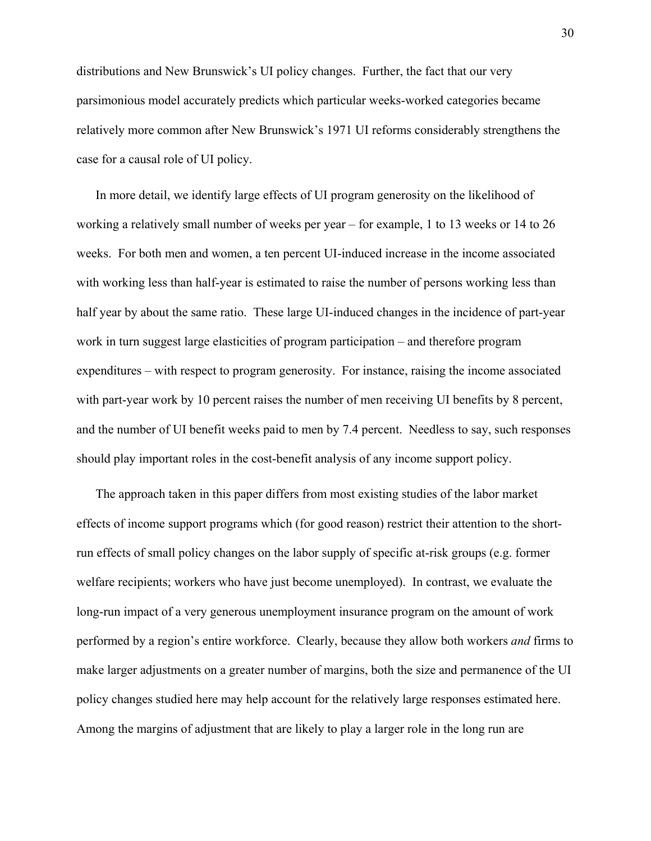distributions and New Brunswick's UI policy changes. Further, the fact that our very parsimonious model accurately predicts which particular weeks-worked categories became relatively more common after New Brunswick's 1971 UI reforms considerably strengthens the case for a causal role of UI policy.

In more detail, we identify large effects of UI program generosity on the likelihood of working a relatively small number of weeks per year – for example, 1 to 13 weeks or 14 to 26 weeks. For both men and women, a ten percent UI-induced increase in the income associated with working less than half-year is estimated to raise the number of persons working less than half year by about the same ratio. These large UI-induced changes in the incidence of part-year work in turn suggest large elasticities of program participation – and therefore program expenditures – with respect to program generosity. For instance, raising the income associated with part-year work by 10 percent raises the number of men receiving UI benefits by 8 percent, and the number of UI benefit weeks paid to men by 7.4 percent. Needless to say, such responses should play important roles in the cost-benefit analysis of any income support policy.

The approach taken in this paper differs from most existing studies of the labor market effects of income support programs which (for good reason) restrict their attention to the shortrun effects of small policy changes on the labor supply of specific at-risk groups (e.g. former welfare recipients; workers who have just become unemployed). In contrast, we evaluate the long-run impact of a very generous unemployment insurance program on the amount of work performed by a region's entire workforce. Clearly, because they allow both workers *and* firms to make larger adjustments on a greater number of margins, both the size and permanence of the UI policy changes studied here may help account for the relatively large responses estimated here. Among the margins of adjustment that are likely to play a larger role in the long run are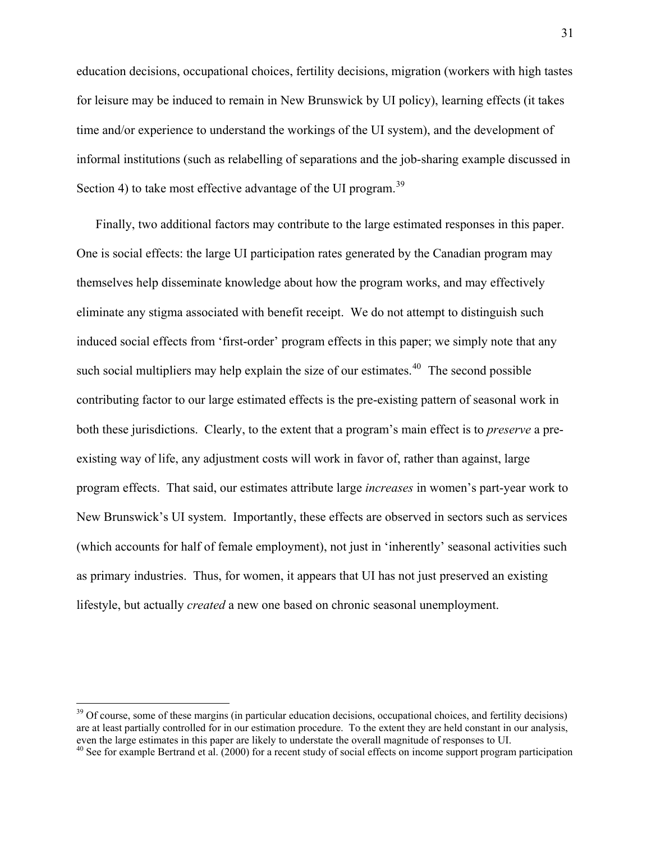education decisions, occupational choices, fertility decisions, migration (workers with high tastes for leisure may be induced to remain in New Brunswick by UI policy), learning effects (it takes time and/or experience to understand the workings of the UI system), and the development of informal institutions (such as relabelling of separations and the job-sharing example discussed in Section 4) to take most effective advantage of the UI program.<sup>[39](#page-31-0)</sup>

Finally, two additional factors may contribute to the large estimated responses in this paper. One is social effects: the large UI participation rates generated by the Canadian program may themselves help disseminate knowledge about how the program works, and may effectively eliminate any stigma associated with benefit receipt. We do not attempt to distinguish such induced social effects from 'first-order' program effects in this paper; we simply note that any such social multipliers may help explain the size of our estimates.<sup> $40$ </sup> The second possible contributing factor to our large estimated effects is the pre-existing pattern of seasonal work in both these jurisdictions. Clearly, to the extent that a program's main effect is to *preserve* a preexisting way of life, any adjustment costs will work in favor of, rather than against, large program effects. That said, our estimates attribute large *increases* in women's part-year work to New Brunswick's UI system. Importantly, these effects are observed in sectors such as services (which accounts for half of female employment), not just in 'inherently' seasonal activities such as primary industries. Thus, for women, it appears that UI has not just preserved an existing lifestyle, but actually *created* a new one based on chronic seasonal unemployment.

<span id="page-31-0"></span> $39$  Of course, some of these margins (in particular education decisions, occupational choices, and fertility decisions) are at least partially controlled for in our estimation procedure. To the extent they are held constant in our analysis, even the large estimates in this paper are likely to understate the overall magnitude of responses to

<span id="page-31-1"></span>even the large estimates in this paper are likely to understand may be a response to UI. 40 See for example Bertrand et al. (2000) for a recent study of social effects on income support program participation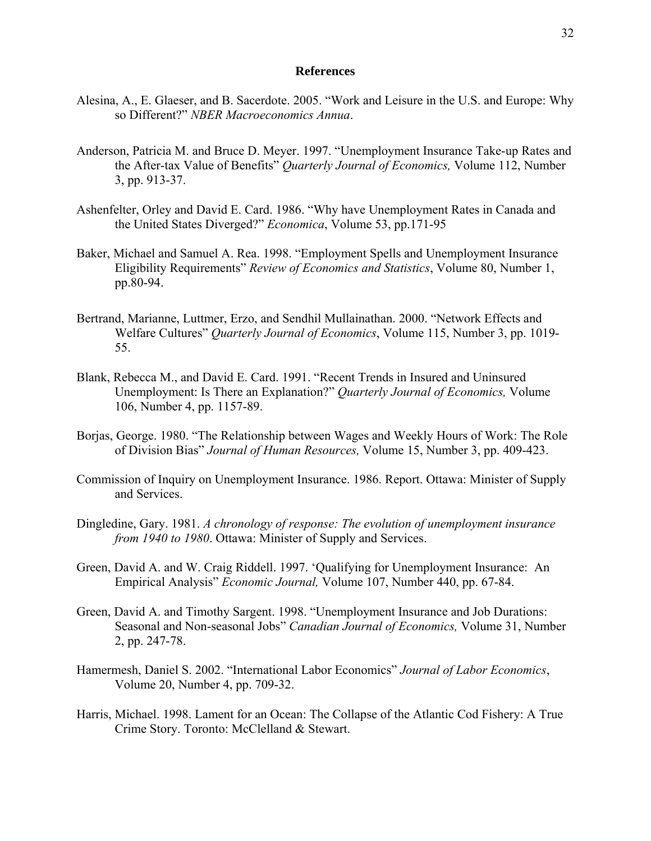#### **References**

- Alesina, A., E. Glaeser, and B. Sacerdote. 2005. "Work and Leisure in the U.S. and Europe: Why so Different?" *NBER Macroeconomics Annua*.
- Anderson, Patricia M. and Bruce D. Meyer. 1997. "Unemployment Insurance Take-up Rates and the After-tax Value of Benefits" *Quarterly Journal of Economics,* Volume 112, Number 3, pp. 913-37.
- Ashenfelter, Orley and David E. Card. 1986. "Why have Unemployment Rates in Canada and the United States Diverged?" *Economica*, Volume 53, pp.171-95
- Baker, Michael and Samuel A. Rea. 1998. "Employment Spells and Unemployment Insurance Eligibility Requirements" *Review of Economics and Statistics*, Volume 80, Number 1, pp.80-94.
- Bertrand, Marianne, Luttmer, Erzo, and Sendhil Mullainathan. 2000. "Network Effects and Welfare Cultures" *Quarterly Journal of Economics*, Volume 115, Number 3, pp. 1019- 55.
- Blank, Rebecca M., and David E. Card. 1991. "Recent Trends in Insured and Uninsured Unemployment: Is There an Explanation?" *Quarterly Journal of Economics,* Volume 106, Number 4, pp. 1157-89.
- Borjas, George. 1980. "The Relationship between Wages and Weekly Hours of Work: The Role of Division Bias" *Journal of Human Resources,* Volume 15, Number 3, pp. 409-423.
- Commission of Inquiry on Unemployment Insurance. 1986. Report. Ottawa: Minister of Supply and Services.
- Dingledine, Gary. 1981. *A chronology of response: The evolution of unemployment insurance from 1940 to 1980*. Ottawa: Minister of Supply and Services.
- Green, David A. and W. Craig Riddell. 1997. 'Qualifying for Unemployment Insurance: An Empirical Analysis" *Economic Journal,* Volume 107, Number 440, pp. 67-84.
- Green, David A. and Timothy Sargent. 1998. "Unemployment Insurance and Job Durations: Seasonal and Non-seasonal Jobs" *Canadian Journal of Economics,* Volume 31, Number 2, pp. 247-78.
- Hamermesh, Daniel S. 2002. "International Labor Economics" *Journal of Labor Economics*, Volume 20, Number 4, pp. 709-32.
- Harris, Michael. 1998. Lament for an Ocean: The Collapse of the Atlantic Cod Fishery: A True Crime Story. Toronto: McClelland & Stewart.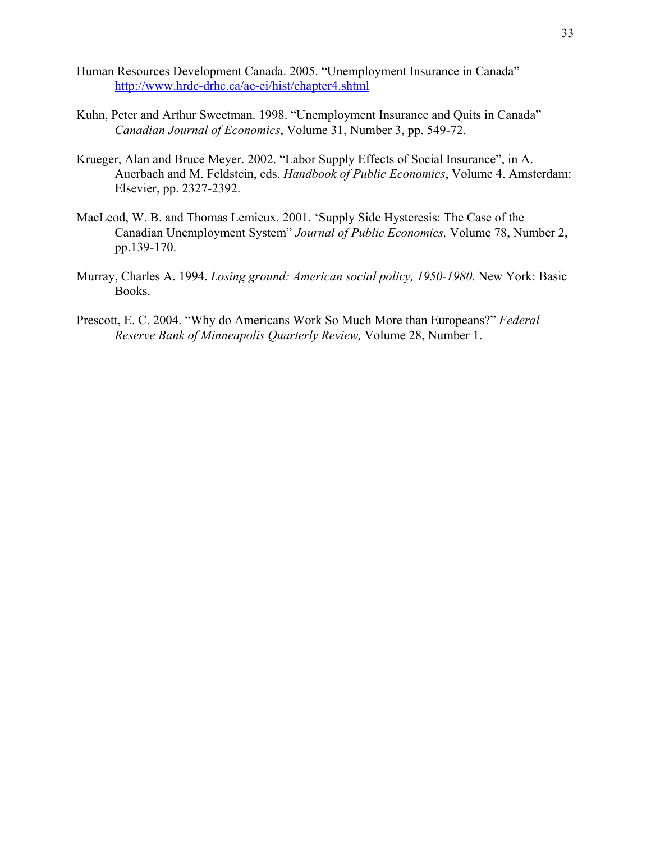- Human Resources Development Canada. 2005. "Unemployment Insurance in Canada" <http://www.hrdc-drhc.ca/ae-ei/hist/chapter4.shtml>
- Kuhn, Peter and Arthur Sweetman. 1998. "Unemployment Insurance and Quits in Canada" *Canadian Journal of Economics*, Volume 31, Number 3, pp. 549-72.
- Krueger, Alan and Bruce Meyer. 2002. "Labor Supply Effects of Social Insurance", in A. Auerbach and M. Feldstein, eds. *Handbook of Public Economics*, Volume 4. Amsterdam: Elsevier, pp. 2327-2392.
- MacLeod, W. B. and Thomas Lemieux. 2001. 'Supply Side Hysteresis: The Case of the Canadian Unemployment System" *Journal of Public Economics,* Volume 78, Number 2, pp.139-170.
- Murray, Charles A. 1994. *Losing ground: American social policy, 1950-1980.* New York: Basic Books.
- Prescott, E. C. 2004. "Why do Americans Work So Much More than Europeans?" *Federal Reserve Bank of Minneapolis Quarterly Review,* Volume 28, Number 1.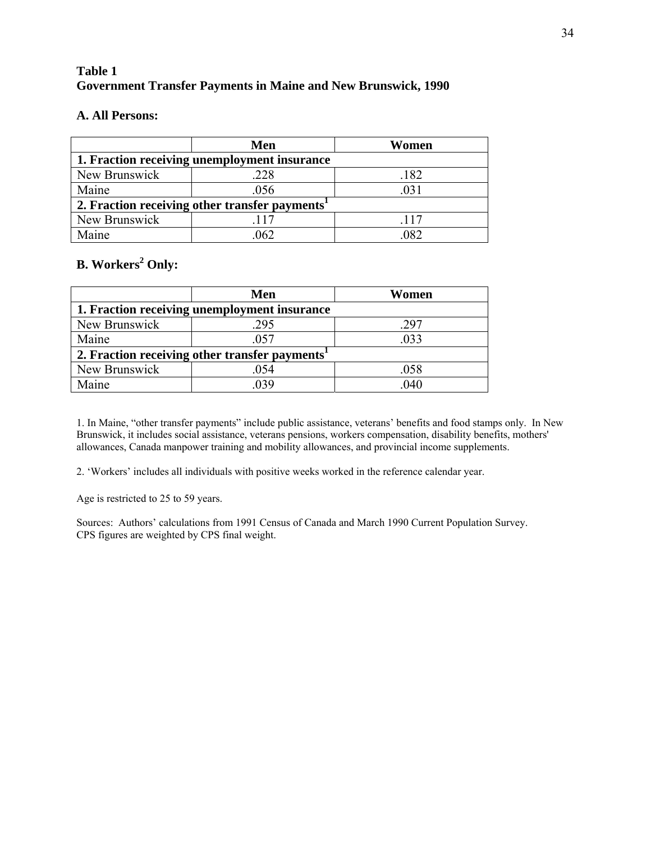# **Table 1 Government Transfer Payments in Maine and New Brunswick, 1990**

## **A. All Persons:**

|                                                            | Men  | Women |  |  |  |  |  |
|------------------------------------------------------------|------|-------|--|--|--|--|--|
| 1. Fraction receiving unemployment insurance               |      |       |  |  |  |  |  |
| New Brunswick                                              | .228 | .182  |  |  |  |  |  |
| Maine                                                      | .056 | 031   |  |  |  |  |  |
| 2. Fraction receiving other transfer payments <sup>1</sup> |      |       |  |  |  |  |  |
| New Brunswick                                              | 117  | .117  |  |  |  |  |  |
| Maine                                                      | 062  | 082   |  |  |  |  |  |

# **B.** Workers<sup>2</sup> Only:

|                                                            | Men  | Women |  |  |  |  |  |
|------------------------------------------------------------|------|-------|--|--|--|--|--|
| 1. Fraction receiving unemployment insurance               |      |       |  |  |  |  |  |
| New Brunswick                                              | 295  | .297  |  |  |  |  |  |
| Maine                                                      | 057  | .033  |  |  |  |  |  |
| 2. Fraction receiving other transfer payments <sup>1</sup> |      |       |  |  |  |  |  |
| New Brunswick                                              | .054 | .058  |  |  |  |  |  |
| Maine                                                      | 039  | .040  |  |  |  |  |  |

1. In Maine, "other transfer payments" include public assistance, veterans' benefits and food stamps only. In New Brunswick, it includes social assistance, veterans pensions, workers compensation, disability benefits, mothers' allowances, Canada manpower training and mobility allowances, and provincial income supplements.

2. 'Workers' includes all individuals with positive weeks worked in the reference calendar year.

Age is restricted to 25 to 59 years.

Sources: Authors' calculations from 1991 Census of Canada and March 1990 Current Population Survey. CPS figures are weighted by CPS final weight.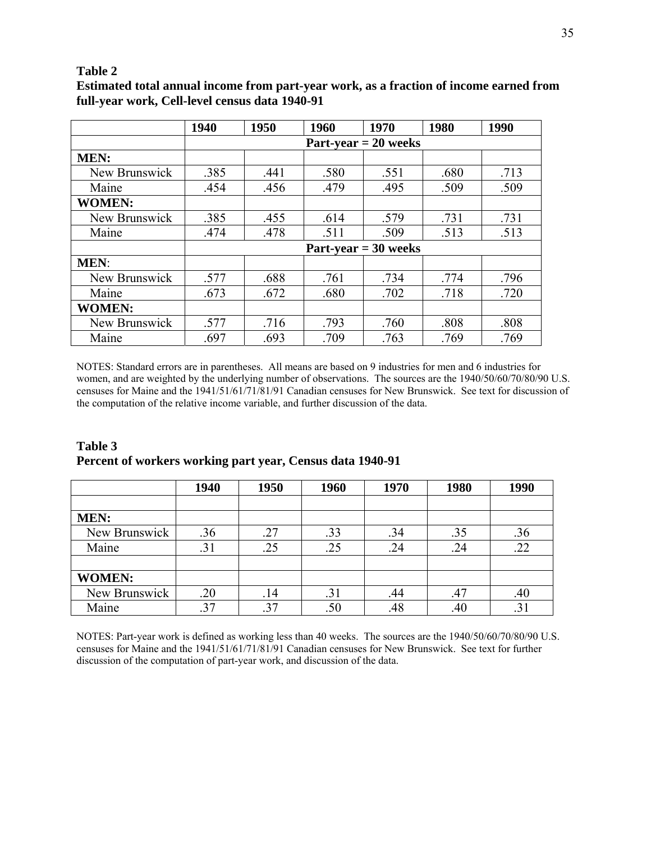## **Table 2**

|               | 1940 | 1950 | 1960 | 1970                   | 1980 | 1990 |
|---------------|------|------|------|------------------------|------|------|
|               |      |      |      | $Part-year = 20 weeks$ |      |      |
| <b>MEN:</b>   |      |      |      |                        |      |      |
| New Brunswick | .385 | .441 | .580 | .551                   | .680 | .713 |
| Maine         | .454 | .456 | .479 | .495                   | .509 | .509 |
| <b>WOMEN:</b> |      |      |      |                        |      |      |
| New Brunswick | .385 | .455 | .614 | .579                   | .731 | .731 |
| Maine         | .474 | .478 | .511 | .509                   | .513 | .513 |
|               |      |      |      | $Part-year = 30 weeks$ |      |      |
| <b>MEN:</b>   |      |      |      |                        |      |      |
| New Brunswick | .577 | .688 | .761 | .734                   | .774 | .796 |
| Maine         | .673 | .672 | .680 | .702                   | .718 | .720 |
| <b>WOMEN:</b> |      |      |      |                        |      |      |
| New Brunswick | .577 | .716 | .793 | .760                   | .808 | .808 |
| Maine         | .697 | .693 | .709 | .763                   | .769 | .769 |

**Estimated total annual income from part-year work, as a fraction of income earned from full-year work, Cell-level census data 1940-91**

NOTES: Standard errors are in parentheses. All means are based on 9 industries for men and 6 industries for women, and are weighted by the underlying number of observations. The sources are the 1940/50/60/70/80/90 U.S. censuses for Maine and the 1941/51/61/71/81/91 Canadian censuses for New Brunswick. See text for discussion of the computation of the relative income variable, and further discussion of the data.

| Table 3                                                   |  |
|-----------------------------------------------------------|--|
| Percent of workers working part year, Census data 1940-91 |  |

|               | 1940 | 1950 | 1960 | 1970 | 1980 | 1990 |
|---------------|------|------|------|------|------|------|
|               |      |      |      |      |      |      |
| <b>MEN:</b>   |      |      |      |      |      |      |
| New Brunswick | .36  | .27  | .33  | .34  | .35  | .36  |
| Maine         | .31  | .25  | .25  | .24  | .24  | .22  |
|               |      |      |      |      |      |      |
| <b>WOMEN:</b> |      |      |      |      |      |      |
| New Brunswick | .20  | .14  | .31  | .44  | .47  | .40  |
| Maine         |      | .37  | .50  | .48  | .40  |      |

NOTES: Part-year work is defined as working less than 40 weeks. The sources are the 1940/50/60/70/80/90 U.S. censuses for Maine and the 1941/51/61/71/81/91 Canadian censuses for New Brunswick. See text for further discussion of the computation of part-year work, and discussion of the data.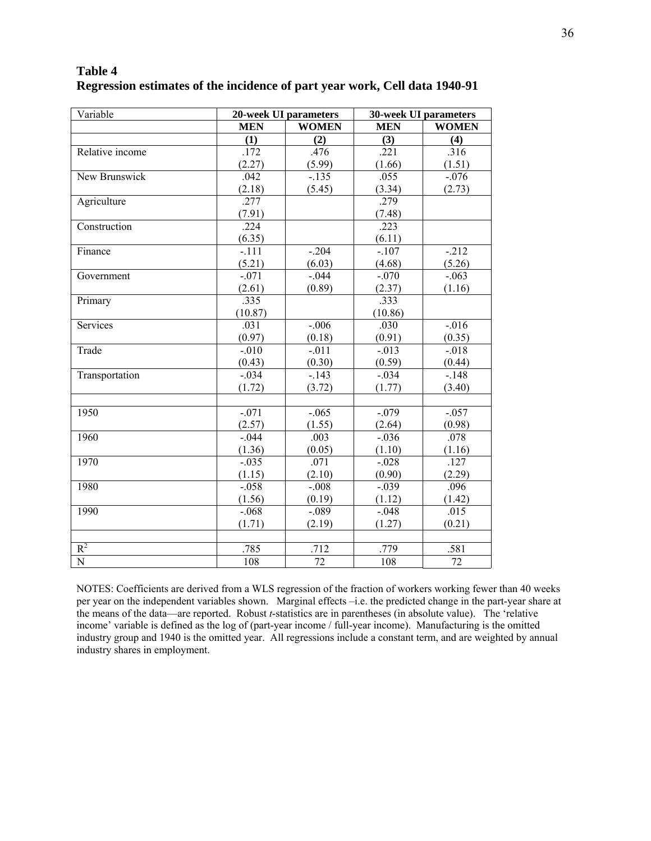| Table 4<br>Regression estimates of the incidence of part year work, Cell data 1940-91<br>20-week UI parameters<br>30-week UI parameters<br><b>WOMEN</b><br><b>WOMEN</b><br><b>MEN</b><br><b>MEN</b><br>(2)<br>(3)<br>(4)<br>$\bf (1)$ |                 |     |     |     |  |  |
|---------------------------------------------------------------------------------------------------------------------------------------------------------------------------------------------------------------------------------------|-----------------|-----|-----|-----|--|--|
| Variable                                                                                                                                                                                                                              |                 |     |     |     |  |  |
|                                                                                                                                                                                                                                       |                 |     |     |     |  |  |
|                                                                                                                                                                                                                                       |                 |     |     |     |  |  |
| Delative income                                                                                                                                                                                                                       | $\overline{72}$ | 176 | 221 | 216 |  |  |

# **Table 4**

|                 | (1)     | (2)      | (3)      | (4)      |
|-----------------|---------|----------|----------|----------|
| Relative income | .172    | .476     | .221     | .316     |
|                 | (2.27)  | (5.99)   | (1.66)   | (1.51)   |
| New Brunswick   | .042    | $-.135$  | .055     | $-.076$  |
|                 | (2.18)  | (5.45)   | (3.34)   | (2.73)   |
| Agriculture     | .277    |          | .279     |          |
|                 | (7.91)  |          | (7.48)   |          |
| Construction    | .224    |          | .223     |          |
|                 | (6.35)  |          | (6.11)   |          |
| Finance         | $-.111$ | $-.204$  | $-.107$  | $-212$   |
|                 | (5.21)  | (6.03)   | (4.68)   | (5.26)   |
| Government      | $-.071$ | $-.044$  | $-.070$  | $-.063$  |
|                 | (2.61)  | (0.89)   | (2.37)   | (1.16)   |
| Primary         | .335    |          | .333     |          |
|                 | (10.87) |          | (10.86)  |          |
| Services        | .031    | $-.006$  | .030     | $-0.016$ |
|                 | (0.97)  | (0.18)   | (0.91)   | (0.35)   |
| Trade           | $-.010$ | $-.011$  | $-0.013$ | $-.018$  |
|                 | (0.43)  | (0.30)   | (0.59)   | (0.44)   |
| Transportation  | $-.034$ | $-.143$  | $-.034$  | $-.148$  |
|                 | (1.72)  | (3.72)   | (1.77)   | (3.40)   |
|                 |         |          |          |          |
| 1950            | $-.071$ | $-0.065$ | $-.079$  | $-0.057$ |
|                 | (2.57)  | (1.55)   | (2.64)   | (0.98)   |
| 1960            | $-.044$ | .003     | $-.036$  | .078     |
|                 | (1.36)  | (0.05)   | (1.10)   | (1.16)   |
| 1970            | $-.035$ | .071     | $-.028$  | .127     |
|                 | (1.15)  | (2.10)   | (0.90)   | (2.29)   |
| 1980            | $-.058$ | $-.008$  | $-.039$  | .096     |
|                 | (1.56)  | (0.19)   | (1.12)   | (1.42)   |
| 1990            | $-.068$ | $-.089$  | $-.048$  | .015     |
|                 | (1.71)  | (2.19)   | (1.27)   | (0.21)   |
|                 |         |          |          |          |
| $R^2$           | .785    | .712     | .779     | .581     |
| $\overline{N}$  | 108     | 72       | 108      | 72       |

NOTES: Coefficients are derived from a WLS regression of the fraction of workers working fewer than 40 weeks per year on the independent variables shown. Marginal effects –i.e. the predicted change in the part-year share at the means of the data—are reported. Robust *t*-statistics are in parentheses (in absolute value). The 'relative income' variable is defined as the log of (part-year income / full-year income). Manufacturing is the omitted industry group and 1940 is the omitted year. All regressions include a constant term, and are weighted by annual industry shares in employment.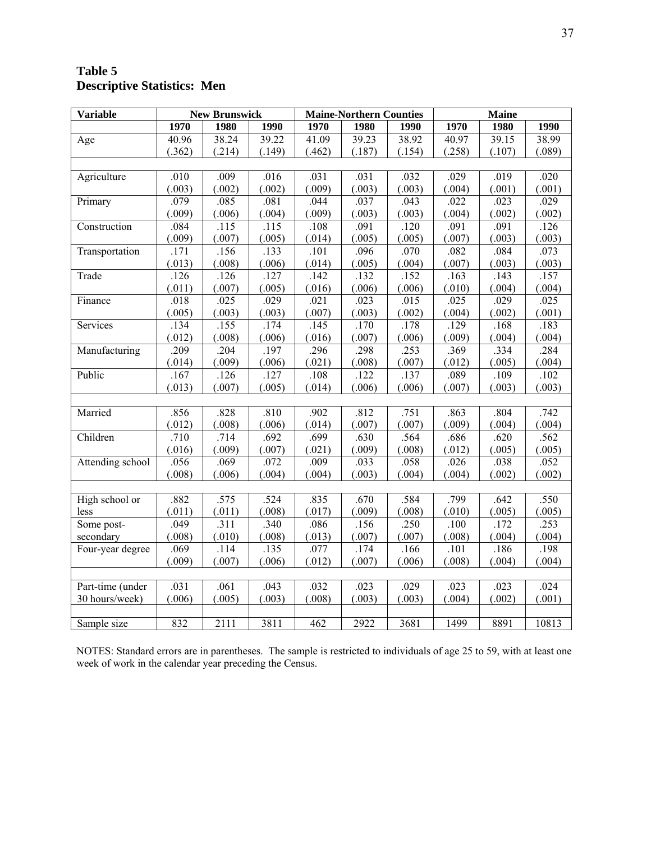# **Table 5 Descriptive Statistics: Men**

| <b>Variable</b>  |        | <b>New Brunswick</b> |                    | <b>Maine-Northern Counties</b> |        |        | <b>Maine</b> |        |        |
|------------------|--------|----------------------|--------------------|--------------------------------|--------|--------|--------------|--------|--------|
|                  | 1970   | 1980                 | 1990               | 1970                           | 1980   | 1990   | 1970         | 1980   | 1990   |
| Age              | 40.96  | 38.24                | $\overline{39.22}$ | 41.09                          | 39.23  | 38.92  | 40.97        | 39.15  | 38.99  |
|                  | (.362) | (.214)               | (.149)             | (.462)                         | (.187) | (.154) | (.258)       | (.107) | (.089) |
|                  |        |                      |                    |                                |        |        |              |        |        |
| Agriculture      | .010   | .009                 | .016               | .031                           | .031   | .032   | .029         | .019   | .020   |
|                  | (.003) | (.002)               | (.002)             | (.009)                         | (.003) | (.003) | (.004)       | (.001) | (.001) |
| Primary          | .079   | .085                 | .081               | .044                           | .037   | .043   | .022         | .023   | .029   |
|                  | (.009) | (.006)               | (.004)             | (.009)                         | (.003) | (.003) | (.004)       | (.002) | (.002) |
| Construction     | .084   | .115                 | $-115$             | .108                           | .091   | .120   | .091         | .091   | .126   |
|                  | (.009) | (.007)               | (.005)             | (.014)                         | (.005) | (.005) | (.007)       | (.003) | (.003) |
| Transportation   | .171   | .156                 | .133               | .101                           | .096   | .070   | .082         | .084   | .073   |
|                  | (.013) | (.008)               | (.006)             | (.014)                         | (.005) | (.004) | (.007)       | (.003) | (.003) |
| Trade            | .126   | .126                 | .127               | .142                           | .132   | .152   | .163         | .143   | .157   |
|                  | (.011) | (.007)               | (.005)             | (.016)                         | (.006) | (.006) | (.010)       | (.004) | (.004) |
| Finance          | .018   | .025                 | .029               | .021                           | .023   | .015   | .025         | .029   | .025   |
|                  | (.005) | (.003)               | (.003)             | (.007)                         | (.003) | (.002) | (.004)       | (.002) | (.001) |
| Services         | .134   | .155                 | .174               | .145                           | .170   | .178   | .129         | .168   | .183   |
|                  | (.012) | (.008)               | (.006)             | (.016)                         | (.007) | (.006) | (.009)       | (.004) | (.004) |
| Manufacturing    | .209   | .204                 | .197               | .296                           | .298   | .253   | .369         | .334   | .284   |
|                  | (.014) | (.009)               | (.006)             | (.021)                         | (.008) | (.007) | (.012)       | (.005) | (.004) |
| Public           | .167   | .126                 | .127               | .108                           | .122   | .137   | .089         | .109   | .102   |
|                  | (.013) | (.007)               | (.005)             | (.014)                         | (.006) | (.006) | (.007)       | (.003) | (.003) |
|                  |        |                      |                    |                                |        |        |              |        |        |
| Married          | .856   | .828                 | .810               | .902                           | .812   | .751   | .863         | .804   | .742   |
|                  | (.012) | (.008)               | (.006)             | (.014)                         | (.007) | (.007) | (.009)       | (.004) | (.004) |
| Children         | .710   | .714                 | .692               | .699                           | .630   | .564   | .686         | .620   | .562   |
|                  | (.016) | (.009)               | (.007)             | (.021)                         | (.009) | (.008) | (.012)       | (.005) | (.005) |
| Attending school | .056   | .069                 | .072               | .009                           | .033   | .058   | .026         | .038   | .052   |
|                  | (.008) | (.006)               | (.004)             | (.004)                         | (.003) | (.004) | (.004)       | (.002) | (.002) |
|                  |        |                      |                    |                                |        |        |              |        |        |
| High school or   | .882   | .575                 | .524               | .835                           | .670   | .584   | .799         | .642   | .550   |
| less             | (.011) | (.011)               | (.008)             | (.017)                         | (.009) | (.008) | (.010)       | (.005) | (.005) |
| Some post-       | .049   | .311                 | .340               | .086                           | .156   | .250   | .100         | .172   | .253   |
| secondary        | (.008) | (.010)               | (.008)             | (.013)                         | (.007) | (.007) | (.008)       | (.004) | (.004) |
| Four-year degree | .069   | .114                 | .135               | .077                           | .174   | .166   | .101         | .186   | .198   |
|                  | (.009) | (.007)               | (.006)             | (.012)                         | (.007) | (.006) | (.008)       | (.004) | (.004) |
|                  |        |                      |                    |                                |        |        |              |        |        |
| Part-time (under | .031   | .061                 | .043               | .032                           | .023   | .029   | .023         | .023   | .024   |
| 30 hours/week)   | (.006) | (.005)               | (.003)             | (.008)                         | (.003) | (.003) | (.004)       | (.002) | (.001) |
|                  |        |                      |                    |                                |        |        |              |        |        |
| Sample size      | 832    | 2111                 | 3811               | 462                            | 2922   | 3681   | 1499         | 8891   | 10813  |

NOTES: Standard errors are in parentheses. The sample is restricted to individuals of age 25 to 59, with at least one week of work in the calendar year preceding the Census.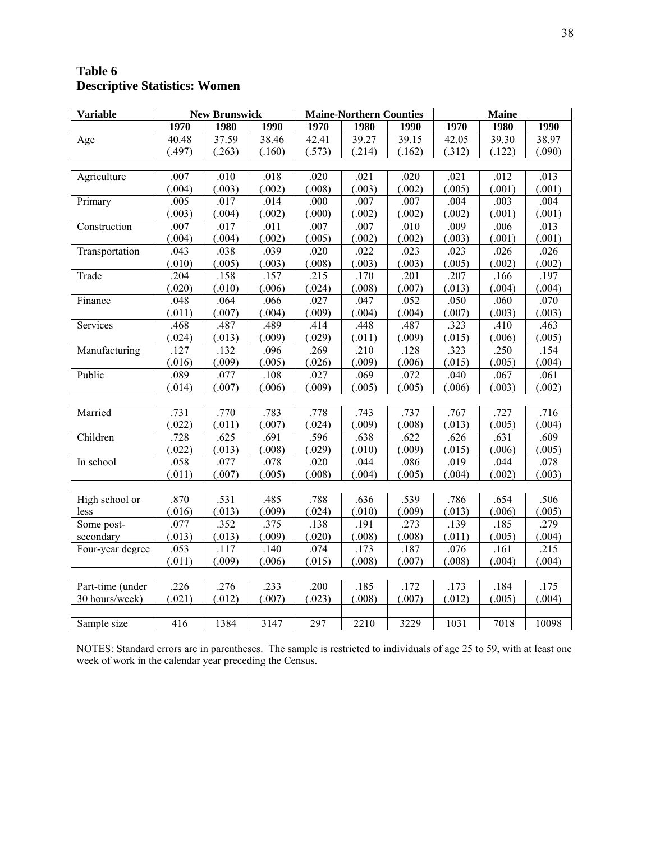# **Table 6 Descriptive Statistics: Women**

| <b>Variable</b>  |        | <b>New Brunswick</b> |        | <b>Maine-Northern Counties</b> |        | <b>Maine</b> |        |        |        |
|------------------|--------|----------------------|--------|--------------------------------|--------|--------------|--------|--------|--------|
|                  | 1970   | 1980                 | 1990   | 1970                           | 1980   | 1990         | 1970   | 1980   | 1990   |
| Age              | 40.48  | 37.59                | 38.46  | 42.41                          | 39.27  | 39.15        | 42.05  | 39.30  | 38.97  |
|                  | (.497) | (.263)               | (.160) | (.573)                         | (.214) | (.162)       | (.312) | (.122) | (.090) |
|                  |        |                      |        |                                |        |              |        |        |        |
| Agriculture      | .007   | .010                 | .018   | .020                           | .021   | .020         | .021   | .012   | .013   |
|                  | (.004) | (.003)               | (.002) | (.008)                         | (.003) | (.002)       | (.005) | (.001) | (.001) |
| Primary          | .005   | .017                 | .014   | .000                           | .007   | .007         | .004   | .003   | .004   |
|                  | (.003) | (.004)               | (.002) | (.000)                         | (.002) | (.002)       | (.002) | (.001) | (.001) |
| Construction     | .007   | .017                 | .011   | .007                           | .007   | .010         | .009   | .006   | .013   |
|                  | (.004) | (.004)               | (.002) | (.005)                         | (.002) | (.002)       | (.003) | (.001) | (.001) |
| Transportation   | .043   | .038                 | .039   | .020                           | .022   | .023         | .023   | .026   | .026   |
|                  | (.010) | (.005)               | (.003) | (.008)                         | (.003) | (.003)       | (.005) | (.002) | (.002) |
| Trade            | .204   | .158                 | .157   | .215                           | .170   | .201         | .207   | .166   | .197   |
|                  | (.020) | (.010)               | (.006) | (.024)                         | (.008) | (.007)       | (.013) | (.004) | (.004) |
| Finance          | .048   | .064                 | .066   | .027                           | .047   | .052         | .050   | .060   | .070   |
|                  | (.011) | (.007)               | (.004) | (.009)                         | (.004) | (.004)       | (.007) | (.003) | (.003) |
| Services         | .468   | .487                 | .489   | .414                           | .448   | .487         | .323   | .410   | .463   |
|                  | (.024) | (.013)               | (.009) | (.029)                         | (.011) | (.009)       | (.015) | (.006) | (.005) |
| Manufacturing    | .127   | .132                 | .096   | .269                           | .210   | .128         | .323   | .250   | .154   |
|                  | (.016) | (.009)               | (.005) | (.026)                         | (.009) | (.006)       | (.015) | (.005) | (.004) |
| Public           | .089   | .077                 | .108   | .027                           | .069   | .072         | .040   | .067   | .061   |
|                  | (.014) | (.007)               | (.006) | (.009)                         | (.005) | (.005)       | (.006) | (.003) | (.002) |
|                  |        |                      |        |                                |        |              |        |        |        |
| Married          | .731   | .770                 | .783   | .778                           | .743   | .737         | .767   | .727   | .716   |
|                  | (.022) | (.011)               | (.007) | (.024)                         | (.009) | (.008)       | (.013) | (.005) | (.004) |
| Children         | .728   | .625                 | .691   | .596                           | .638   | .622         | .626   | .631   | .609   |
|                  | (.022) | (.013)               | (.008) | (.029)                         | (.010) | (.009)       | (.015) | (.006) | (.005) |
| In school        | .058   | .077                 | .078   | .020                           | .044   | .086         | .019   | .044   | .078   |
|                  | (.011) | (.007)               | (.005) | (.008)                         | (.004) | (.005)       | (.004) | (.002) | (.003) |
|                  |        |                      |        |                                |        |              |        |        |        |
| High school or   | .870   | .531                 | .485   | .788                           | .636   | .539         | .786   | .654   | .506   |
| less             | (.016) | (.013)               | (.009) | (.024)                         | (.010) | (.009)       | (.013) | (.006) | (.005) |
| Some post-       | .077   | .352                 | .375   | .138                           | .191   | .273         | .139   | .185   | .279   |
| secondary        | (.013) | (.013)               | (.009) | (.020)                         | (.008) | (.008)       | (.011) | (.005) | (.004) |
| Four-year degree | .053   | .117                 | .140   | .074                           | .173   | .187         | .076   | .161   | .215   |
|                  | (.011) | (.009)               | (.006) | (.015)                         | (.008) | (.007)       | (.008) | (.004) | (.004) |
|                  |        |                      |        |                                |        |              |        |        |        |
| Part-time (under | .226   | .276                 | .233   | .200                           | .185   | .172         | .173   | .184   | .175   |
| 30 hours/week)   | (.021) | (.012)               | (.007) | (.023)                         | (.008) | (.007)       | (.012) | (.005) | (.004) |
|                  |        |                      |        |                                |        |              |        |        |        |
| Sample size      | 416    | 1384                 | 3147   | 297                            | 2210   | 3229         | 1031   | 7018   | 10098  |

NOTES: Standard errors are in parentheses. The sample is restricted to individuals of age 25 to 59, with at least one week of work in the calendar year preceding the Census.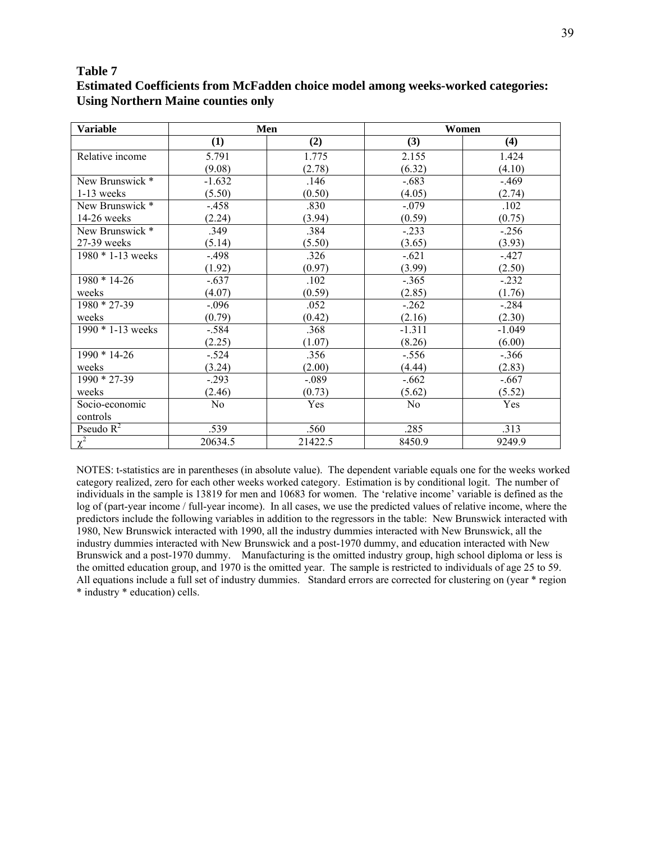## **Table 7**

## **Estimated Coefficients from McFadden choice model among weeks-worked categories: Using Northern Maine counties only**

| <b>Variable</b>       | Men            |         |          | Women    |
|-----------------------|----------------|---------|----------|----------|
|                       | (1)            | (2)     | (3)      | (4)      |
| Relative income       | 5.791          | 1.775   | 2.155    | 1.424    |
|                       | (9.08)         | (2.78)  | (6.32)   | (4.10)   |
| New Brunswick *       | $-1.632$       | .146    | $-.683$  | $-.469$  |
| $1-13$ weeks          | (5.50)         | (0.50)  | (4.05)   | (2.74)   |
| New Brunswick *       | $-.458$        | .830    | $-.079$  | .102     |
| 14-26 weeks           | (2.24)         | (3.94)  | (0.59)   | (0.75)   |
| New Brunswick *       | .349           | .384    | $-.233$  | $-.256$  |
| 27-39 weeks           | (5.14)         | (5.50)  | (3.65)   | (3.93)   |
| $1980 * 1 - 13$ weeks | $-.498$        | .326    | $-.621$  | $-.427$  |
|                       | (1.92)         | (0.97)  | (3.99)   | (2.50)   |
| $1980 * 14 - 26$      | $-.637$        | .102    | $-.365$  | $-.232$  |
| weeks                 | (4.07)         | (0.59)  | (2.85)   | (1.76)   |
| $1980 * 27 - 39$      | $-.096$        | .052    | $-0.262$ | $-.284$  |
| weeks                 | (0.79)         | (0.42)  | (2.16)   | (2.30)   |
| $1990 * 1 - 13$ weeks | $-.584$        | .368    | $-1.311$ | $-1.049$ |
|                       | (2.25)         | (1.07)  | (8.26)   | (6.00)   |
| $1990 * 14-26$        | $-.524$        | .356    | $-.556$  | $-.366$  |
| weeks                 | (3.24)         | (2.00)  | (4.44)   | (2.83)   |
| $1990 * 27 - 39$      | $-.293$        | $-.089$ | $-.662$  | $-.667$  |
| weeks                 | (2.46)         | (0.73)  | (5.62)   | (5.52)   |
| Socio-economic        | N <sub>0</sub> | Yes     | No       | Yes      |
| controls              |                |         |          |          |
| Pseudo $R^2$          | .539           | .560    | .285     | .313     |
| $\chi^2$              | 20634.5        | 21422.5 | 8450.9   | 9249.9   |

NOTES: t-statistics are in parentheses (in absolute value). The dependent variable equals one for the weeks worked category realized, zero for each other weeks worked category. Estimation is by conditional logit. The number of individuals in the sample is 13819 for men and 10683 for women. The 'relative income' variable is defined as the log of (part-year income / full-year income). In all cases, we use the predicted values of relative income, where the predictors include the following variables in addition to the regressors in the table: New Brunswick interacted with 1980, New Brunswick interacted with 1990, all the industry dummies interacted with New Brunswick, all the industry dummies interacted with New Brunswick and a post-1970 dummy, and education interacted with New Brunswick and a post-1970 dummy. Manufacturing is the omitted industry group, high school diploma or less is the omitted education group, and 1970 is the omitted year. The sample is restricted to individuals of age 25 to 59. All equations include a full set of industry dummies. Standard errors are corrected for clustering on (year \* region \* industry \* education) cells.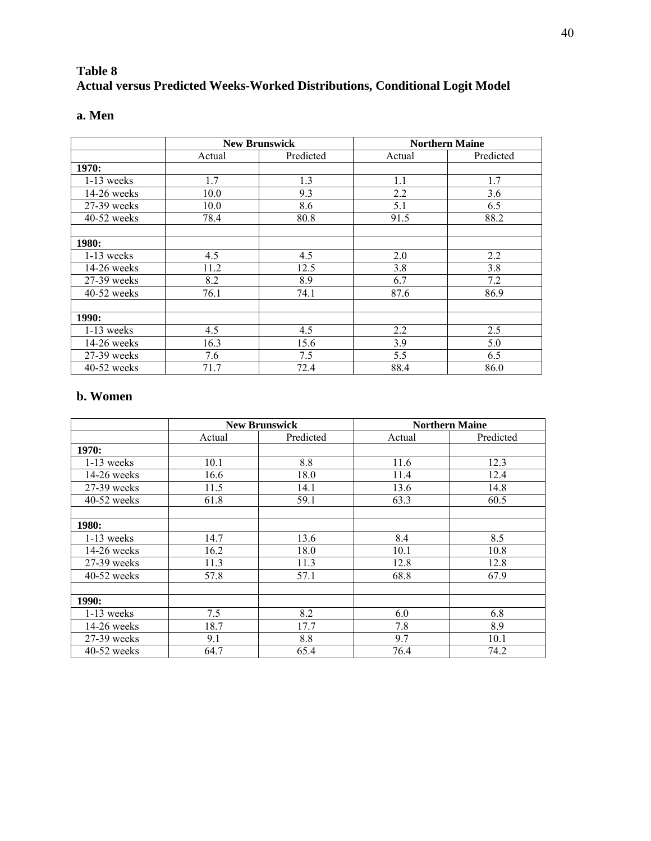# **Table 8 Actual versus Predicted Weeks-Worked Distributions, Conditional Logit Model**

| ×<br>۰, | ×<br>۰. |
|---------|---------|
|---------|---------|

|               | <b>New Brunswick</b> |           | <b>Northern Maine</b> |           |
|---------------|----------------------|-----------|-----------------------|-----------|
|               | Actual               | Predicted | Actual                | Predicted |
| 1970:         |                      |           |                       |           |
| $1-13$ weeks  | 1.7                  | 1.3       | 1.1                   | 1.7       |
| $14-26$ weeks | 10.0                 | 9.3       | 2.2                   | 3.6       |
| 27-39 weeks   | 10.0                 | 8.6       | 5.1                   | 6.5       |
| 40-52 weeks   | 78.4                 | 80.8      | 91.5                  | 88.2      |
|               |                      |           |                       |           |
| 1980:         |                      |           |                       |           |
| $1-13$ weeks  | 4.5                  | 4.5       | 2.0                   | 2.2       |
| $14-26$ weeks | 11.2                 | 12.5      | 3.8                   | 3.8       |
| $27-39$ weeks | 8.2                  | 8.9       | 6.7                   | 7.2       |
| $40-52$ weeks | 76.1                 | 74.1      | 87.6                  | 86.9      |
|               |                      |           |                       |           |
| 1990:         |                      |           |                       |           |
| $1-13$ weeks  | 4.5                  | 4.5       | 2.2                   | 2.5       |
| 14-26 weeks   | 16.3                 | 15.6      | 3.9                   | 5.0       |
| 27-39 weeks   | 7.6                  | 7.5       | 5.5                   | 6.5       |
| 40-52 weeks   | 71.7                 | 72.4      | 88.4                  | 86.0      |

# **b. Women**

|               | <b>New Brunswick</b> |           | <b>Northern Maine</b> |           |  |
|---------------|----------------------|-----------|-----------------------|-----------|--|
|               | Actual               | Predicted | Actual                | Predicted |  |
| 1970:         |                      |           |                       |           |  |
| $1-13$ weeks  | 10.1                 | 8.8       | 11.6                  | 12.3      |  |
| $14-26$ weeks | 16.6                 | 18.0      | 11.4                  | 12.4      |  |
| 27-39 weeks   | 11.5                 | 14.1      | 13.6                  | 14.8      |  |
| $40-52$ weeks | 61.8                 | 59.1      | 63.3                  | 60.5      |  |
|               |                      |           |                       |           |  |
| 1980:         |                      |           |                       |           |  |
| $1-13$ weeks  | 14.7                 | 13.6      | 8.4                   | 8.5       |  |
| $14-26$ weeks | 16.2                 | 18.0      | 10.1                  | 10.8      |  |
| $27-39$ weeks | 11.3                 | 11.3      | 12.8                  | 12.8      |  |
| $40-52$ weeks | 57.8                 | 57.1      | 68.8                  | 67.9      |  |
|               |                      |           |                       |           |  |
| 1990:         |                      |           |                       |           |  |
| $1-13$ weeks  | 7.5                  | 8.2       | 6.0                   | 6.8       |  |
| $14-26$ weeks | 18.7                 | 17.7      | 7.8                   | 8.9       |  |
| 27-39 weeks   | 9.1                  | 8.8       | 9.7                   | 10.1      |  |
| $40-52$ weeks | 64.7                 | 65.4      | 76.4                  | 74.2      |  |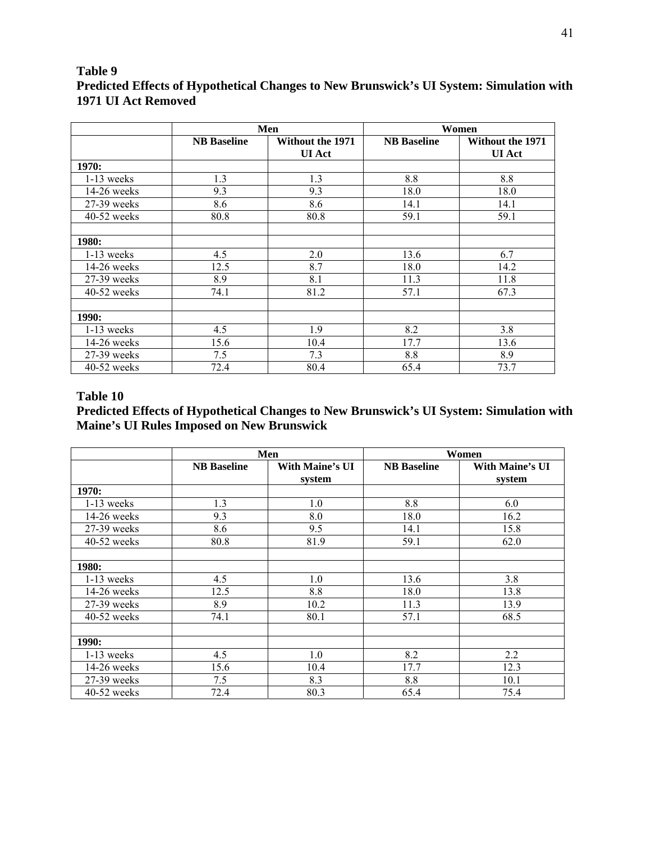# **Table 9 Predicted Effects of Hypothetical Changes to New Brunswick's UI System: Simulation with 1971 UI Act Removed**

|               | Men                |                                          | Women              |                                          |  |
|---------------|--------------------|------------------------------------------|--------------------|------------------------------------------|--|
|               | <b>NB</b> Baseline | <b>Without the 1971</b><br><b>UI</b> Act | <b>NB</b> Baseline | <b>Without the 1971</b><br><b>UI</b> Act |  |
| 1970:         |                    |                                          |                    |                                          |  |
| $1-13$ weeks  | 1.3                | 1.3                                      | 8.8                | 8.8                                      |  |
| $14-26$ weeks | 9.3                | 9.3                                      | 18.0               | 18.0                                     |  |
| 27-39 weeks   | 8.6                | 8.6                                      | 14.1               | 14.1                                     |  |
| $40-52$ weeks | 80.8               | 80.8                                     | 59.1               | 59.1                                     |  |
|               |                    |                                          |                    |                                          |  |
| <b>1980:</b>  |                    |                                          |                    |                                          |  |
| $1-13$ weeks  | 4.5                | 2.0                                      | 13.6               | 6.7                                      |  |
| $14-26$ weeks | 12.5               | 8.7                                      | 18.0               | 14.2                                     |  |
| 27-39 weeks   | 8.9                | 8.1                                      | 11.3               | 11.8                                     |  |
| $40-52$ weeks | 74.1               | 81.2                                     | 57.1               | 67.3                                     |  |
|               |                    |                                          |                    |                                          |  |
| 1990:         |                    |                                          |                    |                                          |  |
| $1-13$ weeks  | 4.5                | 1.9                                      | 8.2                | 3.8                                      |  |
| $14-26$ weeks | 15.6               | 10.4                                     | 17.7               | 13.6                                     |  |
| 27-39 weeks   | 7.5                | 7.3                                      | 8.8                | 8.9                                      |  |
| 40-52 weeks   | 72.4               | 80.4                                     | 65.4               | 73.7                                     |  |

## **Table 10**

# **Predicted Effects of Hypothetical Changes to New Brunswick's UI System: Simulation with Maine's UI Rules Imposed on New Brunswick**

|               | Men                |                                  | Women              |                                  |  |
|---------------|--------------------|----------------------------------|--------------------|----------------------------------|--|
|               | <b>NB</b> Baseline | <b>With Maine's UI</b><br>system | <b>NB</b> Baseline | <b>With Maine's UI</b><br>system |  |
| 1970:         |                    |                                  |                    |                                  |  |
| 1-13 weeks    | 1.3                | 1.0                              | 8.8                | 6.0                              |  |
| 14-26 weeks   | 9.3                | 8.0                              | 18.0               | 16.2                             |  |
| 27-39 weeks   | 8.6                | 9.5                              | 14.1               | 15.8                             |  |
| 40-52 weeks   | 80.8               | 81.9                             | 59.1               | 62.0                             |  |
| 1980:         |                    |                                  |                    |                                  |  |
| $1-13$ weeks  | 4.5                | 1.0                              | 13.6               | 3.8                              |  |
| $14-26$ weeks | 12.5               | 8.8                              | 18.0               | 13.8                             |  |
| 27-39 weeks   | 8.9                | 10.2                             | 11.3               | 13.9                             |  |
| $40-52$ weeks | 74.1               | 80.1                             | 57.1               | 68.5                             |  |
| 1990:         |                    |                                  |                    |                                  |  |
| $1-13$ weeks  | 4.5                | 1.0                              | 8.2                | 2.2                              |  |
| 14-26 weeks   | 15.6               | 10.4                             | 17.7               | 12.3                             |  |
| 27-39 weeks   | 7.5                | 8.3                              | 8.8                | 10.1                             |  |
| $40-52$ weeks | 72.4               | 80.3                             | 65.4               | 75.4                             |  |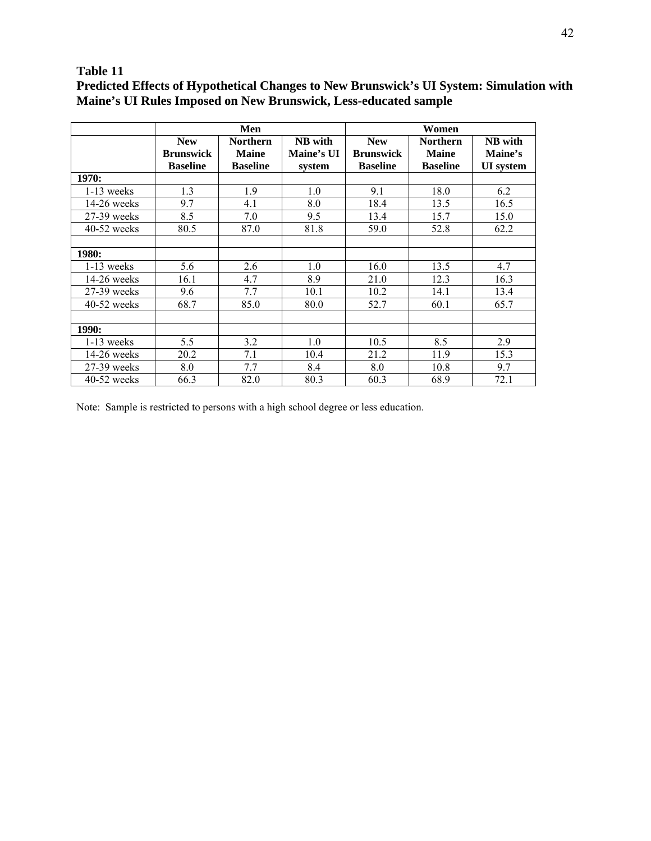## **Table 11**

**Predicted Effects of Hypothetical Changes to New Brunswick's UI System: Simulation with Maine's UI Rules Imposed on New Brunswick, Less-educated sample**

|               | Men                                               |                                                    |                                 | Women                                             |                                                    |                                        |
|---------------|---------------------------------------------------|----------------------------------------------------|---------------------------------|---------------------------------------------------|----------------------------------------------------|----------------------------------------|
|               | <b>New</b><br><b>Brunswick</b><br><b>Baseline</b> | <b>Northern</b><br><b>Maine</b><br><b>Baseline</b> | NB with<br>Maine's UI<br>system | <b>New</b><br><b>Brunswick</b><br><b>Baseline</b> | <b>Northern</b><br><b>Maine</b><br><b>Baseline</b> | NB with<br>Maine's<br><b>UI</b> system |
| 1970:         |                                                   |                                                    |                                 |                                                   |                                                    |                                        |
| $1-13$ weeks  | 1.3                                               | 1.9                                                | 1.0                             | 9.1                                               | 18.0                                               | 6.2                                    |
| $14-26$ weeks | 9.7                                               | 4.1                                                | 8.0                             | 18.4                                              | 13.5                                               | 16.5                                   |
| $27-39$ weeks | 8.5                                               | 7.0                                                | 9.5                             | 13.4                                              | 15.7                                               | 15.0                                   |
| $40-52$ weeks | 80.5                                              | 87.0                                               | 81.8                            | 59.0                                              | 52.8                                               | 62.2                                   |
|               |                                                   |                                                    |                                 |                                                   |                                                    |                                        |
| <b>1980:</b>  |                                                   |                                                    |                                 |                                                   |                                                    |                                        |
| $1-13$ weeks  | 5.6                                               | 2.6                                                | 1.0                             | 16.0                                              | 13.5                                               | 4.7                                    |
| $14-26$ weeks | 16.1                                              | 4.7                                                | 8.9                             | 21.0                                              | 12.3                                               | 16.3                                   |
| $27-39$ weeks | 9.6                                               | 7.7                                                | 10.1                            | 10.2                                              | 14.1                                               | 13.4                                   |
| $40-52$ weeks | 68.7                                              | 85.0                                               | 80.0                            | 52.7                                              | 60.1                                               | 65.7                                   |
|               |                                                   |                                                    |                                 |                                                   |                                                    |                                        |
| <b>1990:</b>  |                                                   |                                                    |                                 |                                                   |                                                    |                                        |
| $1-13$ weeks  | 5.5                                               | 3.2                                                | 1.0                             | 10.5                                              | 8.5                                                | 2.9                                    |
| $14-26$ weeks | 20.2                                              | 7.1                                                | 10.4                            | 21.2                                              | 11.9                                               | 15.3                                   |
| $27-39$ weeks | 8.0                                               | 7.7                                                | 8.4                             | 8.0                                               | 10.8                                               | 9.7                                    |
| $40-52$ weeks | 66.3                                              | 82.0                                               | 80.3                            | 60.3                                              | 68.9                                               | 72.1                                   |

Note: Sample is restricted to persons with a high school degree or less education.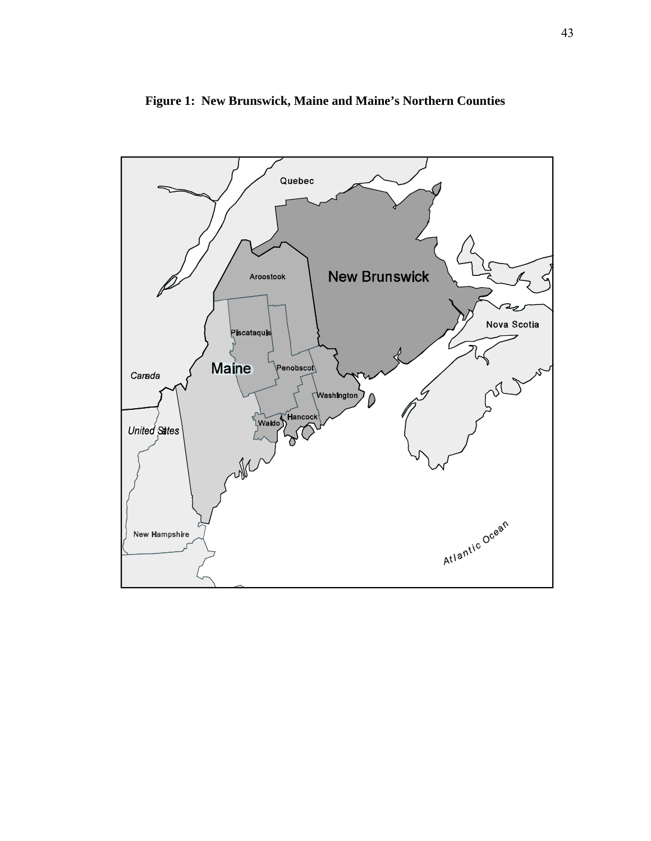

**Figure 1: New Brunswick, Maine and Maine's Northern Counties**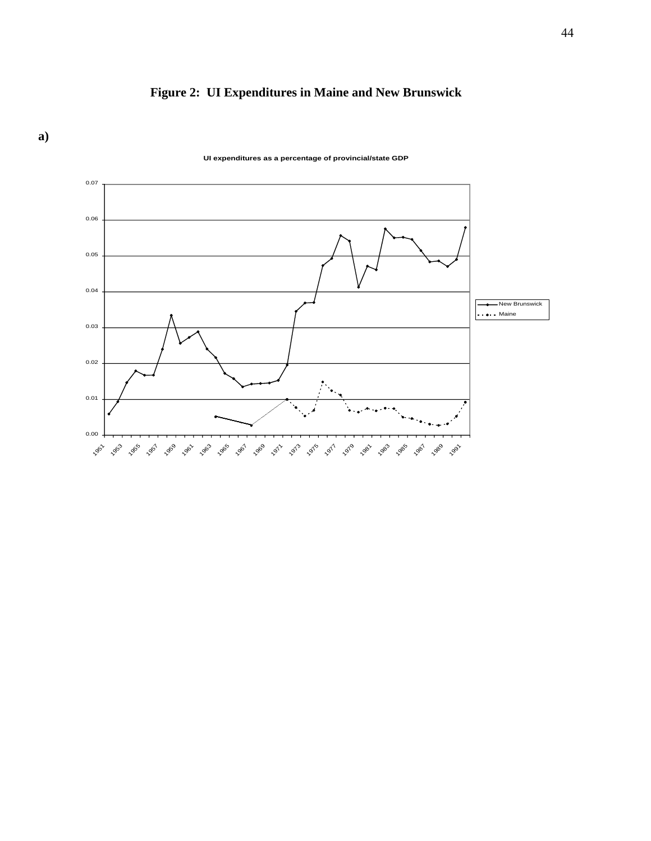



**UI expenditures as a percentage of provincial/state GDP**

**a)**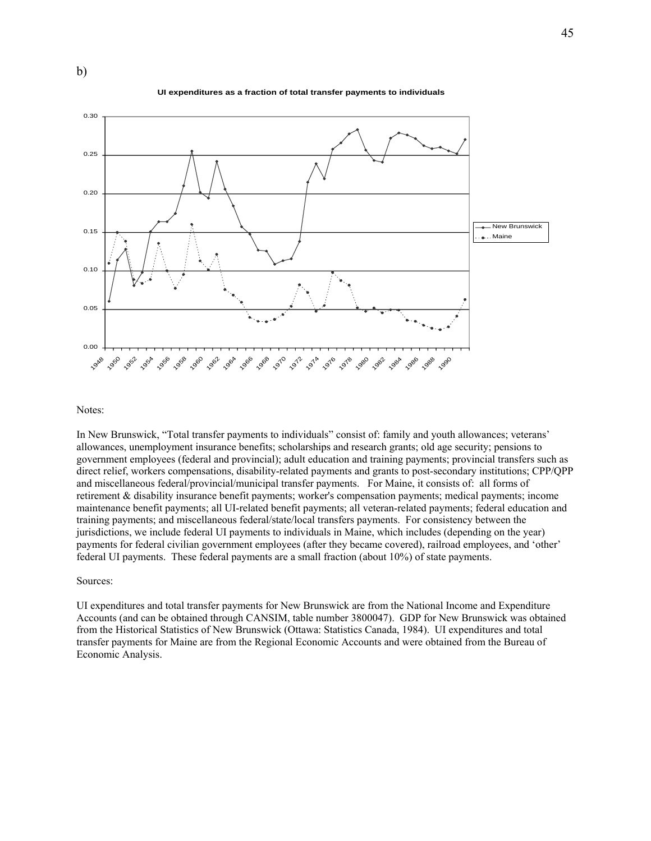



Notes:

b)

In New Brunswick, "Total transfer payments to individuals" consist of: family and youth allowances; veterans' allowances, unemployment insurance benefits; scholarships and research grants; old age security; pensions to government employees (federal and provincial); adult education and training payments; provincial transfers such as direct relief, workers compensations, disability-related payments and grants to post-secondary institutions; CPP/QPP and miscellaneous federal/provincial/municipal transfer payments. For Maine, it consists of: all forms of retirement & disability insurance benefit payments; worker's compensation payments; medical payments; income maintenance benefit payments; all UI-related benefit payments; all veteran-related payments; federal education and training payments; and miscellaneous federal/state/local transfers payments. For consistency between the jurisdictions, we include federal UI payments to individuals in Maine, which includes (depending on the year) payments for federal civilian government employees (after they became covered), railroad employees, and 'other' federal UI payments. These federal payments are a small fraction (about 10%) of state payments.

#### Sources:

UI expenditures and total transfer payments for New Brunswick are from the National Income and Expenditure Accounts (and can be obtained through CANSIM, table number 3800047). GDP for New Brunswick was obtained from the Historical Statistics of New Brunswick (Ottawa: Statistics Canada, 1984). UI expenditures and total transfer payments for Maine are from the Regional Economic Accounts and were obtained from the Bureau of Economic Analysis.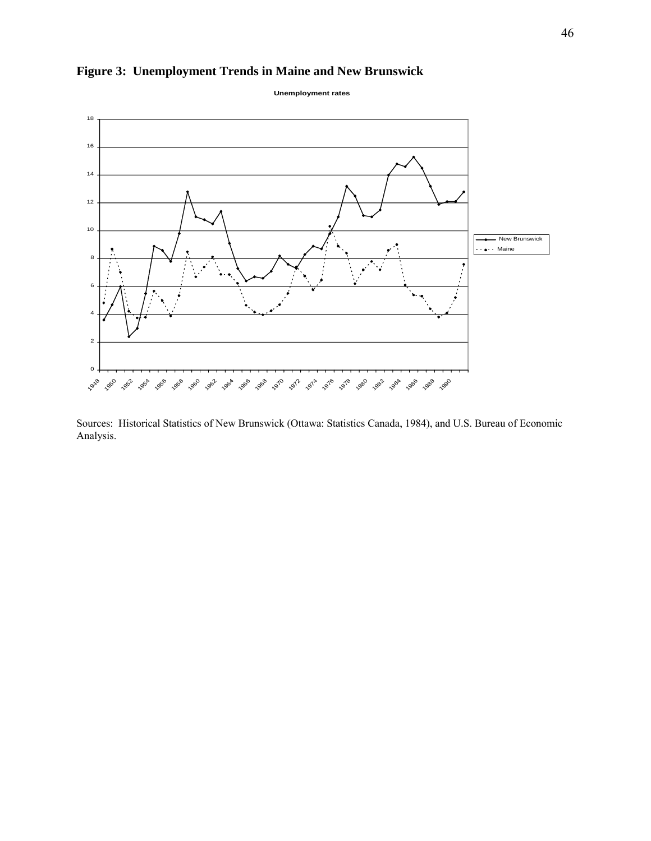



Sources: Historical Statistics of New Brunswick (Ottawa: Statistics Canada, 1984), and U.S. Bureau of Economic Analysis.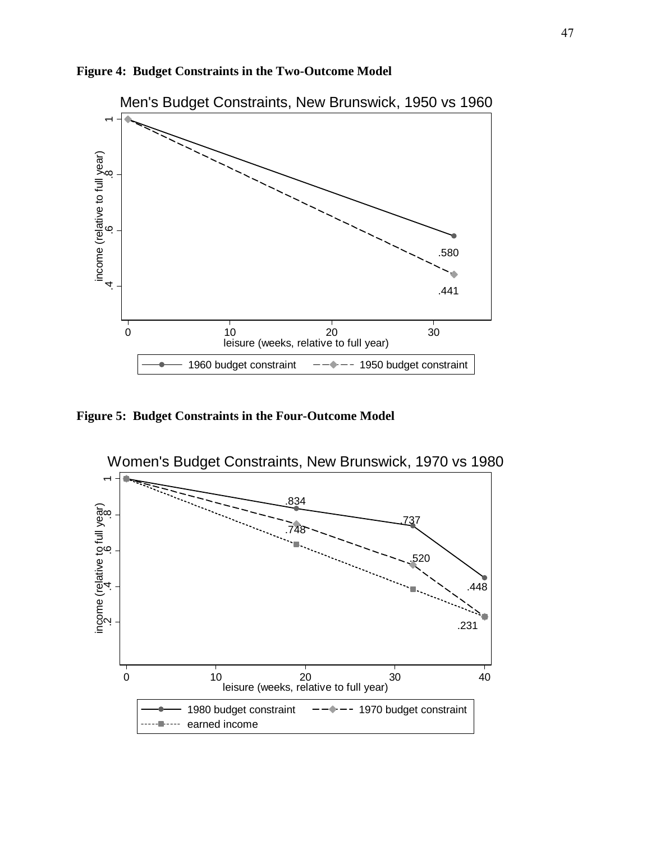

**Figure 4: Budget Constraints in the Two-Outcome Model** 

**Figure 5: Budget Constraints in the Four-Outcome Model** 

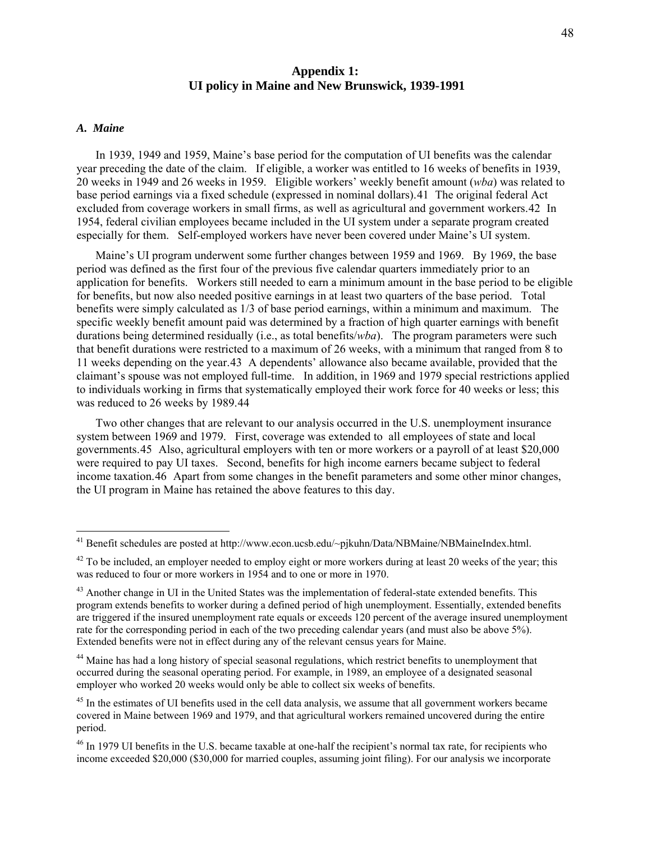## **UI policy in Maine and New Brunswick, 1939-1991 Appendix 1:**

#### *A. Maine*

 $\overline{a}$ 

In 1939, 1949 and 1959, Maine's base period for the computation of UI benefits was the calendar year preceding the date of the claim. If eligible, a worker was entitled to 16 weeks of benefits in 1939, 20 weeks in 1949 and 26 weeks in 1959. Eligible workers' weekly benefit amount (*wba*) was related to base period earnings via a fixed schedule (expressed in nominal dollars).[41](#page-48-0) The original federal Act excluded from coverage workers in small firms, as well as agricultural and government workers.[42](#page-48-1) In 1954, federal civilian employees became included in the UI system under a separate program created especially for them. Self-employed workers have never been covered under Maine's UI system.

Maine's UI program underwent some further changes between 1959 and 1969. By 1969, the base period was defined as the first four of the previous five calendar quarters immediately prior to an application for benefits. Workers still needed to earn a minimum amount in the base period to be eligible for benefits, but now also needed positive earnings in at least two quarters of the base period. Total benefits were simply calculated as 1/3 of base period earnings, within a minimum and maximum. The specific weekly benefit amount paid was determined by a fraction of high quarter earnings with benefit durations being determined residually (i.e., as total benefits/*wba*). The program parameters were such that benefit durations were restricted to a maximum of 26 weeks, with a minimum that ranged from 8 to 11 weeks depending on the year.[43](#page-48-2) A dependents' allowance also became available, provided that the claimant's spouse was not employed full-time. In addition, in 1969 and 1979 special restrictions applied to individuals working in firms that systematically employed their work force for 40 weeks or less; this was reduced to 26 weeks by 1989.[44](#page-48-3)

Two other changes that are relevant to our analysis occurred in the U.S. unemployment insurance system between 1969 and 1979. First, coverage was extended to all employees of state and local governments.[45](#page-48-4) Also, agricultural employers with ten or more workers or a payroll of at least \$20,000 were required to pay UI taxes. Second, benefits for high income earners became subject to federal income taxation.[46](#page-48-5) Apart from some changes in the benefit parameters and some other minor changes, the UI program in Maine has retained the above features to this day.

<span id="page-48-0"></span><sup>&</sup>lt;sup>41</sup> Benefit schedules are posted at http://www.econ.ucsb.edu/~pjkuhn/Data/NBMaine/NBMaineIndex.html.

<span id="page-48-1"></span> $42$  To be included, an employer needed to employ eight or more workers during at least 20 weeks of the year; this was reduced to four or more workers in 1954 and to one or more in 1970.

<span id="page-48-2"></span><sup>&</sup>lt;sup>43</sup> Another change in UI in the United States was the implementation of federal-state extended benefits. This program extends benefits to worker during a defined period of high unemployment. Essentially, extended benefits are triggered if the insured unemployment rate equals or exceeds 120 percent of the average insured unemployment rate for the corresponding period in each of the two preceding calendar years (and must also be above 5%). Extended benefits were not in effect during any of the relevant census years for Maine.

<span id="page-48-3"></span><sup>&</sup>lt;sup>44</sup> Maine has had a long history of special seasonal regulations, which restrict benefits to unemployment that occurred during the seasonal operating period. For example, in 1989, an employee of a designated seasonal employer who worked 20 weeks would only be able to collect six weeks of benefits.

<span id="page-48-4"></span><sup>&</sup>lt;sup>45</sup> In the estimates of UI benefits used in the cell data analysis, we assume that all government workers became covered in Maine between 1969 and 1979, and that agricultural workers remained uncovered during the entire period.

<span id="page-48-5"></span><sup>&</sup>lt;sup>46</sup> In 1979 UI benefits in the U.S. became taxable at one-half the recipient's normal tax rate, for recipients who income exceeded \$20,000 (\$30,000 for married couples, assuming joint filing). For our analysis we incorporate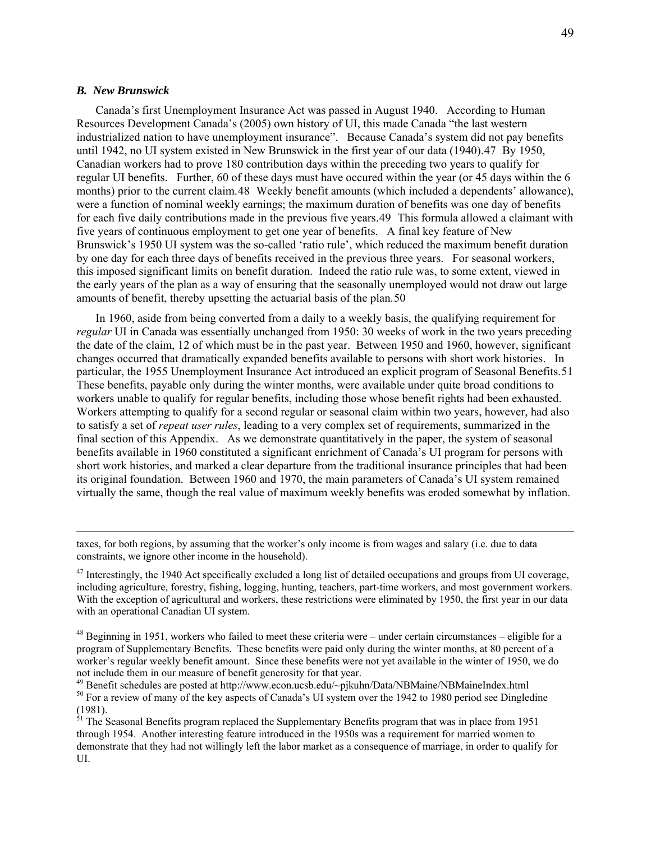#### *B. New Brunswick*

 $\overline{a}$ 

Canada's first Unemployment Insurance Act was passed in August 1940. According to Human Resources Development Canada's (2005) own history of UI, this made Canada "the last western industrialized nation to have unemployment insurance". Because Canada's system did not pay benefits until 1942, no UI system existed in New Brunswick in the first year of our data (1940).[47](#page-49-0) By 1950, Canadian workers had to prove 180 contribution days within the preceding two years to qualify for regular UI benefits. Further, 60 of these days must have occured within the year (or 45 days within the 6 months) prior to the current claim.[48](#page-49-1) Weekly benefit amounts (which included a dependents' allowance), were a function of nominal weekly earnings; the maximum duration of benefits was one day of benefits for each five daily contributions made in the previous five years.[49](#page-49-2) This formula allowed a claimant with five years of continuous employment to get one year of benefits. A final key feature of New Brunswick's 1950 UI system was the so-called 'ratio rule', which reduced the maximum benefit duration by one day for each three days of benefits received in the previous three years. For seasonal workers, this imposed significant limits on benefit duration. Indeed the ratio rule was, to some extent, viewed in the early years of the plan as a way of ensuring that the seasonally unemployed would not draw out large amounts of benefit, thereby upsetting the actuarial basis of the plan.[50](#page-49-3)

In 1960, aside from being converted from a daily to a weekly basis, the qualifying requirement for *regular* UI in Canada was essentially unchanged from 1950: 30 weeks of work in the two years preceding the date of the claim, 12 of which must be in the past year. Between 1950 and 1960, however, significant changes occurred that dramatically expanded benefits available to persons with short work histories. In particular, the 1955 Unemployment Insurance Act introduced an explicit program of Seasonal Benefits.[51](#page-49-4) These benefits, payable only during the winter months, were available under quite broad conditions to workers unable to qualify for regular benefits, including those whose benefit rights had been exhausted. Workers attempting to qualify for a second regular or seasonal claim within two years, however, had also to satisfy a set of *repeat user rules*, leading to a very complex set of requirements, summarized in the final section of this Appendix. As we demonstrate quantitatively in the paper, the system of seasonal benefits available in 1960 constituted a significant enrichment of Canada's UI program for persons with short work histories, and marked a clear departure from the traditional insurance principles that had been its original foundation. Between 1960 and 1970, the main parameters of Canada's UI system remained virtually the same, though the real value of maximum weekly benefits was eroded somewhat by inflation.

taxes, for both regions, by assuming that the worker's only income is from wages and salary (i.e. due to data constraints, we ignore other income in the household).

<span id="page-49-0"></span> $^{47}$  Interestingly, the 1940 Act specifically excluded a long list of detailed occupations and groups from UI coverage. including agriculture, forestry, fishing, logging, hunting, teachers, part-time workers, and most government workers. With the exception of agricultural and workers, these restrictions were eliminated by 1950, the first year in our data with an operational Canadian UI system.

<span id="page-49-1"></span> $48$  Beginning in 1951, workers who failed to meet these criteria were – under certain circumstances – eligible for a program of Supplementary Benefits. These benefits were paid only during the winter months, at 80 percent of a worker's regular weekly benefit amount. Since these benefits were not yet available in the winter of 1950, we do

<span id="page-49-3"></span><span id="page-49-2"></span>not include them in our measure of benefit generosity for that year.<br><sup>49</sup> Benefit schedules are posted at http://www.econ.ucsb.edu/~pjkuhn/Data/NBMaine/NBMaineIndex.html<br><sup>50</sup> For a review of many of the key aspects of Cana (1981).

<span id="page-49-4"></span> $51$  The Seasonal Benefits program replaced the Supplementary Benefits program that was in place from 1951 through 1954. Another interesting feature introduced in the 1950s was a requirement for married women to demonstrate that they had not willingly left the labor market as a consequence of marriage, in order to qualify for UI.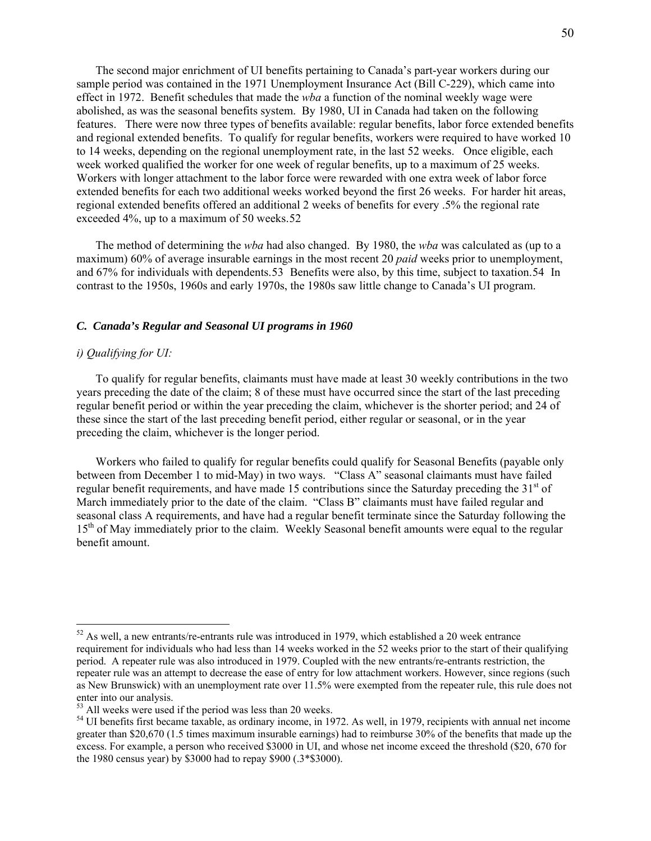The second major enrichment of UI benefits pertaining to Canada's part-year workers during our sample period was contained in the 1971 Unemployment Insurance Act (Bill C-229), which came into effect in 1972. Benefit schedules that made the *wba* a function of the nominal weekly wage were abolished, as was the seasonal benefits system. By 1980, UI in Canada had taken on the following features. There were now three types of benefits available: regular benefits, labor force extended benefits and regional extended benefits. To qualify for regular benefits, workers were required to have worked 10 to 14 weeks, depending on the regional unemployment rate, in the last 52 weeks. Once eligible, each week worked qualified the worker for one week of regular benefits, up to a maximum of 25 weeks. Workers with longer attachment to the labor force were rewarded with one extra week of labor force extended benefits for each two additional weeks worked beyond the first 26 weeks. For harder hit areas, regional extended benefits offered an additional 2 weeks of benefits for every .5% the regional rate exceeded 4%, up to a maximum of 50 weeks.[52](#page-50-0)

The method of determining the *wba* had also changed. By 1980, the *wba* was calculated as (up to a maximum) 60% of average insurable earnings in the most recent 20 *paid* weeks prior to unemployment, and 67% for individuals with dependents.[53](#page-50-1) Benefits were also, by this time, subject to taxation.[54](#page-50-2) In contrast to the 1950s, 1960s and early 1970s, the 1980s saw little change to Canada's UI program.

#### *C. Canada's Regular and Seasonal UI programs in 1960*

#### *i) Qualifying for UI:*

 $\overline{a}$ 

To qualify for regular benefits, claimants must have made at least 30 weekly contributions in the two years preceding the date of the claim; 8 of these must have occurred since the start of the last preceding regular benefit period or within the year preceding the claim, whichever is the shorter period; and 24 of these since the start of the last preceding benefit period, either regular or seasonal, or in the year preceding the claim, whichever is the longer period.

Workers who failed to qualify for regular benefits could qualify for Seasonal Benefits (payable only between from December 1 to mid-May) in two ways. "Class A" seasonal claimants must have failed regular benefit requirements, and have made 15 contributions since the Saturday preceding the  $31<sup>st</sup>$  of March immediately prior to the date of the claim. "Class B" claimants must have failed regular and seasonal class A requirements, and have had a regular benefit terminate since the Saturday following the 15<sup>th</sup> of May immediately prior to the claim. Weekly Seasonal benefit amounts were equal to the regular benefit amount.

<span id="page-50-0"></span> $52$  As well, a new entrants/re-entrants rule was introduced in 1979, which established a 20 week entrance requirement for individuals who had less than 14 weeks worked in the 52 weeks prior to the start of their qualifying period. A repeater rule was also introduced in 1979. Coupled with the new entrants/re-entrants restriction, the repeater rule was an attempt to decrease the ease of entry for low attachment workers. However, since regions (such as New Brunswick) with an unemployment rate over 11.5% were exempted from the repeater rule, this rule does not enter into our analysis.

<span id="page-50-1"></span><sup>&</sup>lt;sup>53</sup> All weeks were used if the period was less than 20 weeks.

<span id="page-50-2"></span><sup>&</sup>lt;sup>54</sup> UI benefits first became taxable, as ordinary income, in 1972. As well, in 1979, recipients with annual net income greater than \$20,670 (1.5 times maximum insurable earnings) had to reimburse 30% of the benefits that made up the excess. For example, a person who received \$3000 in UI, and whose net income exceed the threshold (\$20, 670 for the 1980 census year) by \$3000 had to repay \$900 (.3\*\$3000).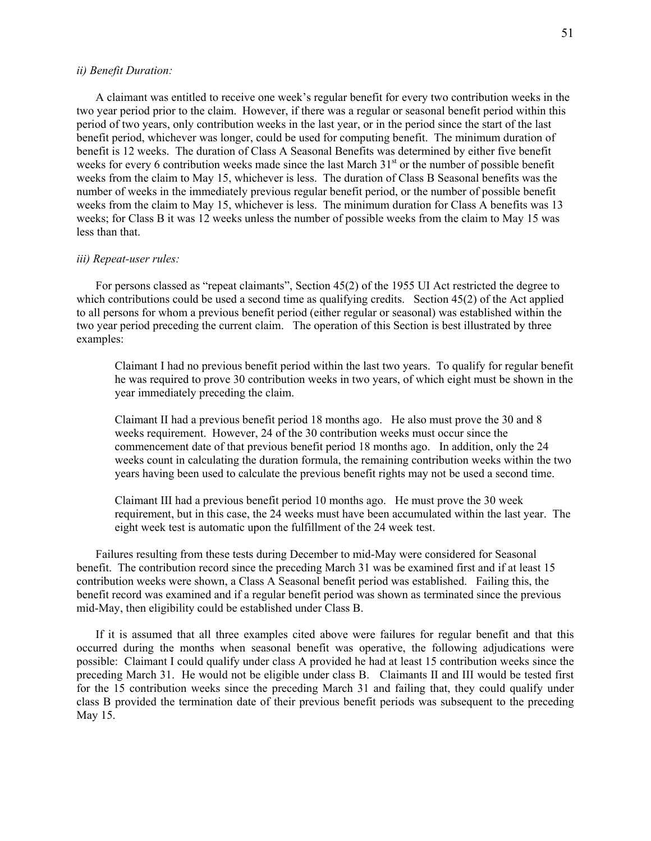#### *ii) Benefit Duration:*

A claimant was entitled to receive one week's regular benefit for every two contribution weeks in the two year period prior to the claim. However, if there was a regular or seasonal benefit period within this period of two years, only contribution weeks in the last year, or in the period since the start of the last benefit period, whichever was longer, could be used for computing benefit. The minimum duration of benefit is 12 weeks. The duration of Class A Seasonal Benefits was determined by either five benefit weeks for every 6 contribution weeks made since the last March 31<sup>st</sup> or the number of possible benefit weeks from the claim to May 15, whichever is less. The duration of Class B Seasonal benefits was the number of weeks in the immediately previous regular benefit period, or the number of possible benefit weeks from the claim to May 15, whichever is less. The minimum duration for Class A benefits was 13 weeks; for Class B it was 12 weeks unless the number of possible weeks from the claim to May 15 was less than that.

#### *iii) Repeat-user rules:*

For persons classed as "repeat claimants", Section 45(2) of the 1955 UI Act restricted the degree to which contributions could be used a second time as qualifying credits. Section 45(2) of the Act applied to all persons for whom a previous benefit period (either regular or seasonal) was established within the two year period preceding the current claim. The operation of this Section is best illustrated by three examples:

Claimant I had no previous benefit period within the last two years. To qualify for regular benefit he was required to prove 30 contribution weeks in two years, of which eight must be shown in the year immediately preceding the claim.

Claimant II had a previous benefit period 18 months ago. He also must prove the 30 and 8 weeks requirement. However, 24 of the 30 contribution weeks must occur since the commencement date of that previous benefit period 18 months ago. In addition, only the 24 weeks count in calculating the duration formula, the remaining contribution weeks within the two years having been used to calculate the previous benefit rights may not be used a second time.

Claimant III had a previous benefit period 10 months ago. He must prove the 30 week requirement, but in this case, the 24 weeks must have been accumulated within the last year. The eight week test is automatic upon the fulfillment of the 24 week test.

Failures resulting from these tests during December to mid-May were considered for Seasonal benefit. The contribution record since the preceding March 31 was be examined first and if at least 15 contribution weeks were shown, a Class A Seasonal benefit period was established. Failing this, the benefit record was examined and if a regular benefit period was shown as terminated since the previous mid-May, then eligibility could be established under Class B.

If it is assumed that all three examples cited above were failures for regular benefit and that this occurred during the months when seasonal benefit was operative, the following adjudications were possible: Claimant I could qualify under class A provided he had at least 15 contribution weeks since the preceding March 31. He would not be eligible under class B. Claimants II and III would be tested first for the 15 contribution weeks since the preceding March 31 and failing that, they could qualify under class B provided the termination date of their previous benefit periods was subsequent to the preceding May 15.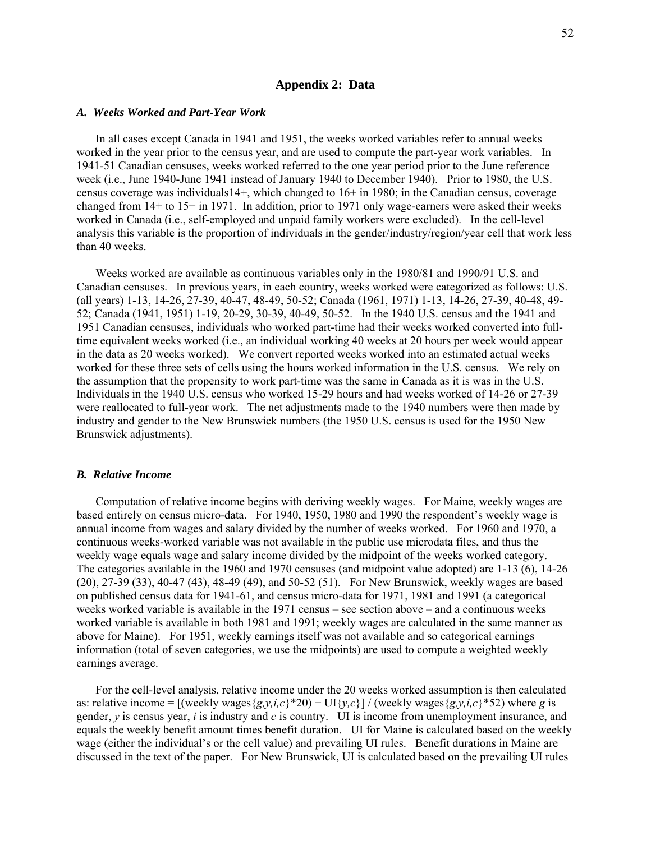#### **Appendix 2: Data**

#### *A. Weeks Worked and Part-Year Work*

In all cases except Canada in 1941 and 1951, the weeks worked variables refer to annual weeks worked in the year prior to the census year, and are used to compute the part-year work variables. In 1941-51 Canadian censuses, weeks worked referred to the one year period prior to the June reference week (i.e., June 1940-June 1941 instead of January 1940 to December 1940). Prior to 1980, the U.S. census coverage was individuals14+, which changed to 16+ in 1980; in the Canadian census, coverage changed from 14+ to 15+ in 1971. In addition, prior to 1971 only wage-earners were asked their weeks worked in Canada (i.e., self-employed and unpaid family workers were excluded). In the cell-level analysis this variable is the proportion of individuals in the gender/industry/region/year cell that work less than 40 weeks.

Weeks worked are available as continuous variables only in the 1980/81 and 1990/91 U.S. and Canadian censuses. In previous years, in each country, weeks worked were categorized as follows: U.S. (all years) 1-13, 14-26, 27-39, 40-47, 48-49, 50-52; Canada (1961, 1971) 1-13, 14-26, 27-39, 40-48, 49- 52; Canada (1941, 1951) 1-19, 20-29, 30-39, 40-49, 50-52. In the 1940 U.S. census and the 1941 and 1951 Canadian censuses, individuals who worked part-time had their weeks worked converted into fulltime equivalent weeks worked (i.e., an individual working 40 weeks at 20 hours per week would appear in the data as 20 weeks worked). We convert reported weeks worked into an estimated actual weeks worked for these three sets of cells using the hours worked information in the U.S. census. We rely on the assumption that the propensity to work part-time was the same in Canada as it is was in the U.S. Individuals in the 1940 U.S. census who worked 15-29 hours and had weeks worked of 14-26 or 27-39 were reallocated to full-year work. The net adjustments made to the 1940 numbers were then made by industry and gender to the New Brunswick numbers (the 1950 U.S. census is used for the 1950 New Brunswick adjustments).

#### *B. Relative Income*

Computation of relative income begins with deriving weekly wages. For Maine, weekly wages are based entirely on census micro-data. For 1940, 1950, 1980 and 1990 the respondent's weekly wage is annual income from wages and salary divided by the number of weeks worked. For 1960 and 1970, a continuous weeks-worked variable was not available in the public use microdata files, and thus the weekly wage equals wage and salary income divided by the midpoint of the weeks worked category. The categories available in the 1960 and 1970 censuses (and midpoint value adopted) are 1-13 (6), 14-26 (20), 27-39 (33), 40-47 (43), 48-49 (49), and 50-52 (51). For New Brunswick, weekly wages are based on published census data for 1941-61, and census micro-data for 1971, 1981 and 1991 (a categorical weeks worked variable is available in the 1971 census – see section above – and a continuous weeks worked variable is available in both 1981 and 1991; weekly wages are calculated in the same manner as above for Maine). For 1951, weekly earnings itself was not available and so categorical earnings information (total of seven categories, we use the midpoints) are used to compute a weighted weekly earnings average.

For the cell-level analysis, relative income under the 20 weeks worked assumption is then calculated as: relative income =  $[(\text{weakly wages}\{g,y,i,c\}^*20) + \text{UI}\{y,c\}]/(\text{weekly wages}\{g,y,i,c\}^*52)$  where *g* is gender, *y* is census year, *i* is industry and *c* is country. UI is income from unemployment insurance, and equals the weekly benefit amount times benefit duration. UI for Maine is calculated based on the weekly wage (either the individual's or the cell value) and prevailing UI rules. Benefit durations in Maine are discussed in the text of the paper. For New Brunswick, UI is calculated based on the prevailing UI rules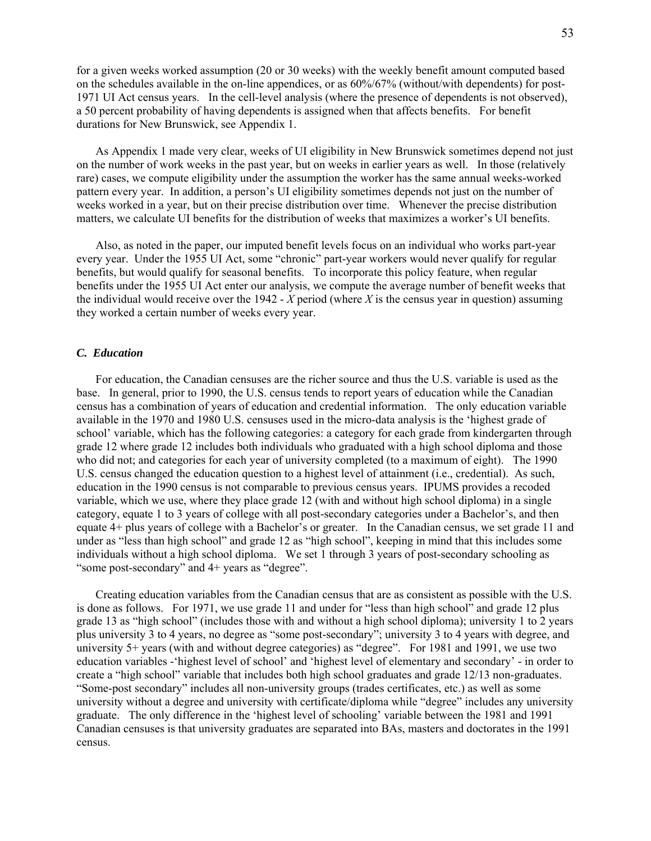for a given weeks worked assumption (20 or 30 weeks) with the weekly benefit amount computed based on the schedules available in the on-line appendices, or as 60%/67% (without/with dependents) for post-1971 UI Act census years. In the cell-level analysis (where the presence of dependents is not observed), a 50 percent probability of having dependents is assigned when that affects benefits. For benefit durations for New Brunswick, see Appendix 1.

As Appendix 1 made very clear, weeks of UI eligibility in New Brunswick sometimes depend not just on the number of work weeks in the past year, but on weeks in earlier years as well. In those (relatively rare) cases, we compute eligibility under the assumption the worker has the same annual weeks-worked pattern every year. In addition, a person's UI eligibility sometimes depends not just on the number of weeks worked in a year, but on their precise distribution over time. Whenever the precise distribution matters, we calculate UI benefits for the distribution of weeks that maximizes a worker's UI benefits.

Also, as noted in the paper, our imputed benefit levels focus on an individual who works part-year every year. Under the 1955 UI Act, some "chronic" part-year workers would never qualify for regular benefits, but would qualify for seasonal benefits. To incorporate this policy feature, when regular benefits under the 1955 UI Act enter our analysis, we compute the average number of benefit weeks that the individual would receive over the 1942 -  $\overline{X}$  period (where  $\overline{X}$  is the census year in question) assuming they worked a certain number of weeks every year.

#### *C. Education*

For education, the Canadian censuses are the richer source and thus the U.S. variable is used as the base. In general, prior to 1990, the U.S. census tends to report years of education while the Canadian census has a combination of years of education and credential information. The only education variable available in the 1970 and 1980 U.S. censuses used in the micro-data analysis is the 'highest grade of school' variable, which has the following categories: a category for each grade from kindergarten through grade 12 where grade 12 includes both individuals who graduated with a high school diploma and those who did not; and categories for each year of university completed (to a maximum of eight). The 1990 U.S. census changed the education question to a highest level of attainment (i.e., credential). As such, education in the 1990 census is not comparable to previous census years. IPUMS provides a recoded variable, which we use, where they place grade 12 (with and without high school diploma) in a single category, equate 1 to 3 years of college with all post-secondary categories under a Bachelor's, and then equate 4+ plus years of college with a Bachelor's or greater. In the Canadian census, we set grade 11 and under as "less than high school" and grade 12 as "high school", keeping in mind that this includes some individuals without a high school diploma. We set 1 through 3 years of post-secondary schooling as "some post-secondary" and 4+ years as "degree".

Creating education variables from the Canadian census that are as consistent as possible with the U.S. is done as follows. For 1971, we use grade 11 and under for "less than high school" and grade 12 plus grade 13 as "high school" (includes those with and without a high school diploma); university 1 to 2 years plus university 3 to 4 years, no degree as "some post-secondary"; university 3 to 4 years with degree, and university 5+ years (with and without degree categories) as "degree". For 1981 and 1991, we use two education variables -'highest level of school' and 'highest level of elementary and secondary' - in order to create a "high school" variable that includes both high school graduates and grade 12/13 non-graduates. "Some-post secondary" includes all non-university groups (trades certificates, etc.) as well as some university without a degree and university with certificate/diploma while "degree" includes any university graduate. The only difference in the 'highest level of schooling' variable between the 1981 and 1991 Canadian censuses is that university graduates are separated into BAs, masters and doctorates in the 1991 census.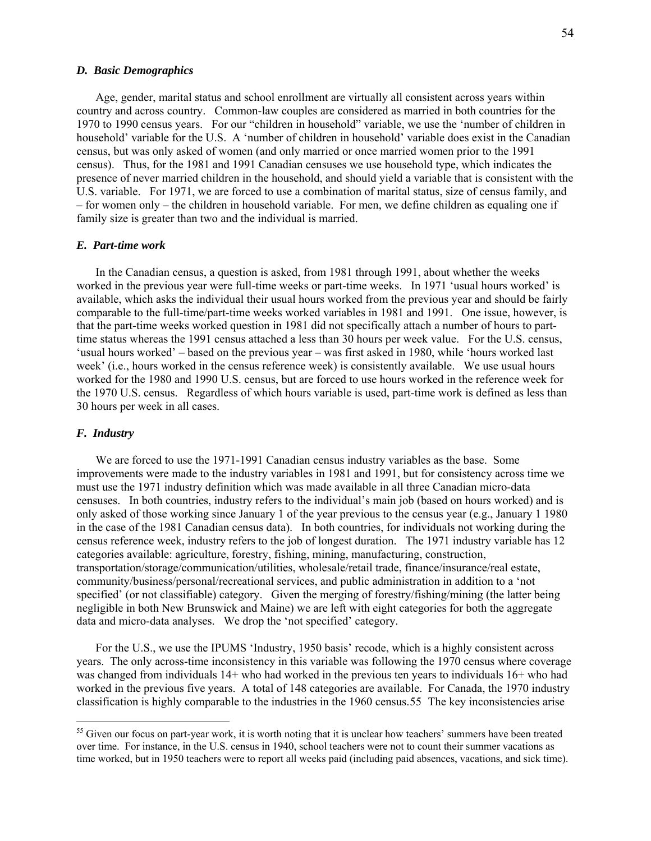#### *D. Basic Demographics*

Age, gender, marital status and school enrollment are virtually all consistent across years within country and across country. Common-law couples are considered as married in both countries for the 1970 to 1990 census years. For our "children in household" variable, we use the 'number of children in household' variable for the U.S. A 'number of children in household' variable does exist in the Canadian census, but was only asked of women (and only married or once married women prior to the 1991 census). Thus, for the 1981 and 1991 Canadian censuses we use household type, which indicates the presence of never married children in the household, and should yield a variable that is consistent with the U.S. variable. For 1971, we are forced to use a combination of marital status, size of census family, and – for women only – the children in household variable. For men, we define children as equaling one if family size is greater than two and the individual is married.

#### *E. Part-time work*

In the Canadian census, a question is asked, from 1981 through 1991, about whether the weeks worked in the previous year were full-time weeks or part-time weeks. In 1971 'usual hours worked' is available, which asks the individual their usual hours worked from the previous year and should be fairly comparable to the full-time/part-time weeks worked variables in 1981 and 1991. One issue, however, is that the part-time weeks worked question in 1981 did not specifically attach a number of hours to parttime status whereas the 1991 census attached a less than 30 hours per week value. For the U.S. census, 'usual hours worked' – based on the previous year – was first asked in 1980, while 'hours worked last week' (i.e., hours worked in the census reference week) is consistently available. We use usual hours worked for the 1980 and 1990 U.S. census, but are forced to use hours worked in the reference week for the 1970 U.S. census. Regardless of which hours variable is used, part-time work is defined as less than 30 hours per week in all cases.

#### *F. Industry*

 $\overline{a}$ 

We are forced to use the 1971-1991 Canadian census industry variables as the base. Some improvements were made to the industry variables in 1981 and 1991, but for consistency across time we must use the 1971 industry definition which was made available in all three Canadian micro-data censuses. In both countries, industry refers to the individual's main job (based on hours worked) and is only asked of those working since January 1 of the year previous to the census year (e.g., January 1 1980 in the case of the 1981 Canadian census data). In both countries, for individuals not working during the census reference week, industry refers to the job of longest duration. The 1971 industry variable has 12 categories available: agriculture, forestry, fishing, mining, manufacturing, construction, transportation/storage/communication/utilities, wholesale/retail trade, finance/insurance/real estate, community/business/personal/recreational services, and public administration in addition to a 'not specified' (or not classifiable) category. Given the merging of forestry/fishing/mining (the latter being negligible in both New Brunswick and Maine) we are left with eight categories for both the aggregate data and micro-data analyses. We drop the 'not specified' category.

For the U.S., we use the IPUMS 'Industry, 1950 basis' recode, which is a highly consistent across years. The only across-time inconsistency in this variable was following the 1970 census where coverage was changed from individuals 14+ who had worked in the previous ten years to individuals 16+ who had worked in the previous five years. A total of 148 categories are available. For Canada, the 1970 industry classification is highly comparable to the industries in the 1960 census.[55](#page-54-0) The key inconsistencies arise

<span id="page-54-0"></span><sup>&</sup>lt;sup>55</sup> Given our focus on part-year work, it is worth noting that it is unclear how teachers' summers have been treated over time. For instance, in the U.S. census in 1940, school teachers were not to count their summer vacations as time worked, but in 1950 teachers were to report all weeks paid (including paid absences, vacations, and sick time).